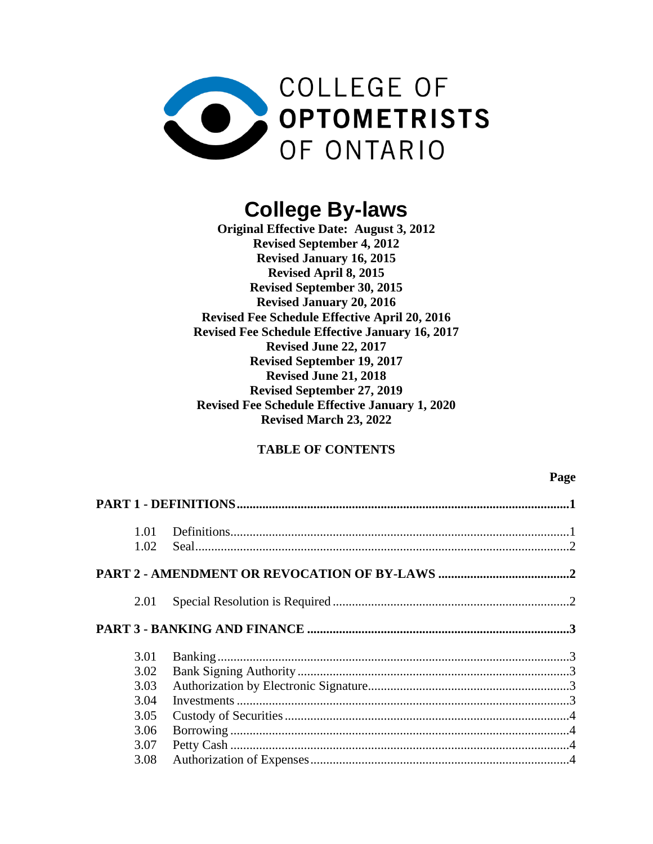

# **College By-laws**

**Original Effective Date: August 3, 2012 Revised September 4, 2012 Revised January 16, 2015 Revised April 8, 2015 Revised September 30, 2015 Revised January 20, 2016 Revised Fee Schedule Effective April 20, 2016 Revised Fee Schedule Effective January 16, 2017 Revised June 22, 2017 Revised September 19, 2017 Revised June 21, 2018 Revised September 27, 2019 Revised Fee Schedule Effective January 1, 2020 Revised March 23, 2022**

# **TABLE OF CONTENTS**

## **Page**

|  | 1.01 |  |  |
|--|------|--|--|
|  | 1.02 |  |  |
|  |      |  |  |
|  | 2.01 |  |  |
|  |      |  |  |
|  | 3.01 |  |  |
|  | 3.02 |  |  |
|  | 3.03 |  |  |
|  | 3.04 |  |  |
|  | 3.05 |  |  |
|  | 3.06 |  |  |
|  | 3.07 |  |  |
|  | 3.08 |  |  |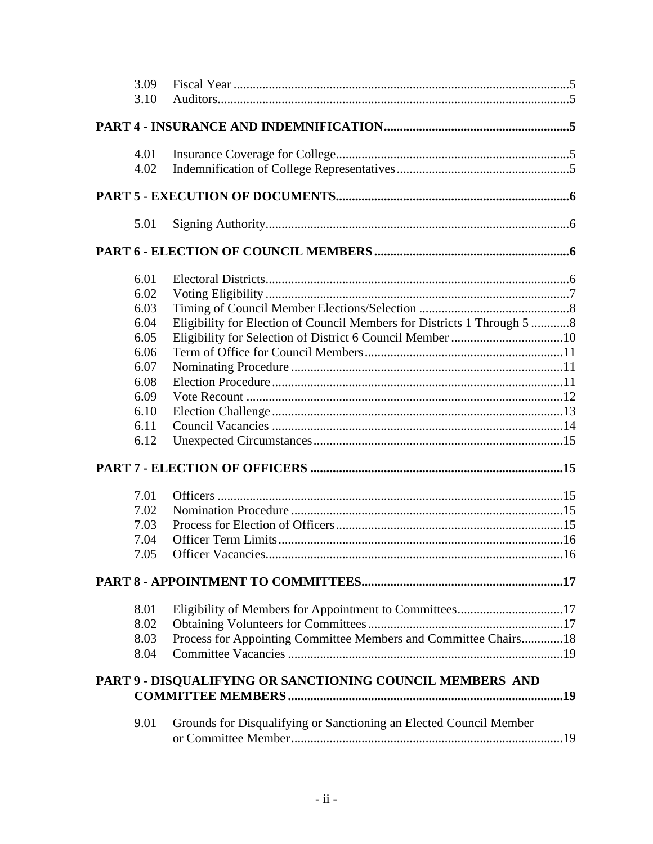| 3.09<br>3.10 |                                                                         |  |
|--------------|-------------------------------------------------------------------------|--|
|              |                                                                         |  |
|              |                                                                         |  |
| 4.01         |                                                                         |  |
| 4.02         |                                                                         |  |
|              |                                                                         |  |
| 5.01         |                                                                         |  |
|              |                                                                         |  |
| 6.01         |                                                                         |  |
| 6.02         |                                                                         |  |
| 6.03         |                                                                         |  |
| 6.04         | Eligibility for Election of Council Members for Districts 1 Through 5 8 |  |
| 6.05         |                                                                         |  |
| 6.06         |                                                                         |  |
| 6.07         |                                                                         |  |
| 6.08         |                                                                         |  |
| 6.09         |                                                                         |  |
| 6.10         |                                                                         |  |
| 6.11         |                                                                         |  |
| 6.12         |                                                                         |  |
|              |                                                                         |  |
| 7.01         |                                                                         |  |
| 7.02         |                                                                         |  |
| 7.03         |                                                                         |  |
| 7.04         |                                                                         |  |
| 7.05         |                                                                         |  |
|              |                                                                         |  |
| 8.01         |                                                                         |  |
| 8.02         | Eligibility of Members for Appointment to Committees17                  |  |
| 8.03         | Process for Appointing Committee Members and Committee Chairs 18        |  |
| 8.04         |                                                                         |  |
|              |                                                                         |  |
|              | PART 9 - DISQUALIFYING OR SANCTIONING COUNCIL MEMBERS AND               |  |
|              |                                                                         |  |
| 9.01         | Grounds for Disqualifying or Sanctioning an Elected Council Member      |  |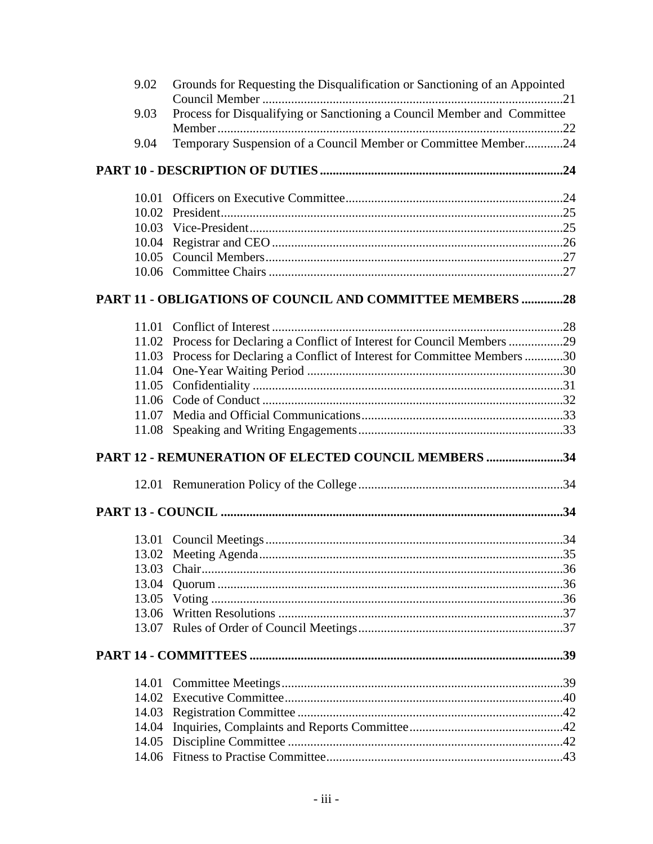| 9.02  | Grounds for Requesting the Disqualification or Sanctioning of an Appointed |  |
|-------|----------------------------------------------------------------------------|--|
| 9.03  | Process for Disqualifying or Sanctioning a Council Member and Committee    |  |
|       |                                                                            |  |
| 9.04  | Temporary Suspension of a Council Member or Committee Member24             |  |
|       |                                                                            |  |
| 10.01 |                                                                            |  |
| 10.02 |                                                                            |  |
| 10.03 |                                                                            |  |
| 10.04 |                                                                            |  |
| 10.05 |                                                                            |  |
|       |                                                                            |  |
|       | PART 11 - OBLIGATIONS OF COUNCIL AND COMMITTEE MEMBERS 28                  |  |
| 11.01 |                                                                            |  |
| 11.02 | Process for Declaring a Conflict of Interest for Council Members 29        |  |
| 11.03 | Process for Declaring a Conflict of Interest for Committee Members 30      |  |
| 11.04 |                                                                            |  |
| 11.05 |                                                                            |  |
| 11.06 |                                                                            |  |
| 11.07 |                                                                            |  |
| 11.08 |                                                                            |  |
|       | PART 12 - REMUNERATION OF ELECTED COUNCIL MEMBERS 34                       |  |
|       |                                                                            |  |
|       |                                                                            |  |
|       |                                                                            |  |
|       |                                                                            |  |
| 13.03 |                                                                            |  |
| 13.04 |                                                                            |  |
|       |                                                                            |  |
| 13.06 |                                                                            |  |
|       |                                                                            |  |
|       |                                                                            |  |
|       |                                                                            |  |
|       |                                                                            |  |
| 14.02 |                                                                            |  |
|       |                                                                            |  |
| 14.04 |                                                                            |  |
|       |                                                                            |  |
|       |                                                                            |  |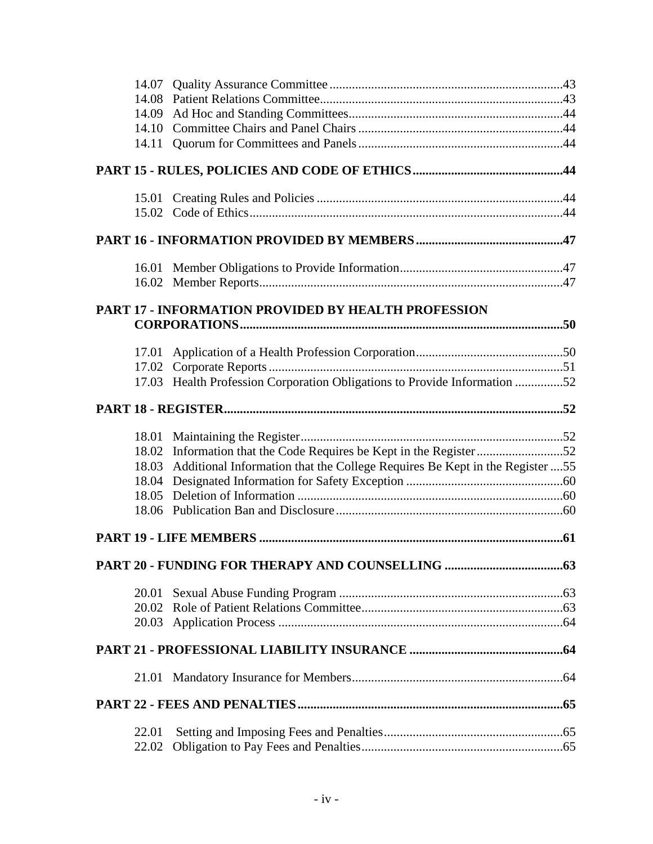| 14.07          |                                                                              |  |
|----------------|------------------------------------------------------------------------------|--|
|                |                                                                              |  |
| 14.09<br>14.10 |                                                                              |  |
| 14.11          |                                                                              |  |
|                |                                                                              |  |
|                |                                                                              |  |
|                |                                                                              |  |
|                |                                                                              |  |
|                |                                                                              |  |
|                |                                                                              |  |
|                |                                                                              |  |
|                | <b>PART 17 - INFORMATION PROVIDED BY HEALTH PROFESSION</b>                   |  |
|                |                                                                              |  |
| 17.01          |                                                                              |  |
|                |                                                                              |  |
|                | 17.03 Health Profession Corporation Obligations to Provide Information 52    |  |
|                |                                                                              |  |
| 18.01          |                                                                              |  |
|                | 18.02 Information that the Code Requires be Kept in the Register52           |  |
| 18.03          | Additional Information that the College Requires Be Kept in the Register  55 |  |
| 18.04          |                                                                              |  |
| 18.05          |                                                                              |  |
| 18.06          |                                                                              |  |
|                |                                                                              |  |
|                |                                                                              |  |
| 20.01          |                                                                              |  |
| 20.02          |                                                                              |  |
|                |                                                                              |  |
|                |                                                                              |  |
|                |                                                                              |  |
|                |                                                                              |  |
| 22.01          |                                                                              |  |
| 22.02          |                                                                              |  |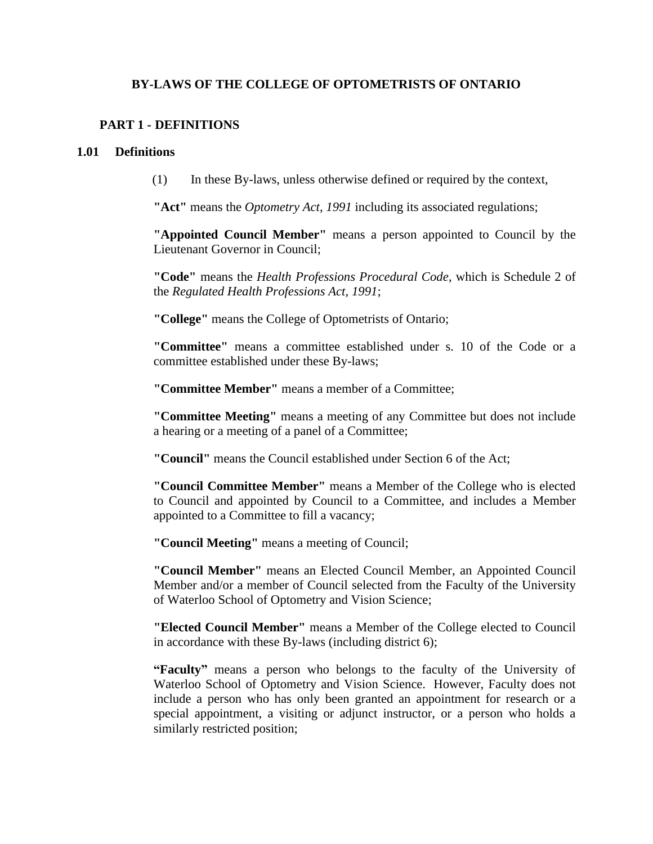# **BY-LAWS OF THE COLLEGE OF OPTOMETRISTS OF ONTARIO**

# <span id="page-5-0"></span>**PART 1 - DEFINITIONS**

#### <span id="page-5-1"></span>**1.01 Definitions**

(1) In these By-laws, unless otherwise defined or required by the context,

**"Act"** means the *Optometry Act, 1991* including its associated regulations;

**"Appointed Council Member"** means a person appointed to Council by the Lieutenant Governor in Council;

**"Code"** means the *Health Professions Procedural Code*, which is Schedule 2 of the *Regulated Health Professions Act, 1991*;

**"College"** means the College of Optometrists of Ontario;

**"Committee"** means a committee established under s. 10 of the Code or a committee established under these By-laws;

**"Committee Member"** means a member of a Committee;

**"Committee Meeting"** means a meeting of any Committee but does not include a hearing or a meeting of a panel of a Committee;

**"Council"** means the Council established under Section 6 of the Act;

**"Council Committee Member"** means a Member of the College who is elected to Council and appointed by Council to a Committee, and includes a Member appointed to a Committee to fill a vacancy;

**"Council Meeting"** means a meeting of Council;

**"Council Member"** means an Elected Council Member, an Appointed Council Member and/or a member of Council selected from the Faculty of the University of Waterloo School of Optometry and Vision Science;

**"Elected Council Member"** means a Member of the College elected to Council in accordance with these By-laws (including district 6);

**"Faculty"** means a person who belongs to the faculty of the University of Waterloo School of Optometry and Vision Science. However, Faculty does not include a person who has only been granted an appointment for research or a special appointment, a visiting or adjunct instructor, or a person who holds a similarly restricted position;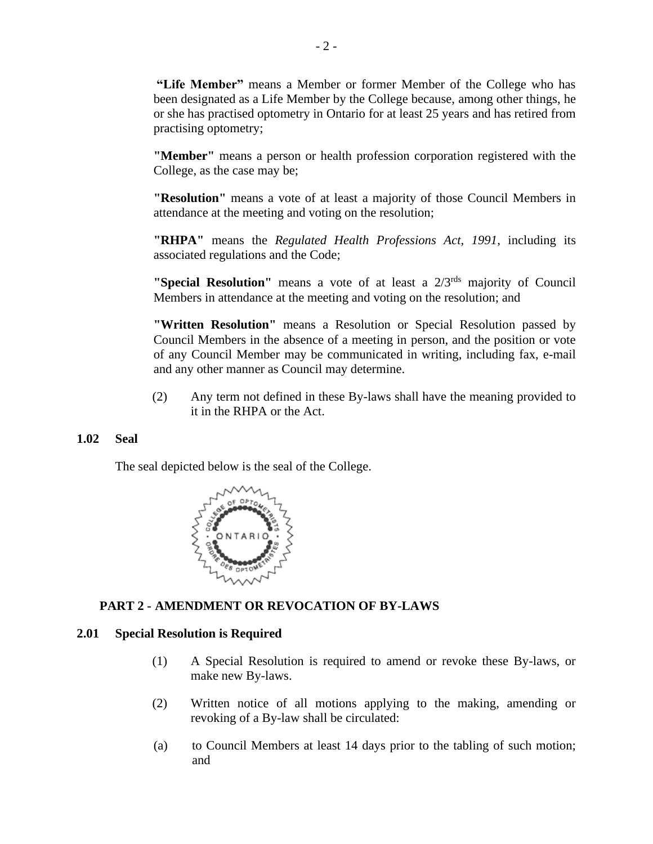**"Life Member"** means a Member or former Member of the College who has been designated as a Life Member by the College because, among other things, he or she has practised optometry in Ontario for at least 25 years and has retired from practising optometry;

**"Member"** means a person or health profession corporation registered with the College, as the case may be;

**"Resolution"** means a vote of at least a majority of those Council Members in attendance at the meeting and voting on the resolution;

**"RHPA"** means the *Regulated Health Professions Act, 1991*, including its associated regulations and the Code;

**"Special Resolution"** means a vote of at least a  $2/3^{rds}$  majority of Council Members in attendance at the meeting and voting on the resolution; and

**"Written Resolution"** means a Resolution or Special Resolution passed by Council Members in the absence of a meeting in person, and the position or vote of any Council Member may be communicated in writing, including fax, e-mail and any other manner as Council may determine.

(2) Any term not defined in these By-laws shall have the meaning provided to it in the RHPA or the Act.

## <span id="page-6-0"></span>**1.02 Seal**

The seal depicted below is the seal of the College.



# <span id="page-6-1"></span>**PART 2 - AMENDMENT OR REVOCATION OF BY-LAWS**

## <span id="page-6-2"></span>**2.01 Special Resolution is Required**

- (1) A Special Resolution is required to amend or revoke these By-laws, or make new By-laws.
- (2) Written notice of all motions applying to the making, amending or revoking of a By-law shall be circulated:
- (a) to Council Members at least 14 days prior to the tabling of such motion; and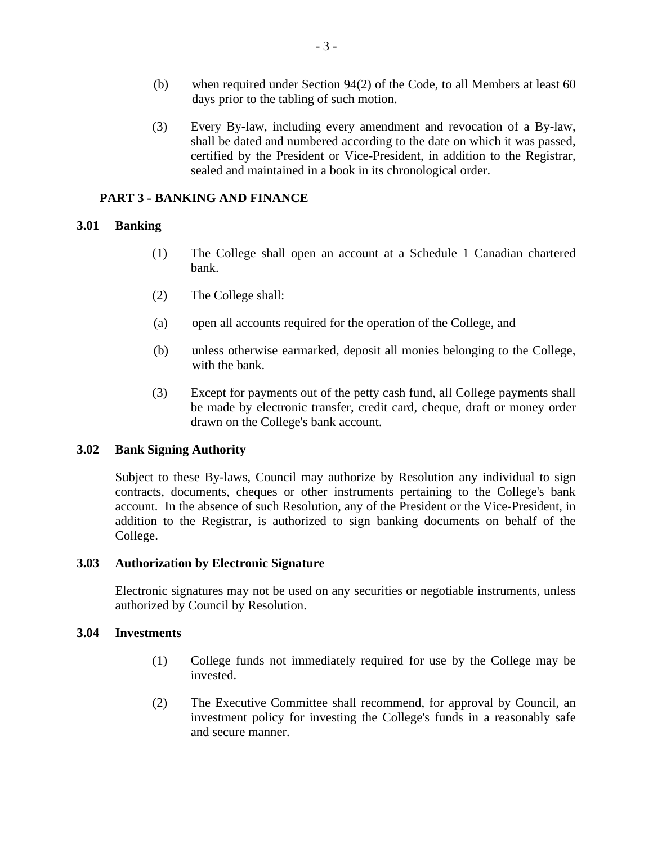- (b) when required under Section 94(2) of the Code, to all Members at least 60 days prior to the tabling of such motion.
- (3) Every By-law, including every amendment and revocation of a By-law, shall be dated and numbered according to the date on which it was passed, certified by the President or Vice-President, in addition to the Registrar, sealed and maintained in a book in its chronological order.

## <span id="page-7-0"></span>**PART 3 - BANKING AND FINANCE**

# <span id="page-7-1"></span>**3.01 Banking**

- (1) The College shall open an account at a Schedule 1 Canadian chartered bank.
- (2) The College shall:
- (a) open all accounts required for the operation of the College, and
- (b) unless otherwise earmarked, deposit all monies belonging to the College, with the bank.
- (3) Except for payments out of the petty cash fund, all College payments shall be made by electronic transfer, credit card, cheque, draft or money order drawn on the College's bank account.

## <span id="page-7-2"></span>**3.02 Bank Signing Authority**

Subject to these By-laws, Council may authorize by Resolution any individual to sign contracts, documents, cheques or other instruments pertaining to the College's bank account. In the absence of such Resolution, any of the President or the Vice-President, in addition to the Registrar, is authorized to sign banking documents on behalf of the College.

## <span id="page-7-3"></span>**3.03 Authorization by Electronic Signature**

Electronic signatures may not be used on any securities or negotiable instruments, unless authorized by Council by Resolution.

## <span id="page-7-4"></span>**3.04 Investments**

- (1) College funds not immediately required for use by the College may be invested.
- (2) The Executive Committee shall recommend, for approval by Council, an investment policy for investing the College's funds in a reasonably safe and secure manner.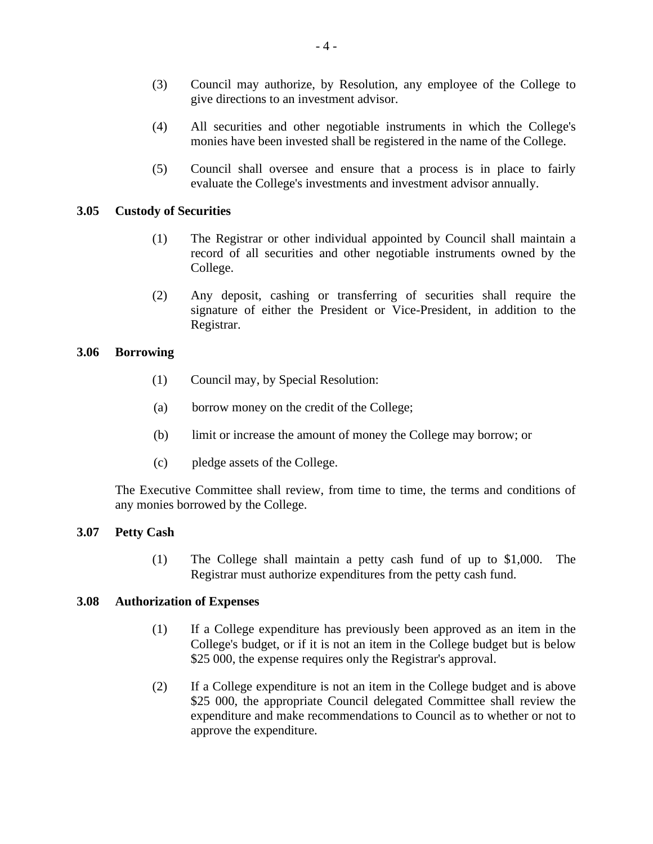- (3) Council may authorize, by Resolution, any employee of the College to give directions to an investment advisor.
- (4) All securities and other negotiable instruments in which the College's monies have been invested shall be registered in the name of the College.
- (5) Council shall oversee and ensure that a process is in place to fairly evaluate the College's investments and investment advisor annually.

## <span id="page-8-0"></span>**3.05 Custody of Securities**

- (1) The Registrar or other individual appointed by Council shall maintain a record of all securities and other negotiable instruments owned by the College.
- (2) Any deposit, cashing or transferring of securities shall require the signature of either the President or Vice-President, in addition to the Registrar.

## <span id="page-8-1"></span>**3.06 Borrowing**

- (1) Council may, by Special Resolution:
- (a) borrow money on the credit of the College;
- (b) limit or increase the amount of money the College may borrow; or
- (c) pledge assets of the College.

The Executive Committee shall review, from time to time, the terms and conditions of any monies borrowed by the College.

## <span id="page-8-2"></span>**3.07 Petty Cash**

(1) The College shall maintain a petty cash fund of up to \$1,000. The Registrar must authorize expenditures from the petty cash fund.

## <span id="page-8-3"></span>**3.08 Authorization of Expenses**

- (1) If a College expenditure has previously been approved as an item in the College's budget, or if it is not an item in the College budget but is below \$25 000, the expense requires only the Registrar's approval.
- (2) If a College expenditure is not an item in the College budget and is above \$25 000, the appropriate Council delegated Committee shall review the expenditure and make recommendations to Council as to whether or not to approve the expenditure.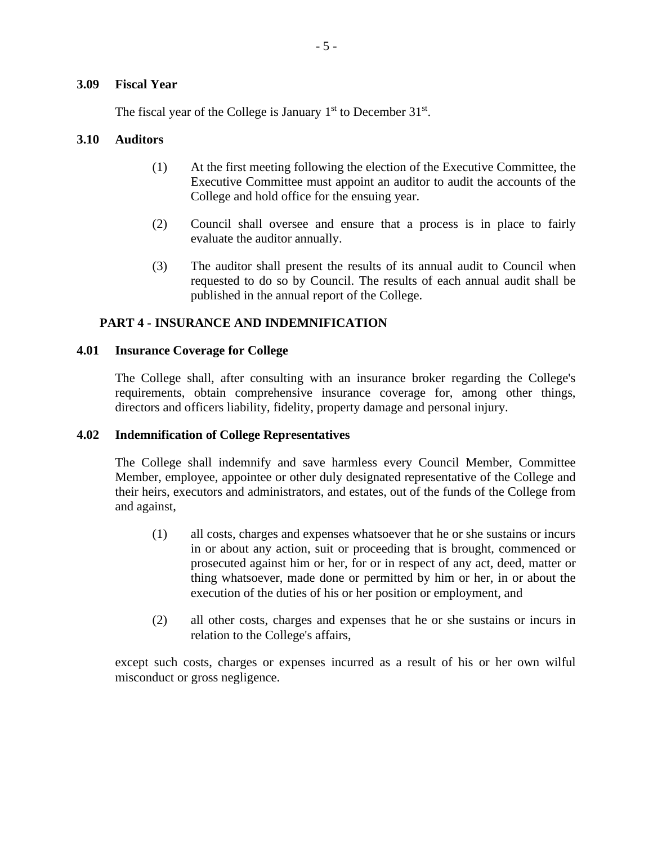## <span id="page-9-0"></span>**3.09 Fiscal Year**

The fiscal year of the College is January  $1<sup>st</sup>$  to December 31 $<sup>st</sup>$ .</sup>

## <span id="page-9-1"></span>**3.10 Auditors**

- (1) At the first meeting following the election of the Executive Committee, the Executive Committee must appoint an auditor to audit the accounts of the College and hold office for the ensuing year.
- (2) Council shall oversee and ensure that a process is in place to fairly evaluate the auditor annually.
- (3) The auditor shall present the results of its annual audit to Council when requested to do so by Council. The results of each annual audit shall be published in the annual report of the College.

## <span id="page-9-2"></span>**PART 4 - INSURANCE AND INDEMNIFICATION**

#### <span id="page-9-3"></span>**4.01 Insurance Coverage for College**

The College shall, after consulting with an insurance broker regarding the College's requirements, obtain comprehensive insurance coverage for, among other things, directors and officers liability, fidelity, property damage and personal injury.

## <span id="page-9-4"></span>**4.02 Indemnification of College Representatives**

The College shall indemnify and save harmless every Council Member, Committee Member, employee, appointee or other duly designated representative of the College and their heirs, executors and administrators, and estates, out of the funds of the College from and against,

- (1) all costs, charges and expenses whatsoever that he or she sustains or incurs in or about any action, suit or proceeding that is brought, commenced or prosecuted against him or her, for or in respect of any act, deed, matter or thing whatsoever, made done or permitted by him or her, in or about the execution of the duties of his or her position or employment, and
- (2) all other costs, charges and expenses that he or she sustains or incurs in relation to the College's affairs,

except such costs, charges or expenses incurred as a result of his or her own wilful misconduct or gross negligence.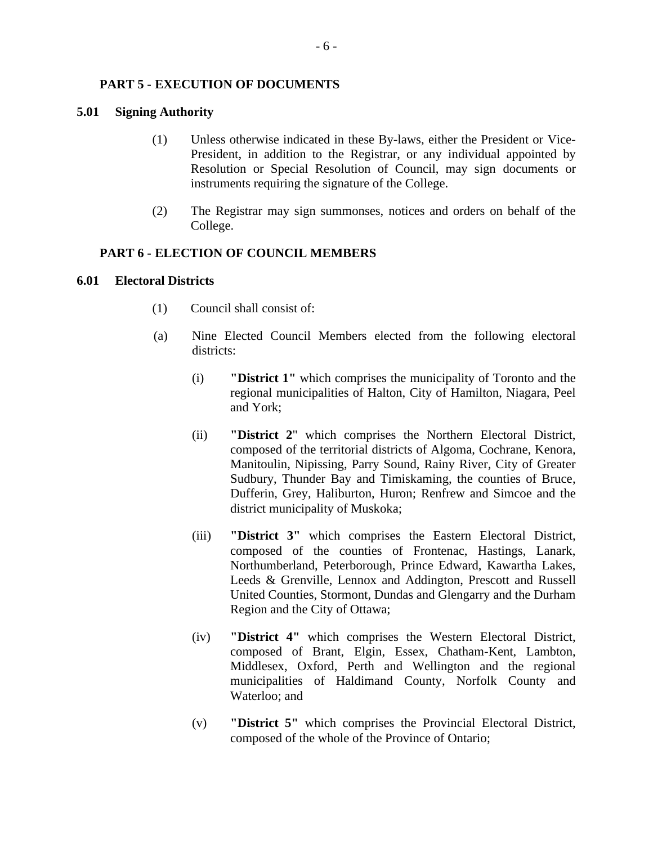## <span id="page-10-0"></span>**PART 5 - EXECUTION OF DOCUMENTS**

## <span id="page-10-1"></span>**5.01 Signing Authority**

- (1) Unless otherwise indicated in these By-laws, either the President or Vice-President, in addition to the Registrar, or any individual appointed by Resolution or Special Resolution of Council, may sign documents or instruments requiring the signature of the College.
- (2) The Registrar may sign summonses, notices and orders on behalf of the College.

## <span id="page-10-2"></span>**PART 6 - ELECTION OF COUNCIL MEMBERS**

## <span id="page-10-3"></span>**6.01 Electoral Districts**

- (1) Council shall consist of:
- (a) Nine Elected Council Members elected from the following electoral districts:
	- (i) **"District 1"** which comprises the municipality of Toronto and the regional municipalities of Halton, City of Hamilton, Niagara, Peel and York;
	- (ii) **"District 2**" which comprises the Northern Electoral District, composed of the territorial districts of Algoma, Cochrane, Kenora, Manitoulin, Nipissing, Parry Sound, Rainy River, City of Greater Sudbury, Thunder Bay and Timiskaming, the counties of Bruce, Dufferin, Grey, Haliburton, Huron; Renfrew and Simcoe and the district municipality of Muskoka;
	- (iii) **"District 3"** which comprises the Eastern Electoral District, composed of the counties of Frontenac, Hastings, Lanark, Northumberland, Peterborough, Prince Edward, Kawartha Lakes, Leeds & Grenville, Lennox and Addington, Prescott and Russell United Counties, Stormont, Dundas and Glengarry and the Durham Region and the City of Ottawa;
	- (iv) **"District 4"** which comprises the Western Electoral District, composed of Brant, Elgin, Essex, Chatham-Kent, Lambton, Middlesex, Oxford, Perth and Wellington and the regional municipalities of Haldimand County, Norfolk County and Waterloo; and
	- (v) **"District 5"** which comprises the Provincial Electoral District, composed of the whole of the Province of Ontario;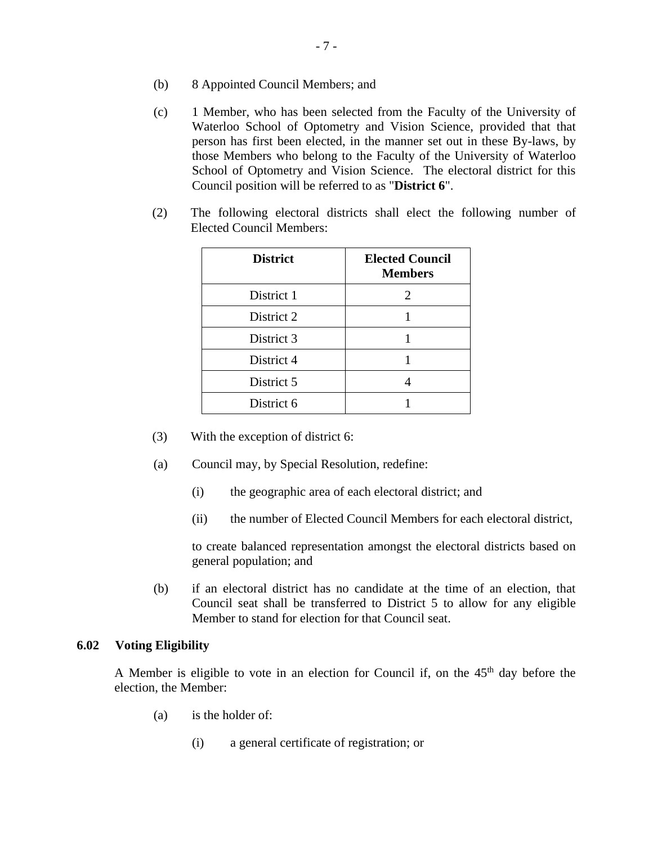- (b) 8 Appointed Council Members; and
- (c) 1 Member, who has been selected from the Faculty of the University of Waterloo School of Optometry and Vision Science, provided that that person has first been elected, in the manner set out in these By-laws, by those Members who belong to the Faculty of the University of Waterloo School of Optometry and Vision Science. The electoral district for this Council position will be referred to as "**District 6**".
- (2) The following electoral districts shall elect the following number of Elected Council Members:

| <b>District</b> | <b>Elected Council</b><br><b>Members</b> |
|-----------------|------------------------------------------|
| District 1      | 2                                        |
| District 2      |                                          |
| District 3      |                                          |
| District 4      |                                          |
| District 5      |                                          |
| District 6      |                                          |

- (3) With the exception of district 6:
- (a) Council may, by Special Resolution, redefine:
	- (i) the geographic area of each electoral district; and
	- (ii) the number of Elected Council Members for each electoral district,

to create balanced representation amongst the electoral districts based on general population; and

(b) if an electoral district has no candidate at the time of an election, that Council seat shall be transferred to District 5 to allow for any eligible Member to stand for election for that Council seat.

#### <span id="page-11-0"></span>**6.02 Voting Eligibility**

A Member is eligible to vote in an election for Council if, on the  $45<sup>th</sup>$  day before the election, the Member:

- (a) is the holder of:
	- (i) a general certificate of registration; or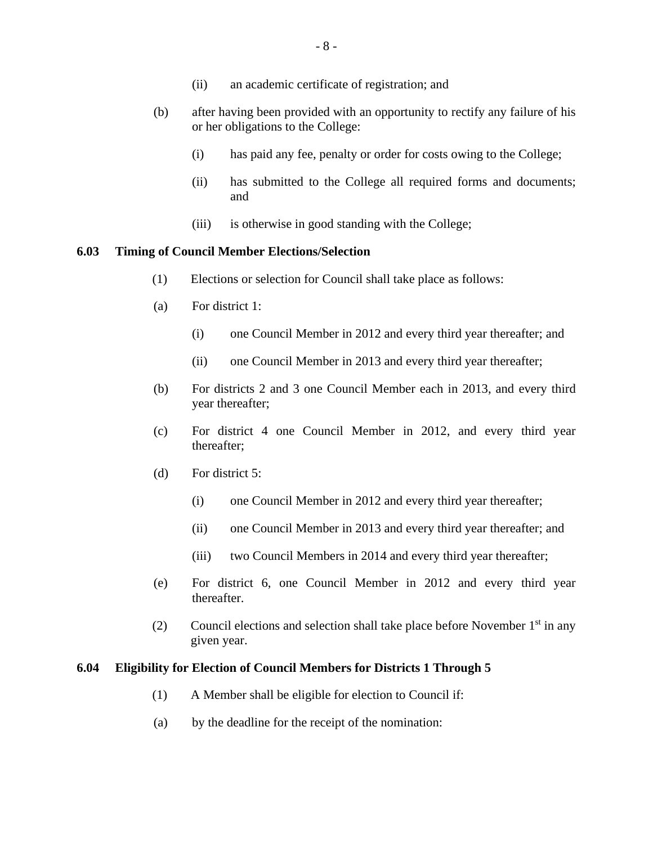- (ii) an academic certificate of registration; and
- (b) after having been provided with an opportunity to rectify any failure of his or her obligations to the College:
	- (i) has paid any fee, penalty or order for costs owing to the College;
	- (ii) has submitted to the College all required forms and documents; and
	- (iii) is otherwise in good standing with the College;

#### <span id="page-12-0"></span>**6.03 Timing of Council Member Elections/Selection**

- (1) Elections or selection for Council shall take place as follows:
- (a) For district 1:
	- (i) one Council Member in 2012 and every third year thereafter; and
	- (ii) one Council Member in 2013 and every third year thereafter;
- (b) For districts 2 and 3 one Council Member each in 2013, and every third year thereafter;
- (c) For district 4 one Council Member in 2012, and every third year thereafter;
- (d) For district 5:
	- (i) one Council Member in 2012 and every third year thereafter;
	- (ii) one Council Member in 2013 and every third year thereafter; and
	- (iii) two Council Members in 2014 and every third year thereafter;
- (e) For district 6, one Council Member in 2012 and every third year thereafter.
- (2) Council elections and selection shall take place before November  $1<sup>st</sup>$  in any given year.

### <span id="page-12-1"></span>**6.04 Eligibility for Election of Council Members for Districts 1 Through 5**

- (1) A Member shall be eligible for election to Council if:
- (a) by the deadline for the receipt of the nomination: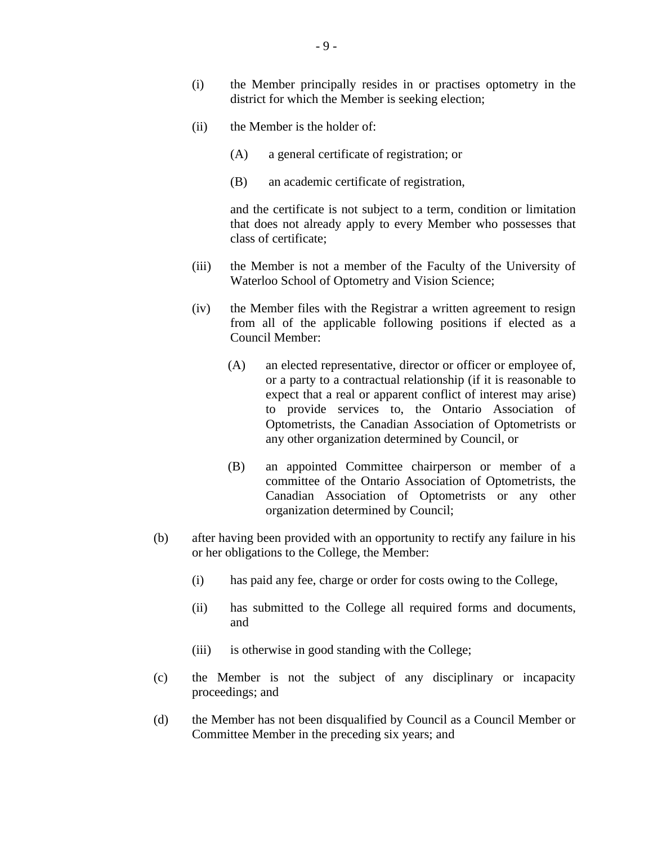- (i) the Member principally resides in or practises optometry in the district for which the Member is seeking election;
- (ii) the Member is the holder of:
	- (A) a general certificate of registration; or
	- (B) an academic certificate of registration,

and the certificate is not subject to a term, condition or limitation that does not already apply to every Member who possesses that class of certificate;

- (iii) the Member is not a member of the Faculty of the University of Waterloo School of Optometry and Vision Science;
- (iv) the Member files with the Registrar a written agreement to resign from all of the applicable following positions if elected as a Council Member:
	- (A) an elected representative, director or officer or employee of, or a party to a contractual relationship (if it is reasonable to expect that a real or apparent conflict of interest may arise) to provide services to, the Ontario Association of Optometrists, the Canadian Association of Optometrists or any other organization determined by Council, or
	- (B) an appointed Committee chairperson or member of a committee of the Ontario Association of Optometrists, the Canadian Association of Optometrists or any other organization determined by Council;
- (b) after having been provided with an opportunity to rectify any failure in his or her obligations to the College, the Member:
	- (i) has paid any fee, charge or order for costs owing to the College,
	- (ii) has submitted to the College all required forms and documents, and
	- (iii) is otherwise in good standing with the College;
- (c) the Member is not the subject of any disciplinary or incapacity proceedings; and
- (d) the Member has not been disqualified by Council as a Council Member or Committee Member in the preceding six years; and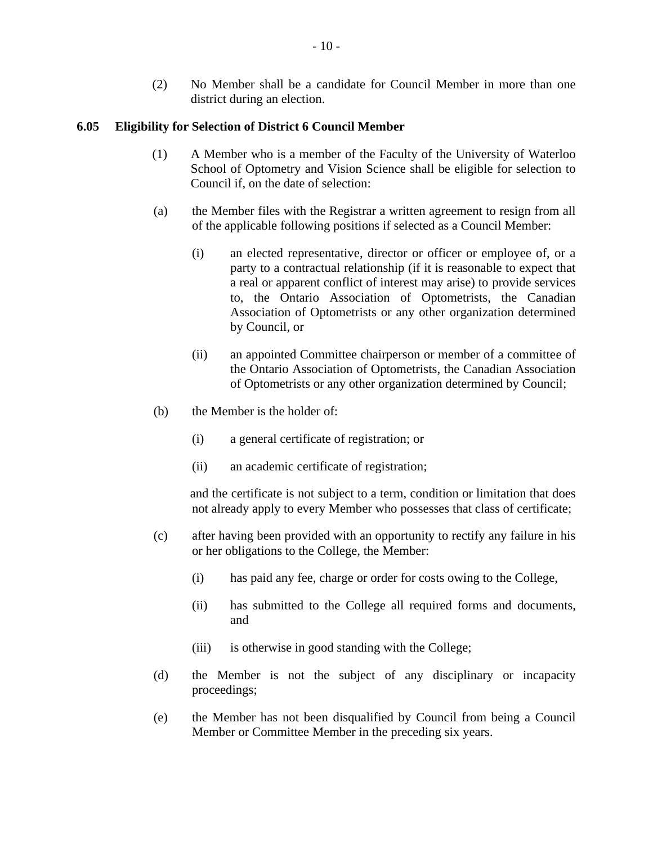(2) No Member shall be a candidate for Council Member in more than one district during an election.

## <span id="page-14-0"></span>**6.05 Eligibility for Selection of District 6 Council Member**

- (1) A Member who is a member of the Faculty of the University of Waterloo School of Optometry and Vision Science shall be eligible for selection to Council if, on the date of selection:
- (a) the Member files with the Registrar a written agreement to resign from all of the applicable following positions if selected as a Council Member:
	- (i) an elected representative, director or officer or employee of, or a party to a contractual relationship (if it is reasonable to expect that a real or apparent conflict of interest may arise) to provide services to, the Ontario Association of Optometrists, the Canadian Association of Optometrists or any other organization determined by Council, or
	- (ii) an appointed Committee chairperson or member of a committee of the Ontario Association of Optometrists, the Canadian Association of Optometrists or any other organization determined by Council;
- (b) the Member is the holder of:
	- (i) a general certificate of registration; or
	- (ii) an academic certificate of registration;

and the certificate is not subject to a term, condition or limitation that does not already apply to every Member who possesses that class of certificate;

- (c) after having been provided with an opportunity to rectify any failure in his or her obligations to the College, the Member:
	- (i) has paid any fee, charge or order for costs owing to the College,
	- (ii) has submitted to the College all required forms and documents, and
	- (iii) is otherwise in good standing with the College;
- (d) the Member is not the subject of any disciplinary or incapacity proceedings;
- (e) the Member has not been disqualified by Council from being a Council Member or Committee Member in the preceding six years.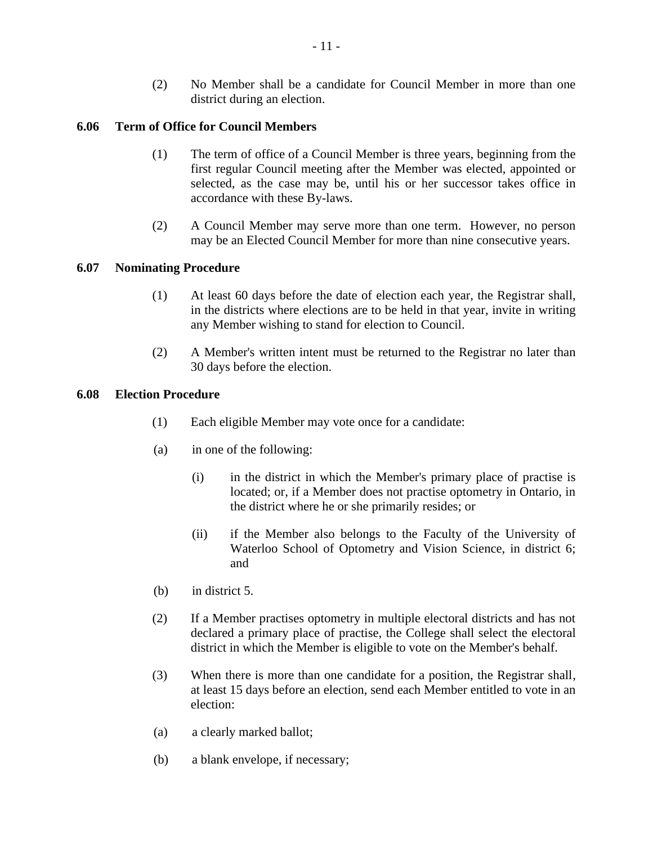(2) No Member shall be a candidate for Council Member in more than one district during an election.

## <span id="page-15-0"></span>**6.06 Term of Office for Council Members**

- (1) The term of office of a Council Member is three years, beginning from the first regular Council meeting after the Member was elected, appointed or selected, as the case may be, until his or her successor takes office in accordance with these By-laws.
- (2) A Council Member may serve more than one term. However, no person may be an Elected Council Member for more than nine consecutive years.

# <span id="page-15-1"></span>**6.07 Nominating Procedure**

- (1) At least 60 days before the date of election each year, the Registrar shall, in the districts where elections are to be held in that year, invite in writing any Member wishing to stand for election to Council.
- (2) A Member's written intent must be returned to the Registrar no later than 30 days before the election.

## <span id="page-15-2"></span>**6.08 Election Procedure**

- (1) Each eligible Member may vote once for a candidate:
- (a) in one of the following:
	- (i) in the district in which the Member's primary place of practise is located; or, if a Member does not practise optometry in Ontario, in the district where he or she primarily resides; or
	- (ii) if the Member also belongs to the Faculty of the University of Waterloo School of Optometry and Vision Science, in district 6; and
- (b) in district 5.
- (2) If a Member practises optometry in multiple electoral districts and has not declared a primary place of practise, the College shall select the electoral district in which the Member is eligible to vote on the Member's behalf.
- (3) When there is more than one candidate for a position, the Registrar shall, at least 15 days before an election, send each Member entitled to vote in an election:
- (a) a clearly marked ballot;
- (b) a blank envelope, if necessary;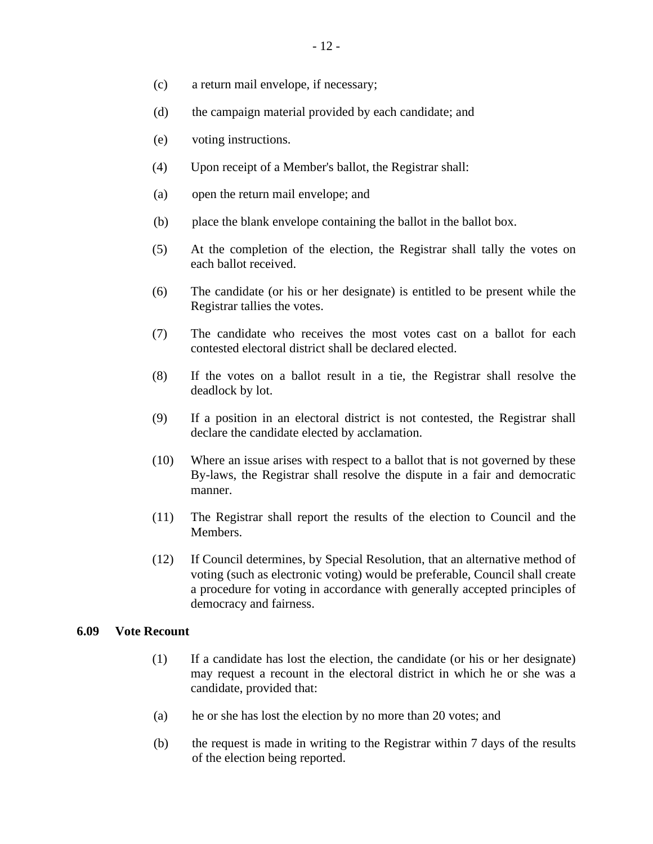- (c) a return mail envelope, if necessary;
- (d) the campaign material provided by each candidate; and
- (e) voting instructions.
- (4) Upon receipt of a Member's ballot, the Registrar shall:
- (a) open the return mail envelope; and
- (b) place the blank envelope containing the ballot in the ballot box.
- (5) At the completion of the election, the Registrar shall tally the votes on each ballot received.
- (6) The candidate (or his or her designate) is entitled to be present while the Registrar tallies the votes.
- (7) The candidate who receives the most votes cast on a ballot for each contested electoral district shall be declared elected.
- (8) If the votes on a ballot result in a tie, the Registrar shall resolve the deadlock by lot.
- (9) If a position in an electoral district is not contested, the Registrar shall declare the candidate elected by acclamation.
- (10) Where an issue arises with respect to a ballot that is not governed by these By-laws, the Registrar shall resolve the dispute in a fair and democratic manner.
- (11) The Registrar shall report the results of the election to Council and the Members.
- (12) If Council determines, by Special Resolution, that an alternative method of voting (such as electronic voting) would be preferable, Council shall create a procedure for voting in accordance with generally accepted principles of democracy and fairness.

#### <span id="page-16-0"></span>**6.09 Vote Recount**

- (1) If a candidate has lost the election, the candidate (or his or her designate) may request a recount in the electoral district in which he or she was a candidate, provided that:
- (a) he or she has lost the election by no more than 20 votes; and
- (b) the request is made in writing to the Registrar within 7 days of the results of the election being reported.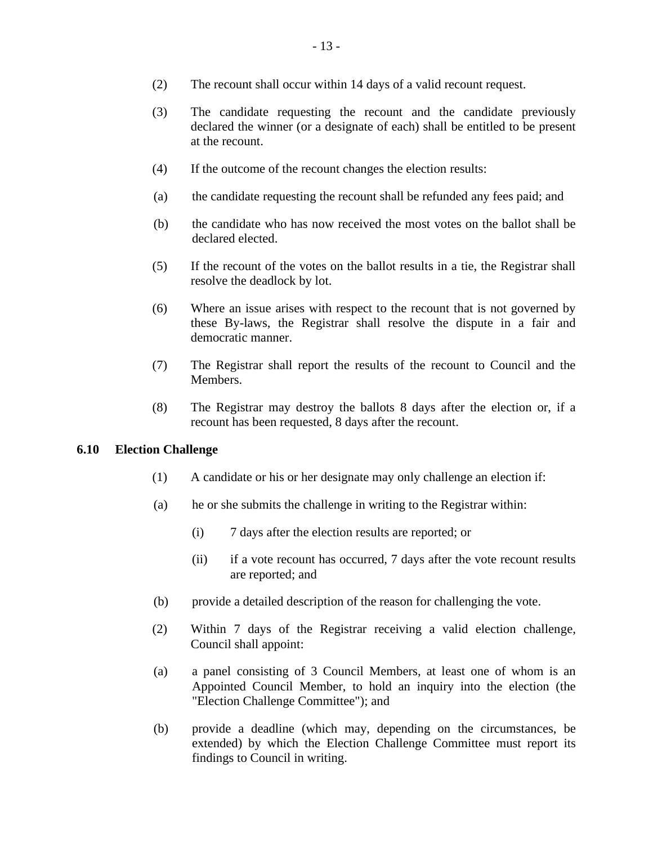- (3) The candidate requesting the recount and the candidate previously declared the winner (or a designate of each) shall be entitled to be present at the recount.
- (4) If the outcome of the recount changes the election results:
- (a) the candidate requesting the recount shall be refunded any fees paid; and
- (b) the candidate who has now received the most votes on the ballot shall be declared elected.
- (5) If the recount of the votes on the ballot results in a tie, the Registrar shall resolve the deadlock by lot.
- (6) Where an issue arises with respect to the recount that is not governed by these By-laws, the Registrar shall resolve the dispute in a fair and democratic manner.
- (7) The Registrar shall report the results of the recount to Council and the Members.
- (8) The Registrar may destroy the ballots 8 days after the election or, if a recount has been requested, 8 days after the recount.

## <span id="page-17-0"></span>**6.10 Election Challenge**

- (1) A candidate or his or her designate may only challenge an election if:
- (a) he or she submits the challenge in writing to the Registrar within:
	- (i) 7 days after the election results are reported; or
	- (ii) if a vote recount has occurred, 7 days after the vote recount results are reported; and
- (b) provide a detailed description of the reason for challenging the vote.
- (2) Within 7 days of the Registrar receiving a valid election challenge, Council shall appoint:
- (a) a panel consisting of 3 Council Members, at least one of whom is an Appointed Council Member, to hold an inquiry into the election (the "Election Challenge Committee"); and
- (b) provide a deadline (which may, depending on the circumstances, be extended) by which the Election Challenge Committee must report its findings to Council in writing.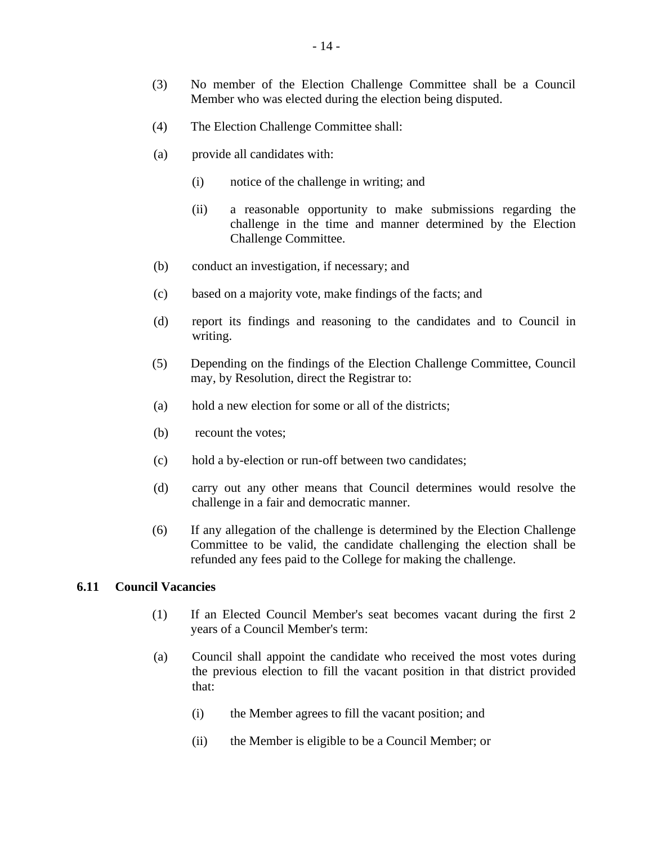- (3) No member of the Election Challenge Committee shall be a Council Member who was elected during the election being disputed.
- (4) The Election Challenge Committee shall:
- (a) provide all candidates with:
	- (i) notice of the challenge in writing; and
	- (ii) a reasonable opportunity to make submissions regarding the challenge in the time and manner determined by the Election Challenge Committee.
- (b) conduct an investigation, if necessary; and
- (c) based on a majority vote, make findings of the facts; and
- (d) report its findings and reasoning to the candidates and to Council in writing.
- (5) Depending on the findings of the Election Challenge Committee, Council may, by Resolution, direct the Registrar to:
- (a) hold a new election for some or all of the districts;
- (b) recount the votes;
- (c) hold a by-election or run-off between two candidates;
- (d) carry out any other means that Council determines would resolve the challenge in a fair and democratic manner.
- (6) If any allegation of the challenge is determined by the Election Challenge Committee to be valid, the candidate challenging the election shall be refunded any fees paid to the College for making the challenge.

#### <span id="page-18-0"></span>**6.11 Council Vacancies**

- (1) If an Elected Council Member's seat becomes vacant during the first 2 years of a Council Member's term:
- (a) Council shall appoint the candidate who received the most votes during the previous election to fill the vacant position in that district provided that:
	- (i) the Member agrees to fill the vacant position; and
	- (ii) the Member is eligible to be a Council Member; or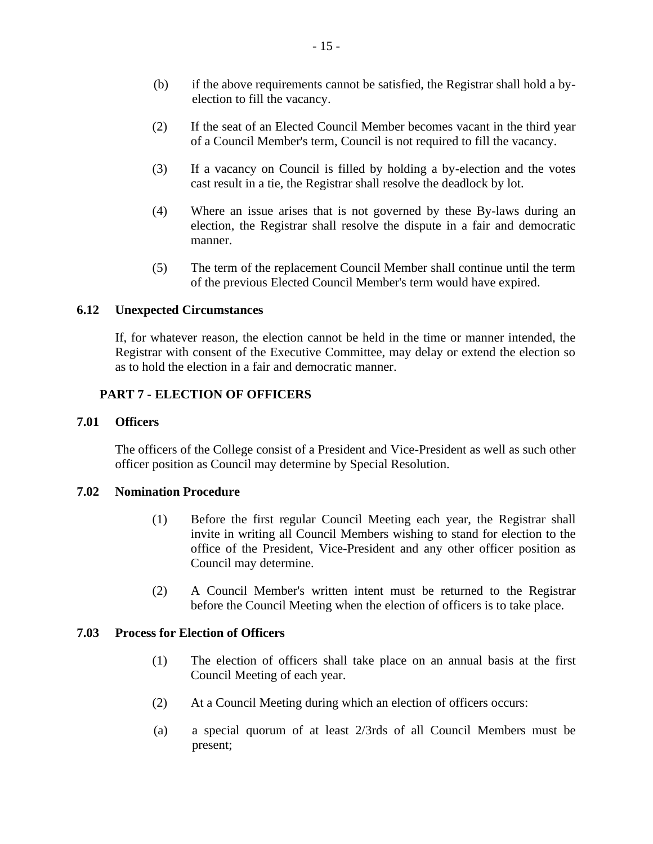- (b) if the above requirements cannot be satisfied, the Registrar shall hold a byelection to fill the vacancy.
- (2) If the seat of an Elected Council Member becomes vacant in the third year of a Council Member's term, Council is not required to fill the vacancy.
- (3) If a vacancy on Council is filled by holding a by-election and the votes cast result in a tie, the Registrar shall resolve the deadlock by lot.
- (4) Where an issue arises that is not governed by these By-laws during an election, the Registrar shall resolve the dispute in a fair and democratic manner.
- (5) The term of the replacement Council Member shall continue until the term of the previous Elected Council Member's term would have expired.

## <span id="page-19-0"></span>**6.12 Unexpected Circumstances**

If, for whatever reason, the election cannot be held in the time or manner intended, the Registrar with consent of the Executive Committee, may delay or extend the election so as to hold the election in a fair and democratic manner.

# <span id="page-19-1"></span>**PART 7 - ELECTION OF OFFICERS**

## <span id="page-19-2"></span>**7.01 Officers**

The officers of the College consist of a President and Vice-President as well as such other officer position as Council may determine by Special Resolution.

## <span id="page-19-3"></span>**7.02 Nomination Procedure**

- (1) Before the first regular Council Meeting each year, the Registrar shall invite in writing all Council Members wishing to stand for election to the office of the President, Vice-President and any other officer position as Council may determine.
- (2) A Council Member's written intent must be returned to the Registrar before the Council Meeting when the election of officers is to take place.

## <span id="page-19-4"></span>**7.03 Process for Election of Officers**

- (1) The election of officers shall take place on an annual basis at the first Council Meeting of each year.
- (2) At a Council Meeting during which an election of officers occurs:
- (a) a special quorum of at least 2/3rds of all Council Members must be present;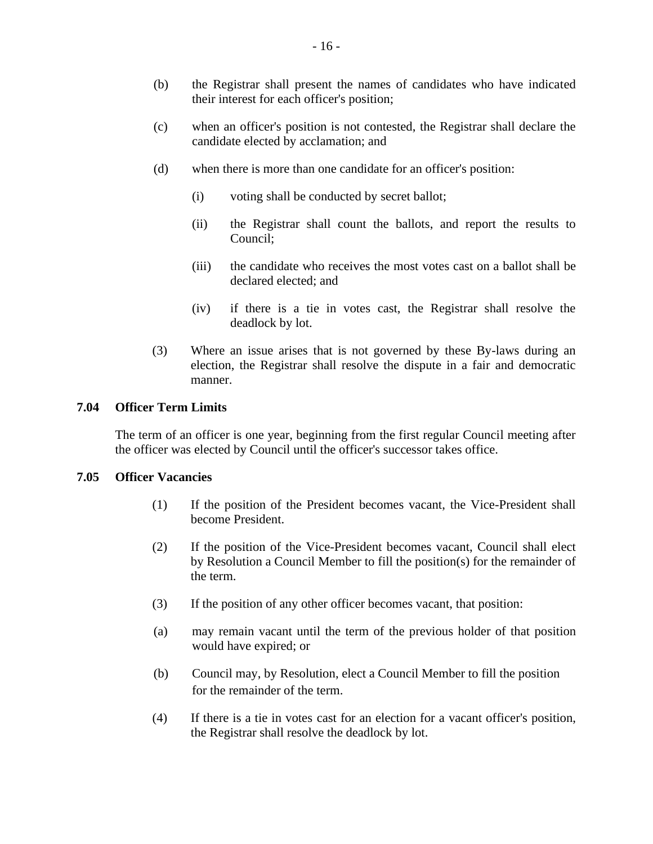- (b) the Registrar shall present the names of candidates who have indicated their interest for each officer's position;
- (c) when an officer's position is not contested, the Registrar shall declare the candidate elected by acclamation; and
- (d) when there is more than one candidate for an officer's position:
	- (i) voting shall be conducted by secret ballot;
	- (ii) the Registrar shall count the ballots, and report the results to Council;
	- (iii) the candidate who receives the most votes cast on a ballot shall be declared elected; and
	- (iv) if there is a tie in votes cast, the Registrar shall resolve the deadlock by lot.
- (3) Where an issue arises that is not governed by these By-laws during an election, the Registrar shall resolve the dispute in a fair and democratic manner.

#### <span id="page-20-0"></span>**7.04 Officer Term Limits**

The term of an officer is one year, beginning from the first regular Council meeting after the officer was elected by Council until the officer's successor takes office.

#### <span id="page-20-1"></span>**7.05 Officer Vacancies**

- (1) If the position of the President becomes vacant, the Vice-President shall become President.
- (2) If the position of the Vice-President becomes vacant, Council shall elect by Resolution a Council Member to fill the position(s) for the remainder of the term.
- (3) If the position of any other officer becomes vacant, that position:
- (a) may remain vacant until the term of the previous holder of that position would have expired; or
- (b) Council may, by Resolution, elect a Council Member to fill the position for the remainder of the term.
- (4) If there is a tie in votes cast for an election for a vacant officer's position, the Registrar shall resolve the deadlock by lot.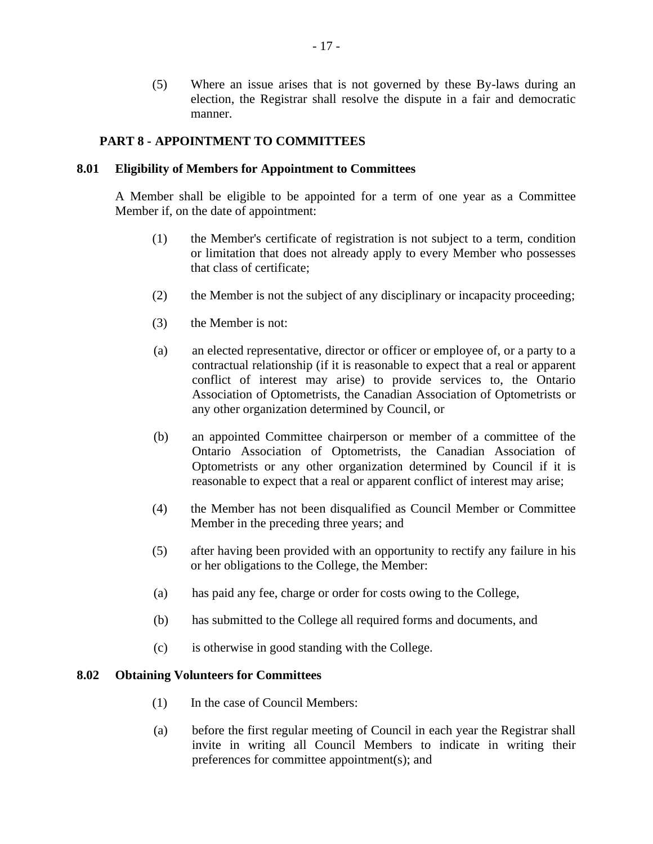(5) Where an issue arises that is not governed by these By-laws during an election, the Registrar shall resolve the dispute in a fair and democratic manner.

## <span id="page-21-0"></span>**PART 8 - APPOINTMENT TO COMMITTEES**

## <span id="page-21-1"></span>**8.01 Eligibility of Members for Appointment to Committees**

A Member shall be eligible to be appointed for a term of one year as a Committee Member if, on the date of appointment:

- (1) the Member's certificate of registration is not subject to a term, condition or limitation that does not already apply to every Member who possesses that class of certificate;
- (2) the Member is not the subject of any disciplinary or incapacity proceeding;
- (3) the Member is not:
- (a) an elected representative, director or officer or employee of, or a party to a contractual relationship (if it is reasonable to expect that a real or apparent conflict of interest may arise) to provide services to, the Ontario Association of Optometrists, the Canadian Association of Optometrists or any other organization determined by Council, or
- (b) an appointed Committee chairperson or member of a committee of the Ontario Association of Optometrists, the Canadian Association of Optometrists or any other organization determined by Council if it is reasonable to expect that a real or apparent conflict of interest may arise;
- (4) the Member has not been disqualified as Council Member or Committee Member in the preceding three years; and
- (5) after having been provided with an opportunity to rectify any failure in his or her obligations to the College, the Member:
- (a) has paid any fee, charge or order for costs owing to the College,
- (b) has submitted to the College all required forms and documents, and
- (c) is otherwise in good standing with the College.

#### <span id="page-21-2"></span>**8.02 Obtaining Volunteers for Committees**

- (1) In the case of Council Members:
- (a) before the first regular meeting of Council in each year the Registrar shall invite in writing all Council Members to indicate in writing their preferences for committee appointment(s); and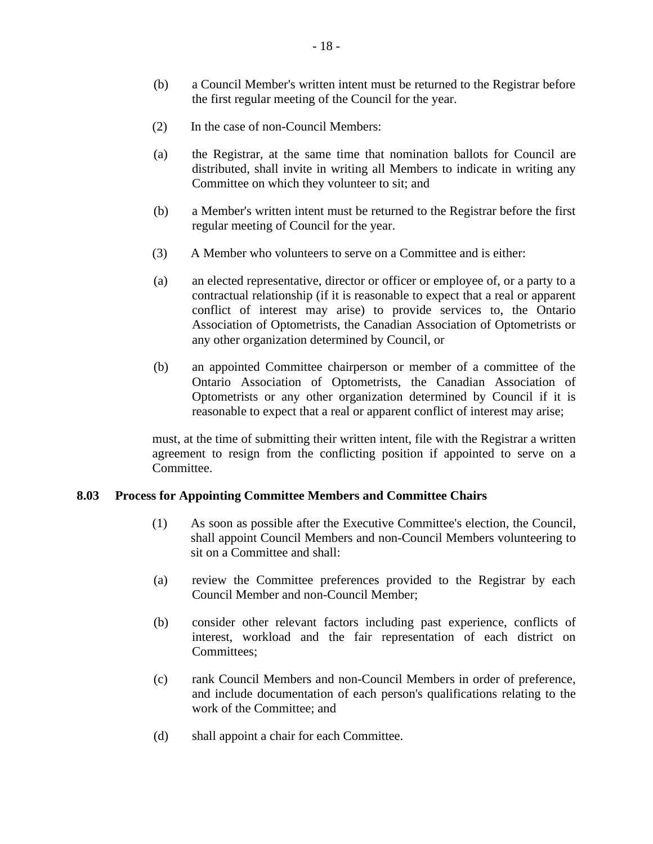- (b) a Council Member's written intent must be returned to the Registrar before the first regular meeting of the Council for the year.
- (2) In the case of non-Council Members:
- (a) the Registrar, at the same time that nomination ballots for Council are distributed, shall invite in writing all Members to indicate in writing any Committee on which they volunteer to sit; and
- (b) a Member's written intent must be returned to the Registrar before the first regular meeting of Council for the year.
- (3) A Member who volunteers to serve on a Committee and is either:
- (a) an elected representative, director or officer or employee of, or a party to a contractual relationship (if it is reasonable to expect that a real or apparent conflict of interest may arise) to provide services to, the Ontario Association of Optometrists, the Canadian Association of Optometrists or any other organization determined by Council, or
- (b) an appointed Committee chairperson or member of a committee of the Ontario Association of Optometrists, the Canadian Association of Optometrists or any other organization determined by Council if it is reasonable to expect that a real or apparent conflict of interest may arise;

must, at the time of submitting their written intent, file with the Registrar a written agreement to resign from the conflicting position if appointed to serve on a Committee.

## <span id="page-22-0"></span>**8.03 Process for Appointing Committee Members and Committee Chairs**

- (1) As soon as possible after the Executive Committee's election, the Council, shall appoint Council Members and non-Council Members volunteering to sit on a Committee and shall:
- (a) review the Committee preferences provided to the Registrar by each Council Member and non-Council Member;
- (b) consider other relevant factors including past experience, conflicts of interest, workload and the fair representation of each district on Committees;
- (c) rank Council Members and non-Council Members in order of preference, and include documentation of each person's qualifications relating to the work of the Committee; and
- (d) shall appoint a chair for each Committee.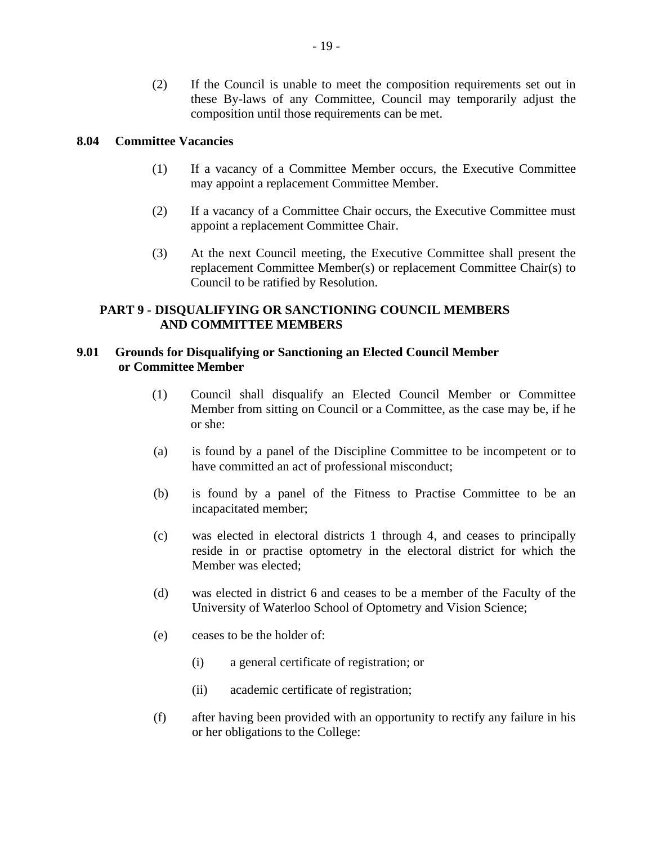(2) If the Council is unable to meet the composition requirements set out in these By-laws of any Committee, Council may temporarily adjust the composition until those requirements can be met.

## <span id="page-23-0"></span>**8.04 Committee Vacancies**

- (1) If a vacancy of a Committee Member occurs, the Executive Committee may appoint a replacement Committee Member.
- (2) If a vacancy of a Committee Chair occurs, the Executive Committee must appoint a replacement Committee Chair.
- (3) At the next Council meeting, the Executive Committee shall present the replacement Committee Member(s) or replacement Committee Chair(s) to Council to be ratified by Resolution.

# <span id="page-23-1"></span>**PART 9 - DISQUALIFYING OR SANCTIONING COUNCIL MEMBERS AND COMMITTEE MEMBERS**

# <span id="page-23-2"></span>**9.01 Grounds for Disqualifying or Sanctioning an Elected Council Member or Committee Member**

- (1) Council shall disqualify an Elected Council Member or Committee Member from sitting on Council or a Committee, as the case may be, if he or she:
- (a) is found by a panel of the Discipline Committee to be incompetent or to have committed an act of professional misconduct;
- (b) is found by a panel of the Fitness to Practise Committee to be an incapacitated member;
- (c) was elected in electoral districts 1 through 4, and ceases to principally reside in or practise optometry in the electoral district for which the Member was elected;
- (d) was elected in district 6 and ceases to be a member of the Faculty of the University of Waterloo School of Optometry and Vision Science;
- (e) ceases to be the holder of:
	- (i) a general certificate of registration; or
	- (ii) academic certificate of registration;
- (f) after having been provided with an opportunity to rectify any failure in his or her obligations to the College: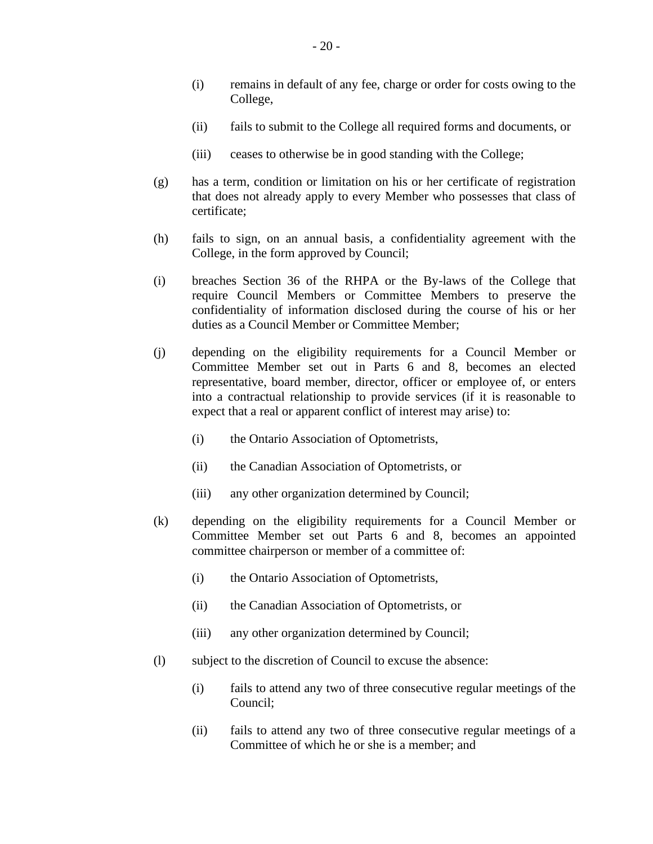- (i) remains in default of any fee, charge or order for costs owing to the College,
- (ii) fails to submit to the College all required forms and documents, or
- (iii) ceases to otherwise be in good standing with the College;
- (g) has a term, condition or limitation on his or her certificate of registration that does not already apply to every Member who possesses that class of certificate;
- (h) fails to sign, on an annual basis, a confidentiality agreement with the College, in the form approved by Council;
- (i) breaches Section 36 of the RHPA or the By-laws of the College that require Council Members or Committee Members to preserve the confidentiality of information disclosed during the course of his or her duties as a Council Member or Committee Member;
- (j) depending on the eligibility requirements for a Council Member or Committee Member set out in Parts 6 and 8, becomes an elected representative, board member, director, officer or employee of, or enters into a contractual relationship to provide services (if it is reasonable to expect that a real or apparent conflict of interest may arise) to:
	- (i) the Ontario Association of Optometrists,
	- (ii) the Canadian Association of Optometrists, or
	- (iii) any other organization determined by Council;
- (k) depending on the eligibility requirements for a Council Member or Committee Member set out Parts 6 and 8, becomes an appointed committee chairperson or member of a committee of:
	- (i) the Ontario Association of Optometrists,
	- (ii) the Canadian Association of Optometrists, or
	- (iii) any other organization determined by Council;
- (l) subject to the discretion of Council to excuse the absence:
	- (i) fails to attend any two of three consecutive regular meetings of the Council;
	- (ii) fails to attend any two of three consecutive regular meetings of a Committee of which he or she is a member; and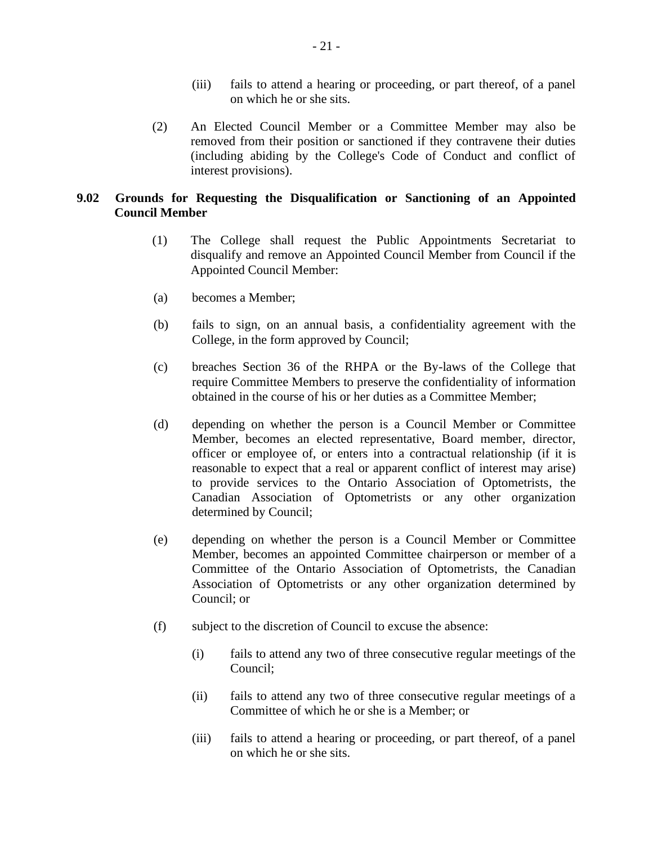- (iii) fails to attend a hearing or proceeding, or part thereof, of a panel on which he or she sits.
- (2) An Elected Council Member or a Committee Member may also be removed from their position or sanctioned if they contravene their duties (including abiding by the College's Code of Conduct and conflict of interest provisions).

# <span id="page-25-0"></span>**9.02 Grounds for Requesting the Disqualification or Sanctioning of an Appointed Council Member**

- (1) The College shall request the Public Appointments Secretariat to disqualify and remove an Appointed Council Member from Council if the Appointed Council Member:
- (a) becomes a Member;
- (b) fails to sign, on an annual basis, a confidentiality agreement with the College, in the form approved by Council;
- (c) breaches Section 36 of the RHPA or the By-laws of the College that require Committee Members to preserve the confidentiality of information obtained in the course of his or her duties as a Committee Member;
- (d) depending on whether the person is a Council Member or Committee Member, becomes an elected representative, Board member, director, officer or employee of, or enters into a contractual relationship (if it is reasonable to expect that a real or apparent conflict of interest may arise) to provide services to the Ontario Association of Optometrists, the Canadian Association of Optometrists or any other organization determined by Council;
- (e) depending on whether the person is a Council Member or Committee Member, becomes an appointed Committee chairperson or member of a Committee of the Ontario Association of Optometrists, the Canadian Association of Optometrists or any other organization determined by Council; or
- (f) subject to the discretion of Council to excuse the absence:
	- (i) fails to attend any two of three consecutive regular meetings of the Council;
	- (ii) fails to attend any two of three consecutive regular meetings of a Committee of which he or she is a Member; or
	- (iii) fails to attend a hearing or proceeding, or part thereof, of a panel on which he or she sits.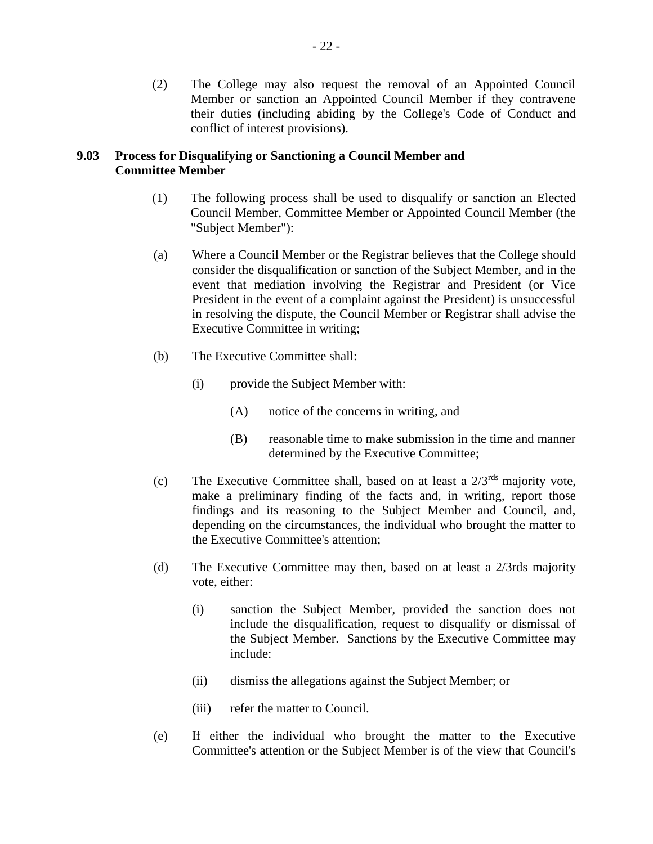(2) The College may also request the removal of an Appointed Council Member or sanction an Appointed Council Member if they contravene their duties (including abiding by the College's Code of Conduct and conflict of interest provisions).

## <span id="page-26-0"></span>**9.03 Process for Disqualifying or Sanctioning a Council Member and Committee Member**

- (1) The following process shall be used to disqualify or sanction an Elected Council Member, Committee Member or Appointed Council Member (the "Subject Member"):
- (a) Where a Council Member or the Registrar believes that the College should consider the disqualification or sanction of the Subject Member, and in the event that mediation involving the Registrar and President (or Vice President in the event of a complaint against the President) is unsuccessful in resolving the dispute, the Council Member or Registrar shall advise the Executive Committee in writing;
- (b) The Executive Committee shall:
	- (i) provide the Subject Member with:
		- (A) notice of the concerns in writing, and
		- (B) reasonable time to make submission in the time and manner determined by the Executive Committee;
- (c) The Executive Committee shall, based on at least a  $2/3^{rds}$  majority vote, make a preliminary finding of the facts and, in writing, report those findings and its reasoning to the Subject Member and Council, and, depending on the circumstances, the individual who brought the matter to the Executive Committee's attention;
- (d) The Executive Committee may then, based on at least a 2/3rds majority vote, either:
	- (i) sanction the Subject Member, provided the sanction does not include the disqualification, request to disqualify or dismissal of the Subject Member. Sanctions by the Executive Committee may include:
	- (ii) dismiss the allegations against the Subject Member; or
	- (iii) refer the matter to Council.
- (e) If either the individual who brought the matter to the Executive Committee's attention or the Subject Member is of the view that Council's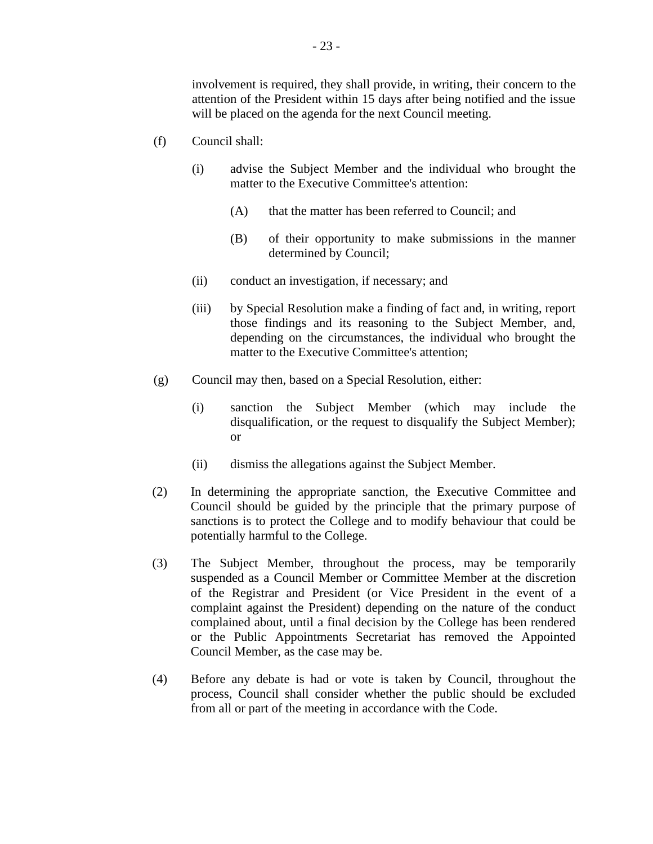involvement is required, they shall provide, in writing, their concern to the attention of the President within 15 days after being notified and the issue will be placed on the agenda for the next Council meeting.

- (f) Council shall:
	- (i) advise the Subject Member and the individual who brought the matter to the Executive Committee's attention:
		- (A) that the matter has been referred to Council; and
		- (B) of their opportunity to make submissions in the manner determined by Council;
	- (ii) conduct an investigation, if necessary; and
	- (iii) by Special Resolution make a finding of fact and, in writing, report those findings and its reasoning to the Subject Member, and, depending on the circumstances, the individual who brought the matter to the Executive Committee's attention;
- (g) Council may then, based on a Special Resolution, either:
	- (i) sanction the Subject Member (which may include the disqualification, or the request to disqualify the Subject Member); or
	- (ii) dismiss the allegations against the Subject Member.
- (2) In determining the appropriate sanction, the Executive Committee and Council should be guided by the principle that the primary purpose of sanctions is to protect the College and to modify behaviour that could be potentially harmful to the College.
- (3) The Subject Member, throughout the process, may be temporarily suspended as a Council Member or Committee Member at the discretion of the Registrar and President (or Vice President in the event of a complaint against the President) depending on the nature of the conduct complained about, until a final decision by the College has been rendered or the Public Appointments Secretariat has removed the Appointed Council Member, as the case may be.
- (4) Before any debate is had or vote is taken by Council, throughout the process, Council shall consider whether the public should be excluded from all or part of the meeting in accordance with the Code.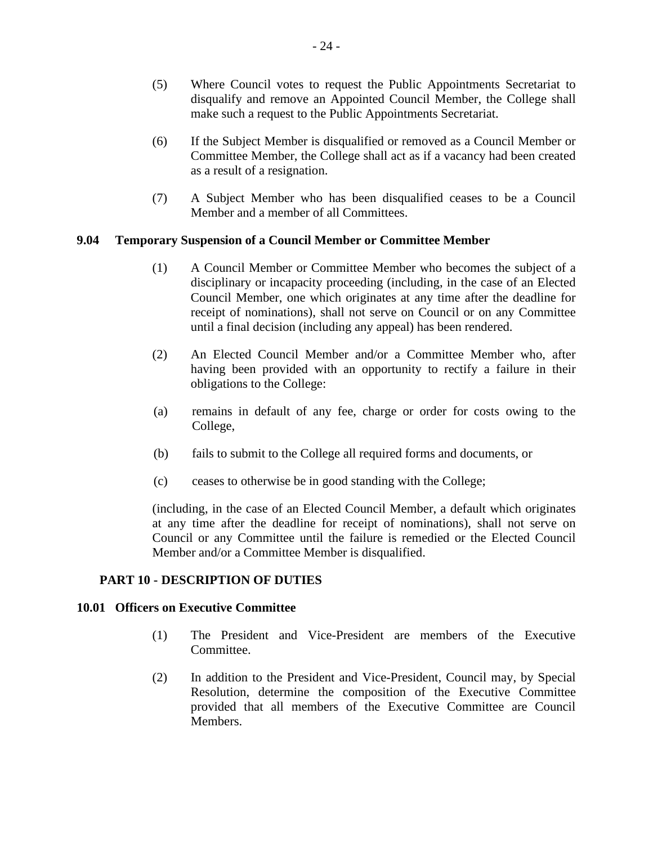- (5) Where Council votes to request the Public Appointments Secretariat to disqualify and remove an Appointed Council Member, the College shall make such a request to the Public Appointments Secretariat.
- (6) If the Subject Member is disqualified or removed as a Council Member or Committee Member, the College shall act as if a vacancy had been created as a result of a resignation.
- (7) A Subject Member who has been disqualified ceases to be a Council Member and a member of all Committees.

# <span id="page-28-0"></span>**9.04 Temporary Suspension of a Council Member or Committee Member**

- (1) A Council Member or Committee Member who becomes the subject of a disciplinary or incapacity proceeding (including, in the case of an Elected Council Member, one which originates at any time after the deadline for receipt of nominations), shall not serve on Council or on any Committee until a final decision (including any appeal) has been rendered.
- (2) An Elected Council Member and/or a Committee Member who, after having been provided with an opportunity to rectify a failure in their obligations to the College:
- (a) remains in default of any fee, charge or order for costs owing to the College,
- (b) fails to submit to the College all required forms and documents, or
- (c) ceases to otherwise be in good standing with the College;

(including, in the case of an Elected Council Member, a default which originates at any time after the deadline for receipt of nominations), shall not serve on Council or any Committee until the failure is remedied or the Elected Council Member and/or a Committee Member is disqualified.

## <span id="page-28-1"></span>**PART 10 - DESCRIPTION OF DUTIES**

#### <span id="page-28-2"></span>**10.01 Officers on Executive Committee**

- (1) The President and Vice-President are members of the Executive Committee.
- (2) In addition to the President and Vice-President, Council may, by Special Resolution, determine the composition of the Executive Committee provided that all members of the Executive Committee are Council Members.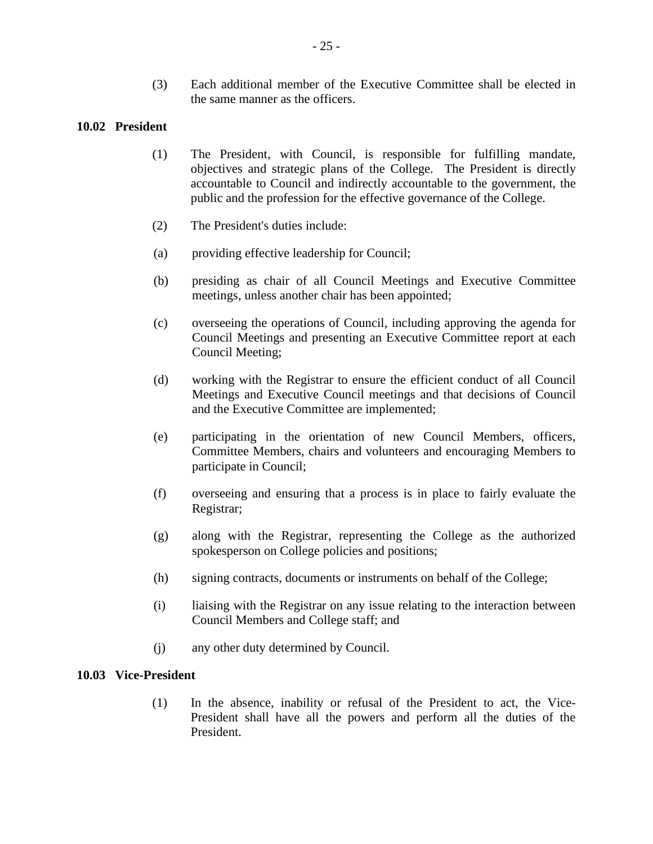(3) Each additional member of the Executive Committee shall be elected in the same manner as the officers.

## <span id="page-29-0"></span>**10.02 President**

- (1) The President, with Council, is responsible for fulfilling mandate, objectives and strategic plans of the College. The President is directly accountable to Council and indirectly accountable to the government, the public and the profession for the effective governance of the College.
- (2) The President's duties include:
- (a) providing effective leadership for Council;
- (b) presiding as chair of all Council Meetings and Executive Committee meetings, unless another chair has been appointed;
- (c) overseeing the operations of Council, including approving the agenda for Council Meetings and presenting an Executive Committee report at each Council Meeting;
- (d) working with the Registrar to ensure the efficient conduct of all Council Meetings and Executive Council meetings and that decisions of Council and the Executive Committee are implemented;
- (e) participating in the orientation of new Council Members, officers, Committee Members, chairs and volunteers and encouraging Members to participate in Council;
- (f) overseeing and ensuring that a process is in place to fairly evaluate the Registrar;
- (g) along with the Registrar, representing the College as the authorized spokesperson on College policies and positions;
- (h) signing contracts, documents or instruments on behalf of the College;
- (i) liaising with the Registrar on any issue relating to the interaction between Council Members and College staff; and
- (j) any other duty determined by Council.

## <span id="page-29-1"></span>**10.03 Vice-President**

(1) In the absence, inability or refusal of the President to act, the Vice-President shall have all the powers and perform all the duties of the President.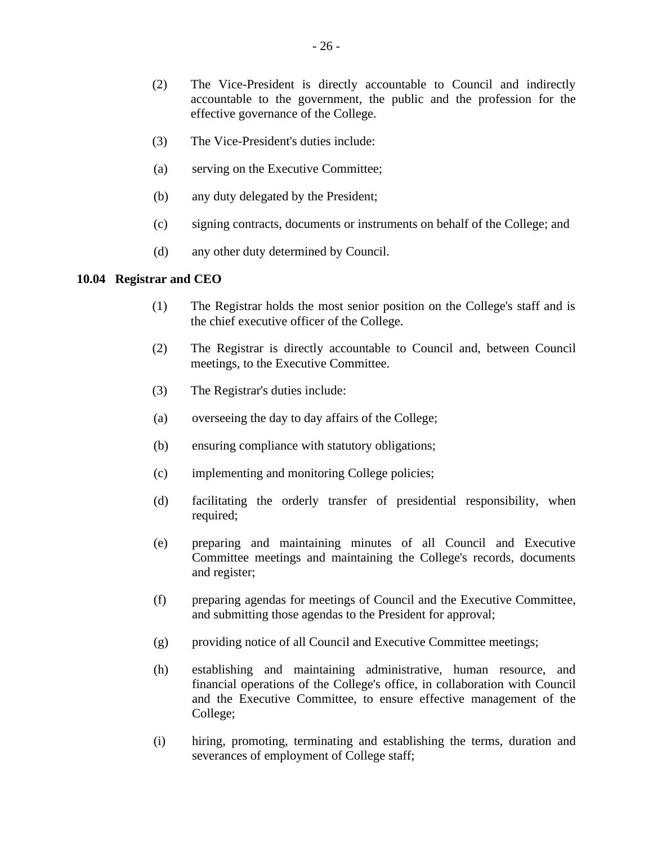- (2) The Vice-President is directly accountable to Council and indirectly accountable to the government, the public and the profession for the effective governance of the College.
- (3) The Vice-President's duties include:
- (a) serving on the Executive Committee;
- (b) any duty delegated by the President;
- (c) signing contracts, documents or instruments on behalf of the College; and
- (d) any other duty determined by Council.

## <span id="page-30-0"></span>**10.04 Registrar and CEO**

- (1) The Registrar holds the most senior position on the College's staff and is the chief executive officer of the College.
- (2) The Registrar is directly accountable to Council and, between Council meetings, to the Executive Committee.
- (3) The Registrar's duties include:
- (a) overseeing the day to day affairs of the College;
- (b) ensuring compliance with statutory obligations;
- (c) implementing and monitoring College policies;
- (d) facilitating the orderly transfer of presidential responsibility, when required;
- (e) preparing and maintaining minutes of all Council and Executive Committee meetings and maintaining the College's records, documents and register;
- (f) preparing agendas for meetings of Council and the Executive Committee, and submitting those agendas to the President for approval;
- (g) providing notice of all Council and Executive Committee meetings;
- (h) establishing and maintaining administrative, human resource, and financial operations of the College's office, in collaboration with Council and the Executive Committee, to ensure effective management of the College;
- (i) hiring, promoting, terminating and establishing the terms, duration and severances of employment of College staff;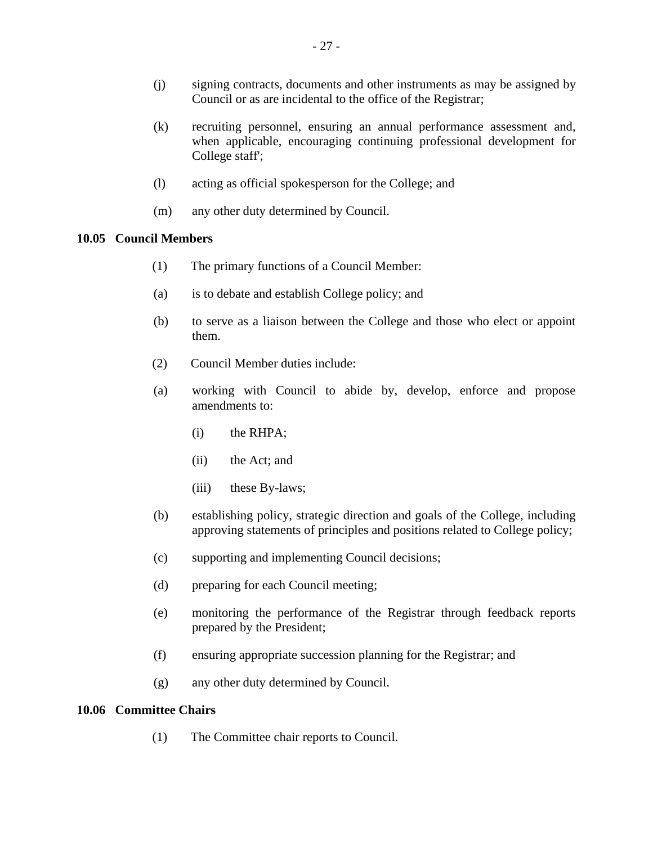- (j) signing contracts, documents and other instruments as may be assigned by Council or as are incidental to the office of the Registrar;
- (k) recruiting personnel, ensuring an annual performance assessment and, when applicable, encouraging continuing professional development for College staff';
- (l) acting as official spokesperson for the College; and
- (m) any other duty determined by Council.

#### <span id="page-31-0"></span>**10.05 Council Members**

- (1) The primary functions of a Council Member:
- (a) is to debate and establish College policy; and
- (b) to serve as a liaison between the College and those who elect or appoint them.
- (2) Council Member duties include:
- (a) working with Council to abide by, develop, enforce and propose amendments to:
	- (i) the RHPA;
	- (ii) the Act; and
	- (iii) these By-laws;
- (b) establishing policy, strategic direction and goals of the College, including approving statements of principles and positions related to College policy;
- (c) supporting and implementing Council decisions;
- (d) preparing for each Council meeting;
- (e) monitoring the performance of the Registrar through feedback reports prepared by the President;
- (f) ensuring appropriate succession planning for the Registrar; and
- (g) any other duty determined by Council.

#### <span id="page-31-1"></span>**10.06 Committee Chairs**

(1) The Committee chair reports to Council.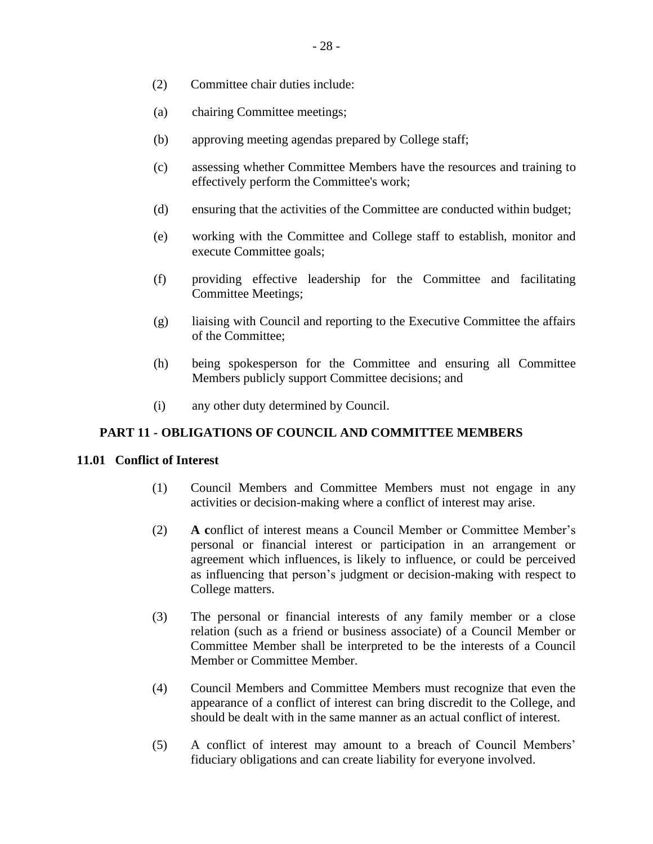- (2) Committee chair duties include:
- (a) chairing Committee meetings;
- (b) approving meeting agendas prepared by College staff;
- (c) assessing whether Committee Members have the resources and training to effectively perform the Committee's work;
- (d) ensuring that the activities of the Committee are conducted within budget;
- (e) working with the Committee and College staff to establish, monitor and execute Committee goals;
- (f) providing effective leadership for the Committee and facilitating Committee Meetings;
- (g) liaising with Council and reporting to the Executive Committee the affairs of the Committee;
- (h) being spokesperson for the Committee and ensuring all Committee Members publicly support Committee decisions; and
- (i) any other duty determined by Council.

## <span id="page-32-0"></span>**PART 11 - OBLIGATIONS OF COUNCIL AND COMMITTEE MEMBERS**

## <span id="page-32-1"></span>**11.01 Conflict of Interest**

- (1) Council Members and Committee Members must not engage in any activities or decision-making where a conflict of interest may arise.
- (2) **A c**onflict of interest means a Council Member or Committee Member's personal or financial interest or participation in an arrangement or agreement which influences, is likely to influence, or could be perceived as influencing that person's judgment or decision-making with respect to College matters.
- (3) The personal or financial interests of any family member or a close relation (such as a friend or business associate) of a Council Member or Committee Member shall be interpreted to be the interests of a Council Member or Committee Member.
- (4) Council Members and Committee Members must recognize that even the appearance of a conflict of interest can bring discredit to the College, and should be dealt with in the same manner as an actual conflict of interest.
- (5) A conflict of interest may amount to a breach of Council Members' fiduciary obligations and can create liability for everyone involved.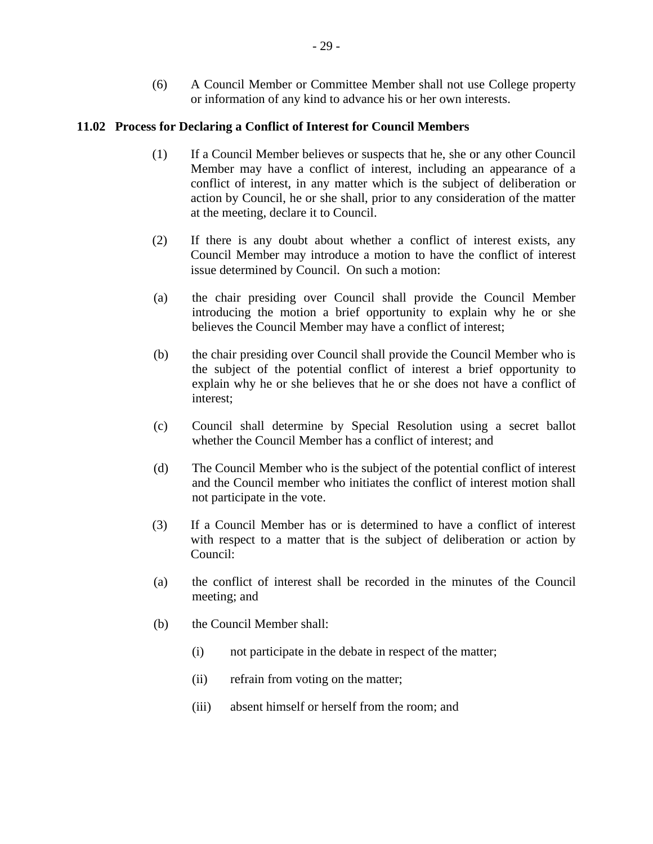(6) A Council Member or Committee Member shall not use College property or information of any kind to advance his or her own interests.

# <span id="page-33-0"></span>**11.02 Process for Declaring a Conflict of Interest for Council Members**

- (1) If a Council Member believes or suspects that he, she or any other Council Member may have a conflict of interest, including an appearance of a conflict of interest, in any matter which is the subject of deliberation or action by Council, he or she shall, prior to any consideration of the matter at the meeting, declare it to Council.
- (2) If there is any doubt about whether a conflict of interest exists, any Council Member may introduce a motion to have the conflict of interest issue determined by Council. On such a motion:
- (a) the chair presiding over Council shall provide the Council Member introducing the motion a brief opportunity to explain why he or she believes the Council Member may have a conflict of interest;
- (b) the chair presiding over Council shall provide the Council Member who is the subject of the potential conflict of interest a brief opportunity to explain why he or she believes that he or she does not have a conflict of interest;
- (c) Council shall determine by Special Resolution using a secret ballot whether the Council Member has a conflict of interest; and
- (d) The Council Member who is the subject of the potential conflict of interest and the Council member who initiates the conflict of interest motion shall not participate in the vote.
- (3) If a Council Member has or is determined to have a conflict of interest with respect to a matter that is the subject of deliberation or action by Council:
- (a) the conflict of interest shall be recorded in the minutes of the Council meeting; and
- (b) the Council Member shall:
	- (i) not participate in the debate in respect of the matter;
	- (ii) refrain from voting on the matter;
	- (iii) absent himself or herself from the room; and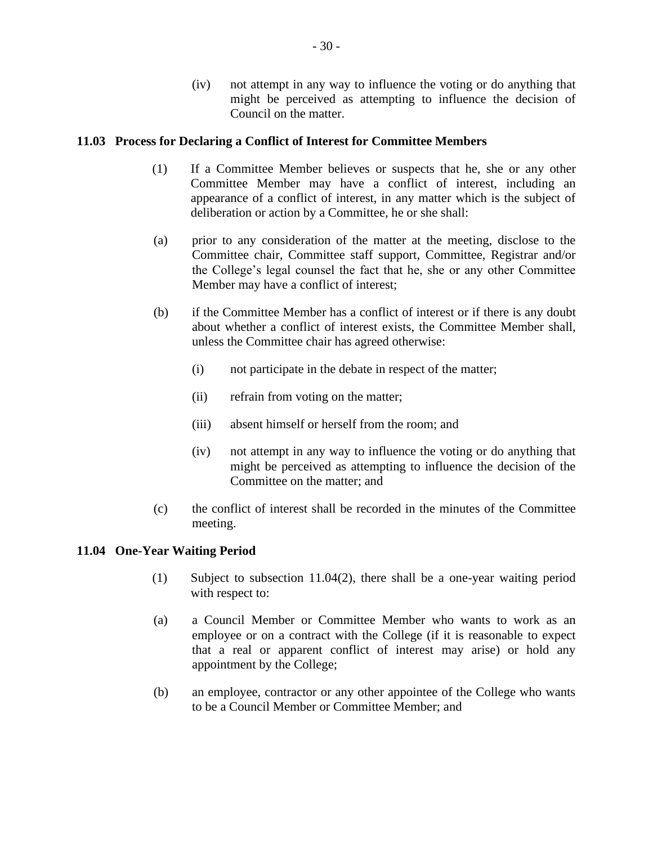(iv) not attempt in any way to influence the voting or do anything that might be perceived as attempting to influence the decision of Council on the matter.

# <span id="page-34-0"></span>**11.03 Process for Declaring a Conflict of Interest for Committee Members**

- (1) If a Committee Member believes or suspects that he, she or any other Committee Member may have a conflict of interest, including an appearance of a conflict of interest, in any matter which is the subject of deliberation or action by a Committee, he or she shall:
- (a) prior to any consideration of the matter at the meeting, disclose to the Committee chair, Committee staff support, Committee, Registrar and/or the College's legal counsel the fact that he, she or any other Committee Member may have a conflict of interest;
- (b) if the Committee Member has a conflict of interest or if there is any doubt about whether a conflict of interest exists, the Committee Member shall, unless the Committee chair has agreed otherwise:
	- (i) not participate in the debate in respect of the matter;
	- (ii) refrain from voting on the matter;
	- (iii) absent himself or herself from the room; and
	- (iv) not attempt in any way to influence the voting or do anything that might be perceived as attempting to influence the decision of the Committee on the matter; and
- (c) the conflict of interest shall be recorded in the minutes of the Committee meeting.

## <span id="page-34-1"></span>**11.04 One-Year Waiting Period**

- (1) Subject to subsection 11.04(2), there shall be a one-year waiting period with respect to:
- (a) a Council Member or Committee Member who wants to work as an employee or on a contract with the College (if it is reasonable to expect that a real or apparent conflict of interest may arise) or hold any appointment by the College;
- (b) an employee, contractor or any other appointee of the College who wants to be a Council Member or Committee Member; and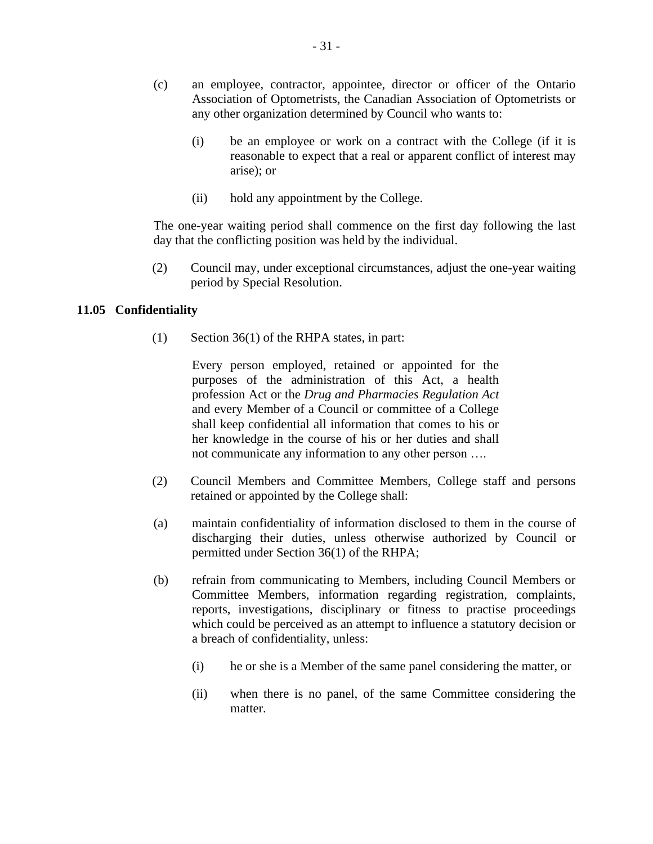- (c) an employee, contractor, appointee, director or officer of the Ontario Association of Optometrists, the Canadian Association of Optometrists or any other organization determined by Council who wants to:
	- (i) be an employee or work on a contract with the College (if it is reasonable to expect that a real or apparent conflict of interest may arise); or
	- (ii) hold any appointment by the College.

The one-year waiting period shall commence on the first day following the last day that the conflicting position was held by the individual.

(2) Council may, under exceptional circumstances, adjust the one-year waiting period by Special Resolution.

## <span id="page-35-0"></span>**11.05 Confidentiality**

(1) Section 36(1) of the RHPA states, in part:

Every person employed, retained or appointed for the purposes of the administration of this Act, a health profession Act or the *Drug and Pharmacies Regulation Act*  and every Member of a Council or committee of a College shall keep confidential all information that comes to his or her knowledge in the course of his or her duties and shall not communicate any information to any other person ….

- (2) Council Members and Committee Members, College staff and persons retained or appointed by the College shall:
- (a) maintain confidentiality of information disclosed to them in the course of discharging their duties, unless otherwise authorized by Council or permitted under Section 36(1) of the RHPA;
- (b) refrain from communicating to Members, including Council Members or Committee Members, information regarding registration, complaints, reports, investigations, disciplinary or fitness to practise proceedings which could be perceived as an attempt to influence a statutory decision or a breach of confidentiality, unless:
	- (i) he or she is a Member of the same panel considering the matter, or
	- (ii) when there is no panel, of the same Committee considering the matter.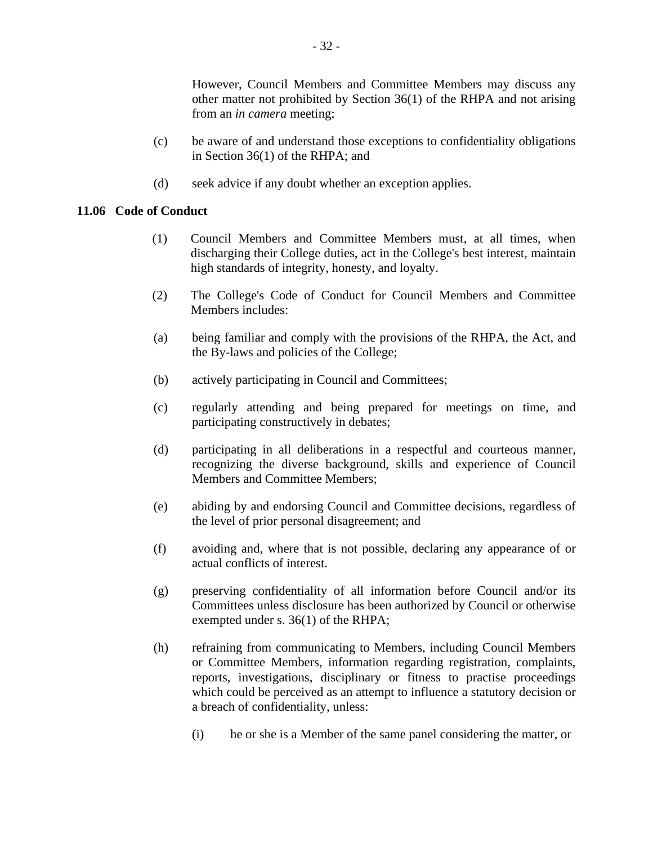However, Council Members and Committee Members may discuss any other matter not prohibited by Section 36(1) of the RHPA and not arising from an *in camera* meeting;

- (c) be aware of and understand those exceptions to confidentiality obligations in Section 36(1) of the RHPA; and
- (d) seek advice if any doubt whether an exception applies.

## **11.06 Code of Conduct**

- (1) Council Members and Committee Members must, at all times, when discharging their College duties, act in the College's best interest, maintain high standards of integrity, honesty, and loyalty.
- (2) The College's Code of Conduct for Council Members and Committee Members includes:
- (a) being familiar and comply with the provisions of the RHPA, the Act, and the By-laws and policies of the College;
- (b) actively participating in Council and Committees;
- (c) regularly attending and being prepared for meetings on time, and participating constructively in debates;
- (d) participating in all deliberations in a respectful and courteous manner, recognizing the diverse background, skills and experience of Council Members and Committee Members;
- (e) abiding by and endorsing Council and Committee decisions, regardless of the level of prior personal disagreement; and
- (f) avoiding and, where that is not possible, declaring any appearance of or actual conflicts of interest.
- (g) preserving confidentiality of all information before Council and/or its Committees unless disclosure has been authorized by Council or otherwise exempted under s. 36(1) of the RHPA;
- (h) refraining from communicating to Members, including Council Members or Committee Members, information regarding registration, complaints, reports, investigations, disciplinary or fitness to practise proceedings which could be perceived as an attempt to influence a statutory decision or a breach of confidentiality, unless:
	- (i) he or she is a Member of the same panel considering the matter, or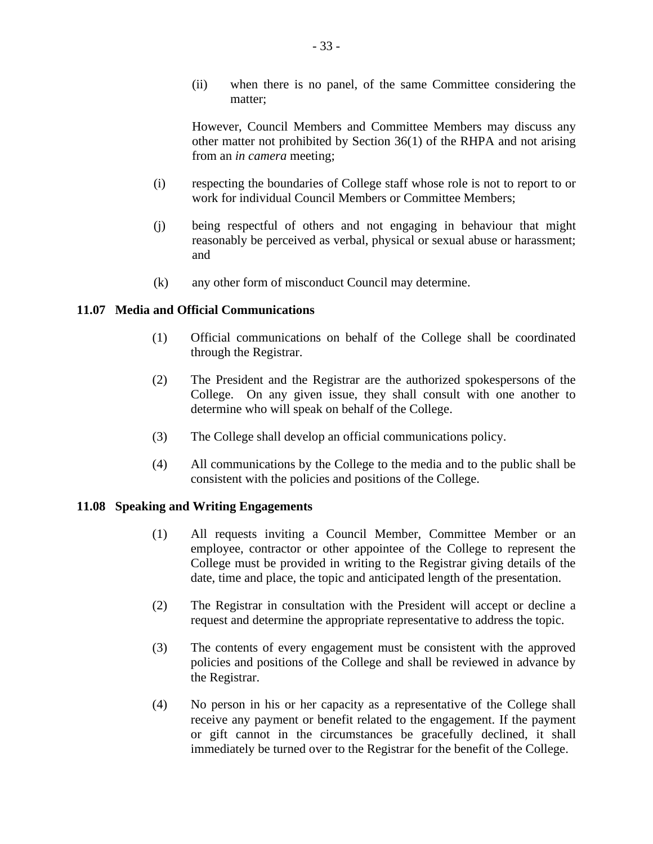(ii) when there is no panel, of the same Committee considering the matter;

However, Council Members and Committee Members may discuss any other matter not prohibited by Section 36(1) of the RHPA and not arising from an *in camera* meeting;

- (i) respecting the boundaries of College staff whose role is not to report to or work for individual Council Members or Committee Members;
- (j) being respectful of others and not engaging in behaviour that might reasonably be perceived as verbal, physical or sexual abuse or harassment; and
- (k) any other form of misconduct Council may determine.

## **11.07 Media and Official Communications**

- (1) Official communications on behalf of the College shall be coordinated through the Registrar.
- (2) The President and the Registrar are the authorized spokespersons of the College. On any given issue, they shall consult with one another to determine who will speak on behalf of the College.
- (3) The College shall develop an official communications policy.
- (4) All communications by the College to the media and to the public shall be consistent with the policies and positions of the College.

## **11.08 Speaking and Writing Engagements**

- (1) All requests inviting a Council Member, Committee Member or an employee, contractor or other appointee of the College to represent the College must be provided in writing to the Registrar giving details of the date, time and place, the topic and anticipated length of the presentation.
- (2) The Registrar in consultation with the President will accept or decline a request and determine the appropriate representative to address the topic.
- (3) The contents of every engagement must be consistent with the approved policies and positions of the College and shall be reviewed in advance by the Registrar.
- (4) No person in his or her capacity as a representative of the College shall receive any payment or benefit related to the engagement. If the payment or gift cannot in the circumstances be gracefully declined, it shall immediately be turned over to the Registrar for the benefit of the College.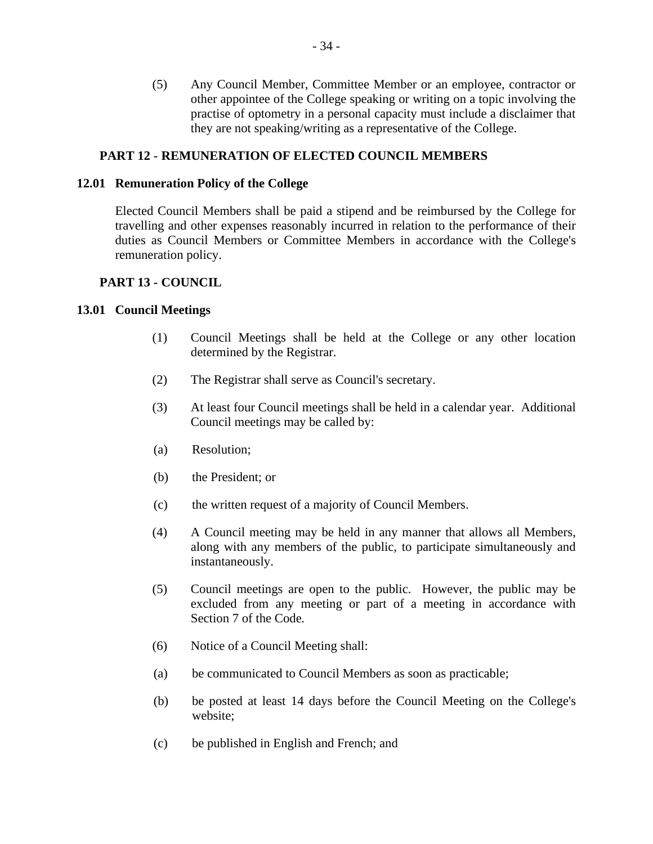(5) Any Council Member, Committee Member or an employee, contractor or other appointee of the College speaking or writing on a topic involving the practise of optometry in a personal capacity must include a disclaimer that they are not speaking/writing as a representative of the College.

## **PART 12 - REMUNERATION OF ELECTED COUNCIL MEMBERS**

#### **12.01 Remuneration Policy of the College**

Elected Council Members shall be paid a stipend and be reimbursed by the College for travelling and other expenses reasonably incurred in relation to the performance of their duties as Council Members or Committee Members in accordance with the College's remuneration policy.

#### **PART 13 - COUNCIL**

#### **13.01 Council Meetings**

- (1) Council Meetings shall be held at the College or any other location determined by the Registrar.
- (2) The Registrar shall serve as Council's secretary.
- (3) At least four Council meetings shall be held in a calendar year. Additional Council meetings may be called by:
- (a) Resolution;
- (b) the President; or
- (c) the written request of a majority of Council Members.
- (4) A Council meeting may be held in any manner that allows all Members, along with any members of the public, to participate simultaneously and instantaneously.
- (5) Council meetings are open to the public. However, the public may be excluded from any meeting or part of a meeting in accordance with Section 7 of the Code*.*
- (6) Notice of a Council Meeting shall:
- (a) be communicated to Council Members as soon as practicable;
- (b) be posted at least 14 days before the Council Meeting on the College's website;
- (c) be published in English and French; and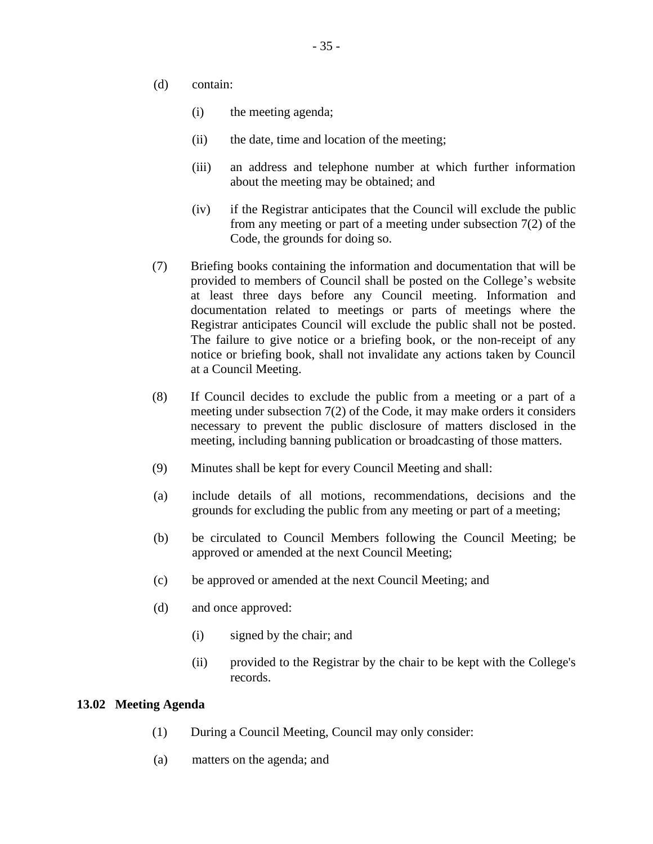- (d) contain:
	- (i) the meeting agenda;
	- (ii) the date, time and location of the meeting;
	- (iii) an address and telephone number at which further information about the meeting may be obtained; and
	- (iv) if the Registrar anticipates that the Council will exclude the public from any meeting or part of a meeting under subsection 7(2) of the Code, the grounds for doing so.
- (7) Briefing books containing the information and documentation that will be provided to members of Council shall be posted on the College's website at least three days before any Council meeting. Information and documentation related to meetings or parts of meetings where the Registrar anticipates Council will exclude the public shall not be posted. The failure to give notice or a briefing book, or the non-receipt of any notice or briefing book, shall not invalidate any actions taken by Council at a Council Meeting.
- (8) If Council decides to exclude the public from a meeting or a part of a meeting under subsection 7(2) of the Code, it may make orders it considers necessary to prevent the public disclosure of matters disclosed in the meeting, including banning publication or broadcasting of those matters.
- (9) Minutes shall be kept for every Council Meeting and shall:
- (a) include details of all motions, recommendations, decisions and the grounds for excluding the public from any meeting or part of a meeting;
- (b) be circulated to Council Members following the Council Meeting; be approved or amended at the next Council Meeting;
- (c) be approved or amended at the next Council Meeting; and
- (d) and once approved:
	- (i) signed by the chair; and
	- (ii) provided to the Registrar by the chair to be kept with the College's records.

#### **13.02 Meeting Agenda**

- (1) During a Council Meeting, Council may only consider:
- (a) matters on the agenda; and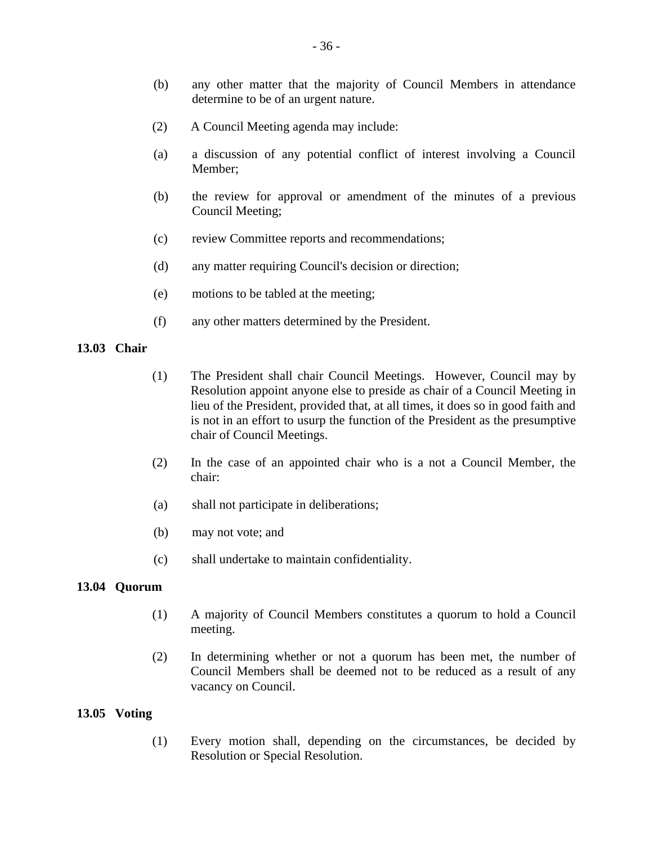- (b) any other matter that the majority of Council Members in attendance determine to be of an urgent nature.
- (2) A Council Meeting agenda may include:
- (a) a discussion of any potential conflict of interest involving a Council Member;
- (b) the review for approval or amendment of the minutes of a previous Council Meeting;
- (c) review Committee reports and recommendations;
- (d) any matter requiring Council's decision or direction;
- (e) motions to be tabled at the meeting;
- (f) any other matters determined by the President.

#### **13.03 Chair**

- (1) The President shall chair Council Meetings. However, Council may by Resolution appoint anyone else to preside as chair of a Council Meeting in lieu of the President, provided that, at all times, it does so in good faith and is not in an effort to usurp the function of the President as the presumptive chair of Council Meetings.
- (2) In the case of an appointed chair who is a not a Council Member, the chair:
- (a) shall not participate in deliberations;
- (b) may not vote; and
- (c) shall undertake to maintain confidentiality.

#### **13.04 Quorum**

- (1) A majority of Council Members constitutes a quorum to hold a Council meeting.
- (2) In determining whether or not a quorum has been met, the number of Council Members shall be deemed not to be reduced as a result of any vacancy on Council.

#### **13.05 Voting**

(1) Every motion shall, depending on the circumstances, be decided by Resolution or Special Resolution.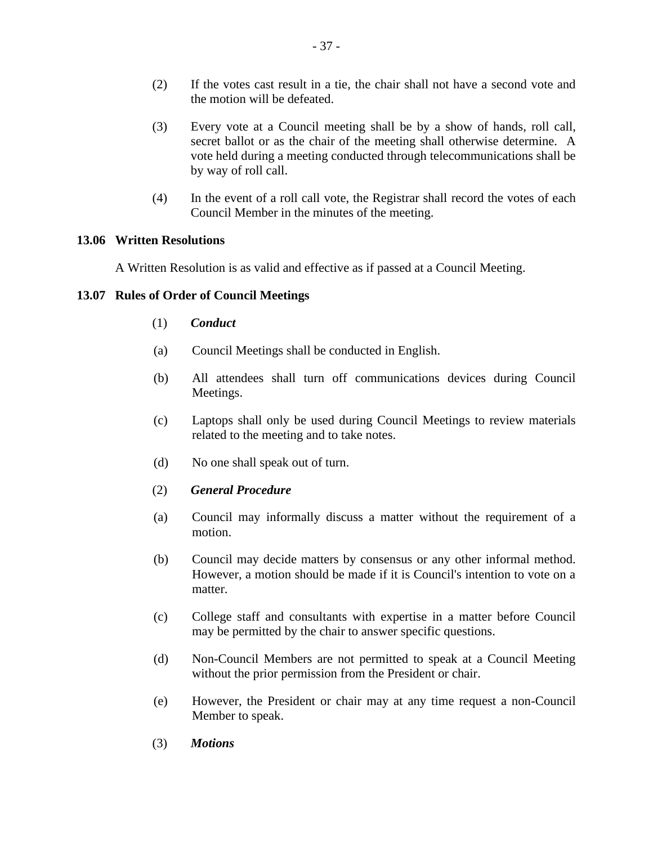- (2) If the votes cast result in a tie, the chair shall not have a second vote and the motion will be defeated.
- (3) Every vote at a Council meeting shall be by a show of hands, roll call, secret ballot or as the chair of the meeting shall otherwise determine. A vote held during a meeting conducted through telecommunications shall be by way of roll call.
- (4) In the event of a roll call vote, the Registrar shall record the votes of each Council Member in the minutes of the meeting.

## **13.06 Written Resolutions**

A Written Resolution is as valid and effective as if passed at a Council Meeting.

## **13.07 Rules of Order of Council Meetings**

- (1) *Conduct*
- (a) Council Meetings shall be conducted in English.
- (b) All attendees shall turn off communications devices during Council Meetings.
- (c) Laptops shall only be used during Council Meetings to review materials related to the meeting and to take notes.
- (d) No one shall speak out of turn.
- (2) *General Procedure*
- (a) Council may informally discuss a matter without the requirement of a motion.
- (b) Council may decide matters by consensus or any other informal method. However, a motion should be made if it is Council's intention to vote on a matter.
- (c) College staff and consultants with expertise in a matter before Council may be permitted by the chair to answer specific questions.
- (d) Non-Council Members are not permitted to speak at a Council Meeting without the prior permission from the President or chair.
- (e) However, the President or chair may at any time request a non-Council Member to speak.
- (3) *Motions*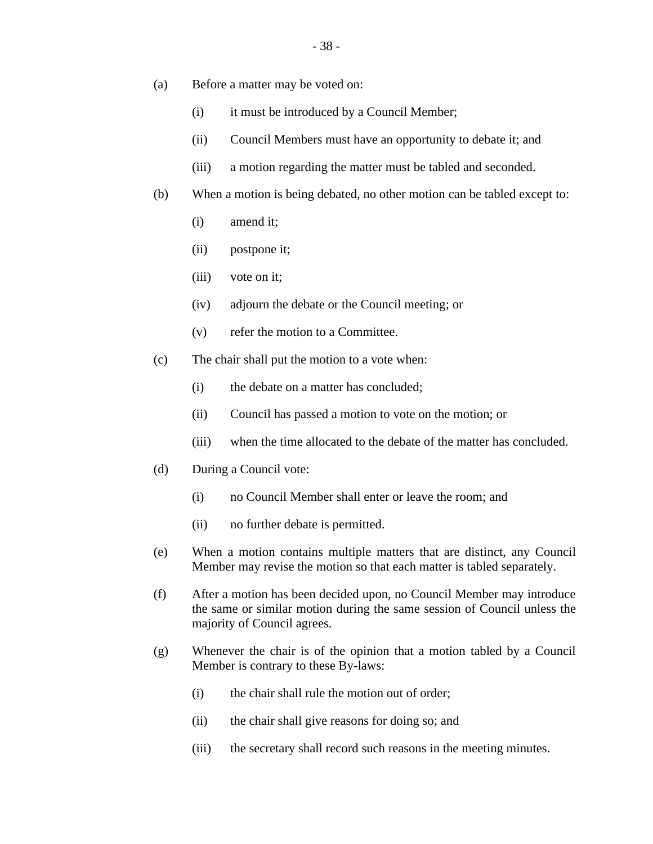- (a) Before a matter may be voted on:
	- (i) it must be introduced by a Council Member;
	- (ii) Council Members must have an opportunity to debate it; and
	- (iii) a motion regarding the matter must be tabled and seconded.
- (b) When a motion is being debated, no other motion can be tabled except to:
	- (i) amend it;
	- (ii) postpone it;
	- (iii) vote on it;
	- (iv) adjourn the debate or the Council meeting; or
	- (v) refer the motion to a Committee.
- (c) The chair shall put the motion to a vote when:
	- (i) the debate on a matter has concluded;
	- (ii) Council has passed a motion to vote on the motion; or
	- (iii) when the time allocated to the debate of the matter has concluded.
- (d) During a Council vote:
	- (i) no Council Member shall enter or leave the room; and
	- (ii) no further debate is permitted.
- (e) When a motion contains multiple matters that are distinct, any Council Member may revise the motion so that each matter is tabled separately.
- (f) After a motion has been decided upon, no Council Member may introduce the same or similar motion during the same session of Council unless the majority of Council agrees.
- (g) Whenever the chair is of the opinion that a motion tabled by a Council Member is contrary to these By-laws:
	- (i) the chair shall rule the motion out of order;
	- (ii) the chair shall give reasons for doing so; and
	- (iii) the secretary shall record such reasons in the meeting minutes.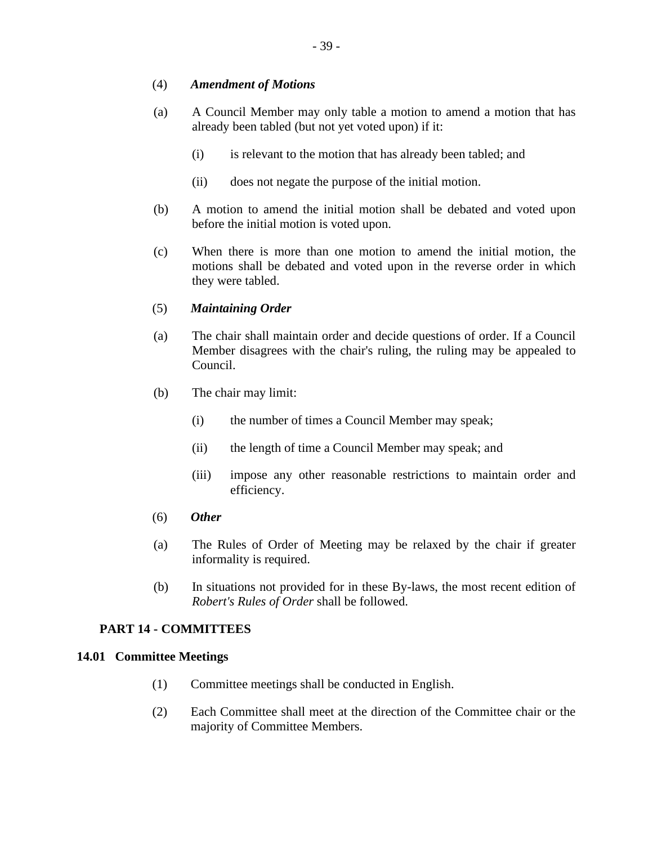## (4) *Amendment of Motions*

- (a) A Council Member may only table a motion to amend a motion that has already been tabled (but not yet voted upon) if it:
	- (i) is relevant to the motion that has already been tabled; and
	- (ii) does not negate the purpose of the initial motion.
- (b) A motion to amend the initial motion shall be debated and voted upon before the initial motion is voted upon.
- (c) When there is more than one motion to amend the initial motion, the motions shall be debated and voted upon in the reverse order in which they were tabled.

## (5) *Maintaining Order*

- (a) The chair shall maintain order and decide questions of order. If a Council Member disagrees with the chair's ruling, the ruling may be appealed to Council.
- (b) The chair may limit:
	- (i) the number of times a Council Member may speak;
	- (ii) the length of time a Council Member may speak; and
	- (iii) impose any other reasonable restrictions to maintain order and efficiency.
- (6) *Other*
- (a) The Rules of Order of Meeting may be relaxed by the chair if greater informality is required.
- (b) In situations not provided for in these By-laws, the most recent edition of *Robert's Rules of Order* shall be followed.

## **PART 14 - COMMITTEES**

## **14.01 Committee Meetings**

- (1) Committee meetings shall be conducted in English.
- (2) Each Committee shall meet at the direction of the Committee chair or the majority of Committee Members.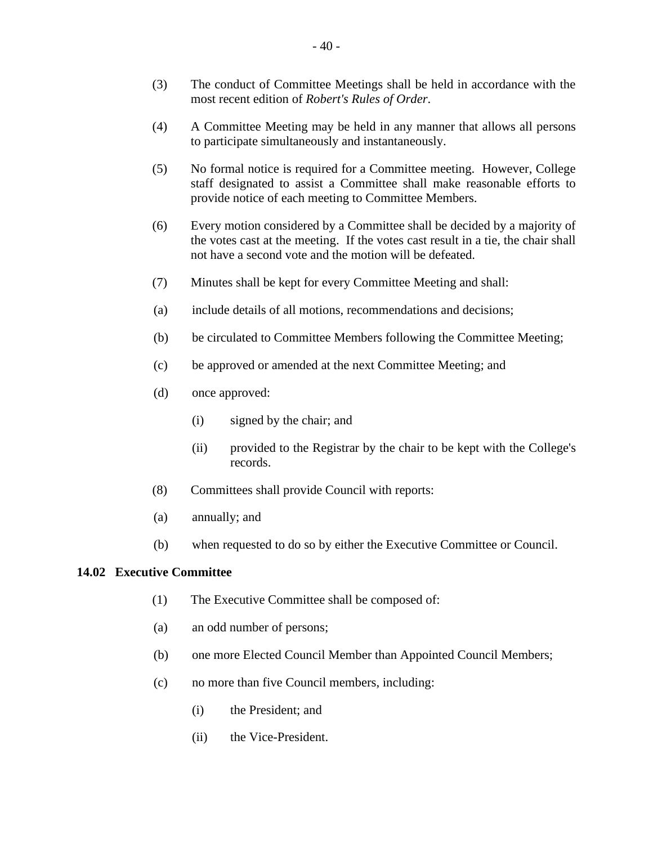- (3) The conduct of Committee Meetings shall be held in accordance with the most recent edition of *Robert's Rules of Order*.
- (4) A Committee Meeting may be held in any manner that allows all persons to participate simultaneously and instantaneously.
- (5) No formal notice is required for a Committee meeting. However, College staff designated to assist a Committee shall make reasonable efforts to provide notice of each meeting to Committee Members.
- (6) Every motion considered by a Committee shall be decided by a majority of the votes cast at the meeting. If the votes cast result in a tie, the chair shall not have a second vote and the motion will be defeated.
- (7) Minutes shall be kept for every Committee Meeting and shall:
- (a) include details of all motions, recommendations and decisions;
- (b) be circulated to Committee Members following the Committee Meeting;
- (c) be approved or amended at the next Committee Meeting; and
- (d) once approved:
	- (i) signed by the chair; and
	- (ii) provided to the Registrar by the chair to be kept with the College's records.
- (8) Committees shall provide Council with reports:
- (a) annually; and
- (b) when requested to do so by either the Executive Committee or Council.

#### **14.02 Executive Committee**

- (1) The Executive Committee shall be composed of:
- (a) an odd number of persons;
- (b) one more Elected Council Member than Appointed Council Members;
- (c) no more than five Council members, including:
	- (i) the President; and
	- (ii) the Vice-President.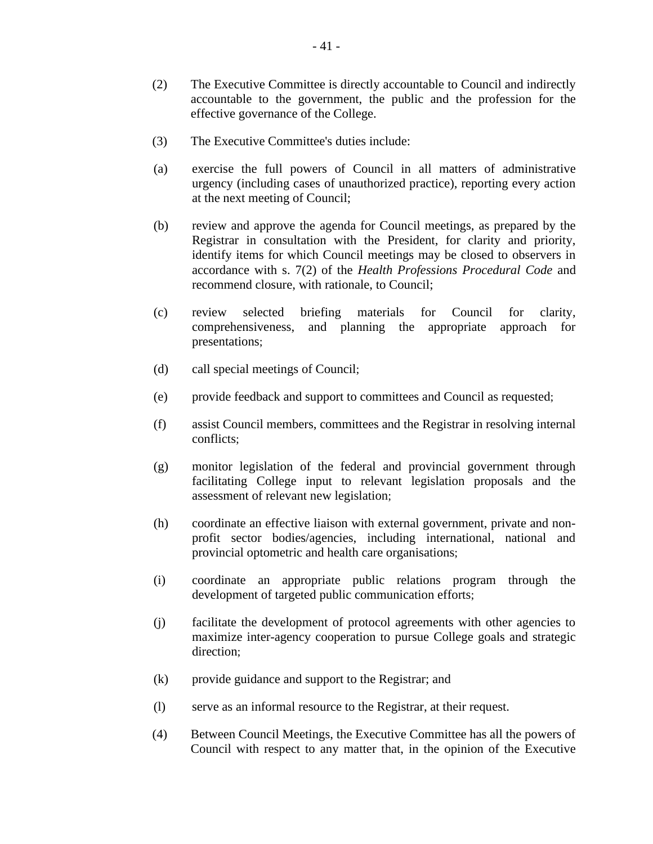- (2) The Executive Committee is directly accountable to Council and indirectly accountable to the government, the public and the profession for the effective governance of the College.
- (3) The Executive Committee's duties include:
- (a) exercise the full powers of Council in all matters of administrative urgency (including cases of unauthorized practice), reporting every action at the next meeting of Council;
- (b) review and approve the agenda for Council meetings, as prepared by the Registrar in consultation with the President, for clarity and priority, identify items for which Council meetings may be closed to observers in accordance with s. 7(2) of the *Health Professions Procedural Code* and recommend closure, with rationale, to Council;
- (c) review selected briefing materials for Council for clarity, comprehensiveness, and planning the appropriate approach for presentations;
- (d) call special meetings of Council;
- (e) provide feedback and support to committees and Council as requested;
- (f) assist Council members, committees and the Registrar in resolving internal conflicts;
- (g) monitor legislation of the federal and provincial government through facilitating College input to relevant legislation proposals and the assessment of relevant new legislation;
- (h) coordinate an effective liaison with external government, private and nonprofit sector bodies/agencies, including international, national and provincial optometric and health care organisations;
- (i) coordinate an appropriate public relations program through the development of targeted public communication efforts;
- (j) facilitate the development of protocol agreements with other agencies to maximize inter-agency cooperation to pursue College goals and strategic direction;
- (k) provide guidance and support to the Registrar; and
- (l) serve as an informal resource to the Registrar, at their request.
- (4) Between Council Meetings, the Executive Committee has all the powers of Council with respect to any matter that, in the opinion of the Executive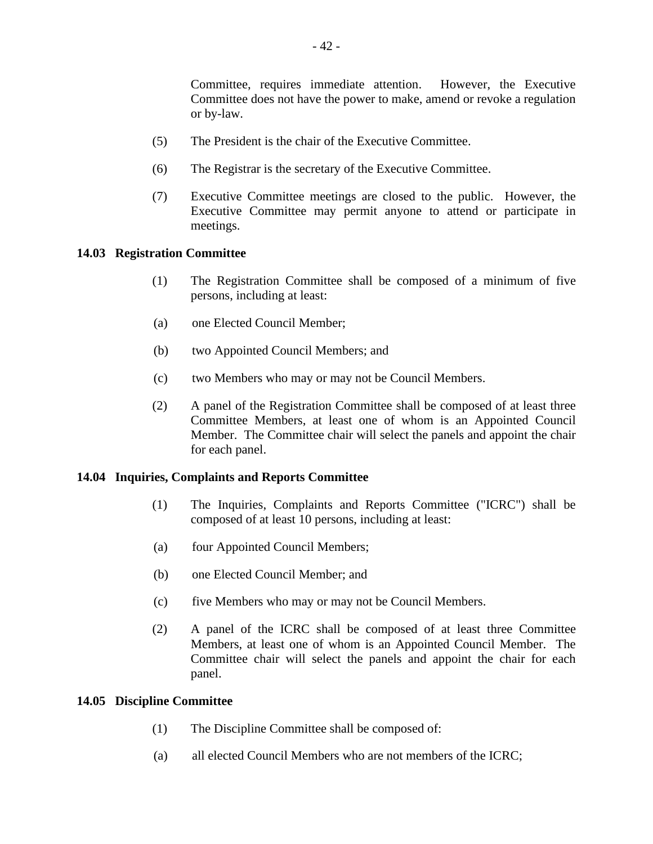Committee, requires immediate attention. However, the Executive Committee does not have the power to make, amend or revoke a regulation or by-law.

- (5) The President is the chair of the Executive Committee.
- (6) The Registrar is the secretary of the Executive Committee.
- (7) Executive Committee meetings are closed to the public. However, the Executive Committee may permit anyone to attend or participate in meetings.

## **14.03 Registration Committee**

- (1) The Registration Committee shall be composed of a minimum of five persons, including at least:
- (a) one Elected Council Member;
- (b) two Appointed Council Members; and
- (c) two Members who may or may not be Council Members.
- (2) A panel of the Registration Committee shall be composed of at least three Committee Members, at least one of whom is an Appointed Council Member. The Committee chair will select the panels and appoint the chair for each panel.

#### **14.04 Inquiries, Complaints and Reports Committee**

- (1) The Inquiries, Complaints and Reports Committee ("ICRC") shall be composed of at least 10 persons, including at least:
- (a) four Appointed Council Members;
- (b) one Elected Council Member; and
- (c) five Members who may or may not be Council Members.
- (2) A panel of the ICRC shall be composed of at least three Committee Members, at least one of whom is an Appointed Council Member. The Committee chair will select the panels and appoint the chair for each panel.

#### **14.05 Discipline Committee**

- (1) The Discipline Committee shall be composed of:
- (a) all elected Council Members who are not members of the ICRC;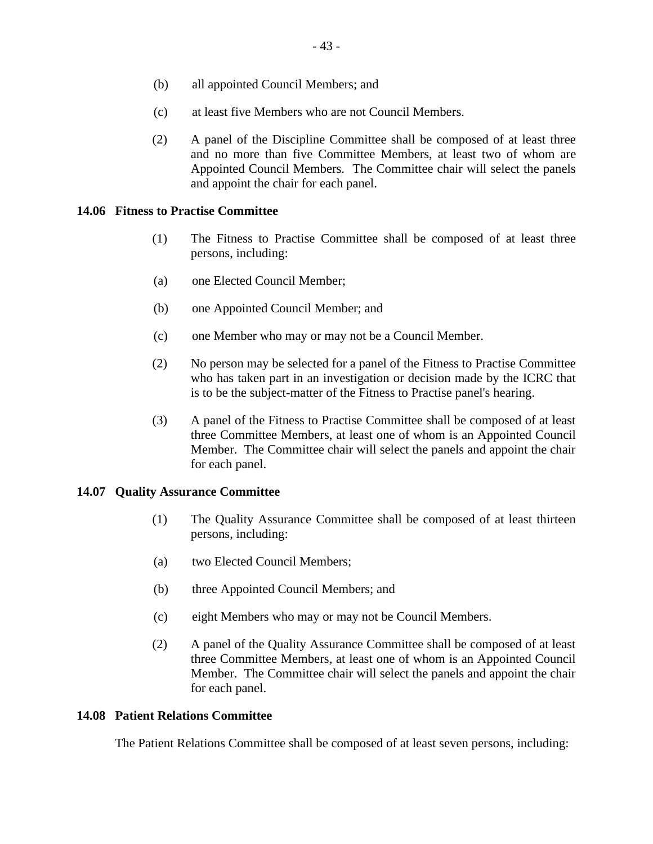- (b) all appointed Council Members; and
- (c) at least five Members who are not Council Members.
- (2) A panel of the Discipline Committee shall be composed of at least three and no more than five Committee Members, at least two of whom are Appointed Council Members. The Committee chair will select the panels and appoint the chair for each panel.

## **14.06 Fitness to Practise Committee**

- (1) The Fitness to Practise Committee shall be composed of at least three persons, including:
- (a) one Elected Council Member;
- (b) one Appointed Council Member; and
- (c) one Member who may or may not be a Council Member.
- (2) No person may be selected for a panel of the Fitness to Practise Committee who has taken part in an investigation or decision made by the ICRC that is to be the subject-matter of the Fitness to Practise panel's hearing.
- (3) A panel of the Fitness to Practise Committee shall be composed of at least three Committee Members, at least one of whom is an Appointed Council Member. The Committee chair will select the panels and appoint the chair for each panel.

## **14.07 Quality Assurance Committee**

- (1) The Quality Assurance Committee shall be composed of at least thirteen persons, including:
- (a) two Elected Council Members;
- (b) three Appointed Council Members; and
- (c) eight Members who may or may not be Council Members.
- (2) A panel of the Quality Assurance Committee shall be composed of at least three Committee Members, at least one of whom is an Appointed Council Member. The Committee chair will select the panels and appoint the chair for each panel.

## **14.08 Patient Relations Committee**

The Patient Relations Committee shall be composed of at least seven persons, including: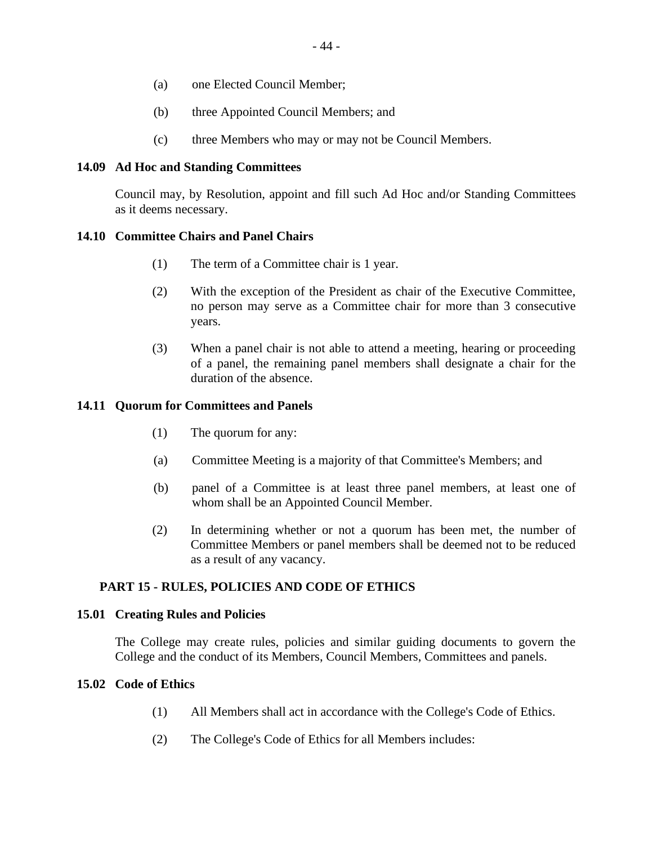- (a) one Elected Council Member;
- (b) three Appointed Council Members; and
- (c) three Members who may or may not be Council Members.

## **14.09 Ad Hoc and Standing Committees**

Council may, by Resolution, appoint and fill such Ad Hoc and/or Standing Committees as it deems necessary.

## **14.10 Committee Chairs and Panel Chairs**

- (1) The term of a Committee chair is 1 year.
- (2) With the exception of the President as chair of the Executive Committee, no person may serve as a Committee chair for more than 3 consecutive years.
- (3) When a panel chair is not able to attend a meeting, hearing or proceeding of a panel, the remaining panel members shall designate a chair for the duration of the absence.

## **14.11 Quorum for Committees and Panels**

- (1) The quorum for any:
- (a) Committee Meeting is a majority of that Committee's Members; and
- (b) panel of a Committee is at least three panel members, at least one of whom shall be an Appointed Council Member.
- (2) In determining whether or not a quorum has been met, the number of Committee Members or panel members shall be deemed not to be reduced as a result of any vacancy.

## **PART 15 - RULES, POLICIES AND CODE OF ETHICS**

## **15.01 Creating Rules and Policies**

The College may create rules, policies and similar guiding documents to govern the College and the conduct of its Members, Council Members, Committees and panels.

## **15.02 Code of Ethics**

- (1) All Members shall act in accordance with the College's Code of Ethics.
- (2) The College's Code of Ethics for all Members includes: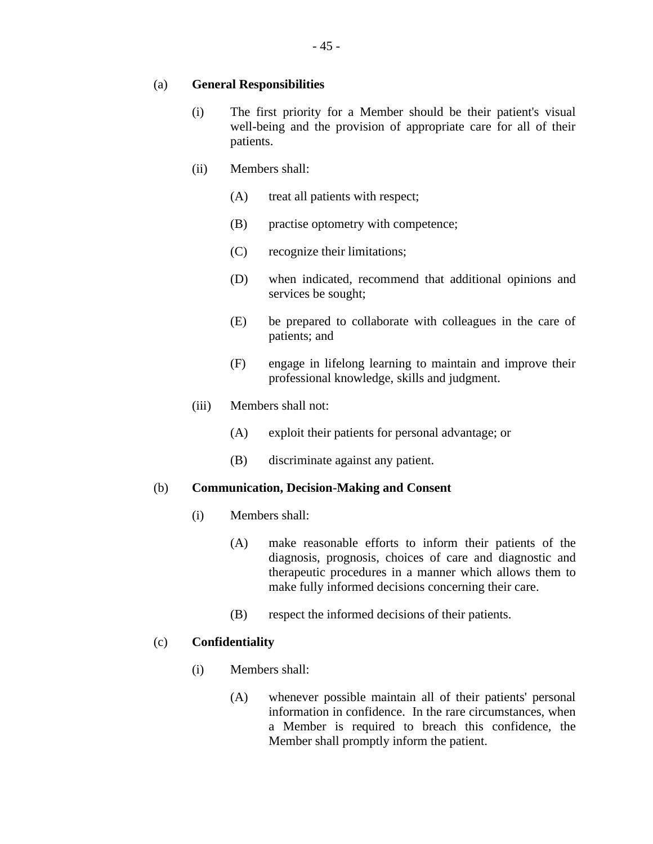## (a) **General Responsibilities**

- (i) The first priority for a Member should be their patient's visual well-being and the provision of appropriate care for all of their patients.
- (ii) Members shall:
	- (A) treat all patients with respect;
	- (B) practise optometry with competence;
	- (C) recognize their limitations;
	- (D) when indicated, recommend that additional opinions and services be sought;
	- (E) be prepared to collaborate with colleagues in the care of patients; and
	- (F) engage in lifelong learning to maintain and improve their professional knowledge, skills and judgment.
- (iii) Members shall not:
	- (A) exploit their patients for personal advantage; or
	- (B) discriminate against any patient.

## (b) **Communication, Decision-Making and Consent**

- (i) Members shall:
	- (A) make reasonable efforts to inform their patients of the diagnosis, prognosis, choices of care and diagnostic and therapeutic procedures in a manner which allows them to make fully informed decisions concerning their care.
	- (B) respect the informed decisions of their patients.

## (c) **Confidentiality**

- (i) Members shall:
	- (A) whenever possible maintain all of their patients' personal information in confidence. In the rare circumstances, when a Member is required to breach this confidence, the Member shall promptly inform the patient.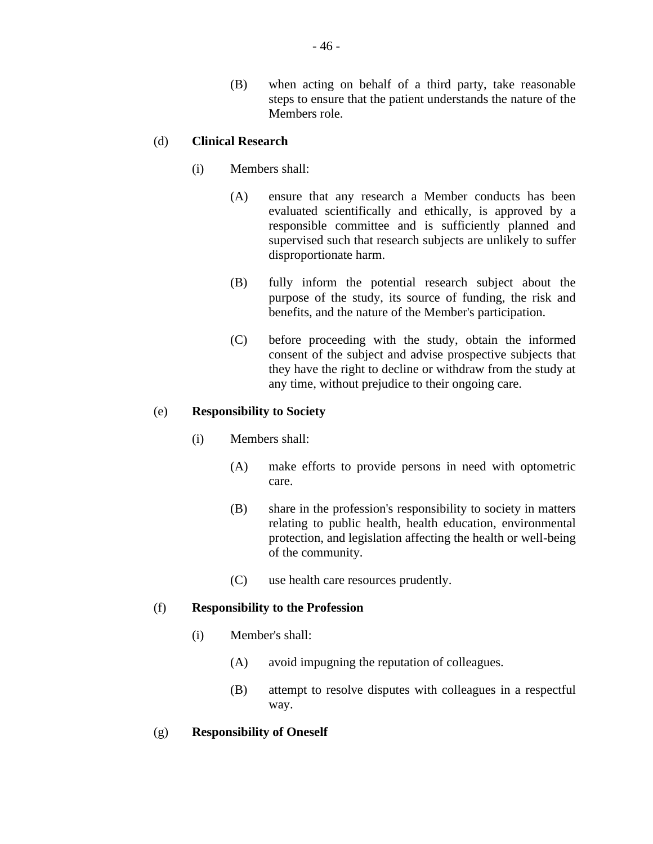(B) when acting on behalf of a third party, take reasonable steps to ensure that the patient understands the nature of the Members role.

## (d) **Clinical Research**

- (i) Members shall:
	- (A) ensure that any research a Member conducts has been evaluated scientifically and ethically, is approved by a responsible committee and is sufficiently planned and supervised such that research subjects are unlikely to suffer disproportionate harm.
	- (B) fully inform the potential research subject about the purpose of the study, its source of funding, the risk and benefits, and the nature of the Member's participation.
	- (C) before proceeding with the study, obtain the informed consent of the subject and advise prospective subjects that they have the right to decline or withdraw from the study at any time, without prejudice to their ongoing care.

## (e) **Responsibility to Society**

- (i) Members shall:
	- (A) make efforts to provide persons in need with optometric care.
	- (B) share in the profession's responsibility to society in matters relating to public health, health education, environmental protection, and legislation affecting the health or well-being of the community.
	- (C) use health care resources prudently.

## (f) **Responsibility to the Profession**

- (i) Member's shall:
	- (A) avoid impugning the reputation of colleagues.
	- (B) attempt to resolve disputes with colleagues in a respectful way.

## (g) **Responsibility of Oneself**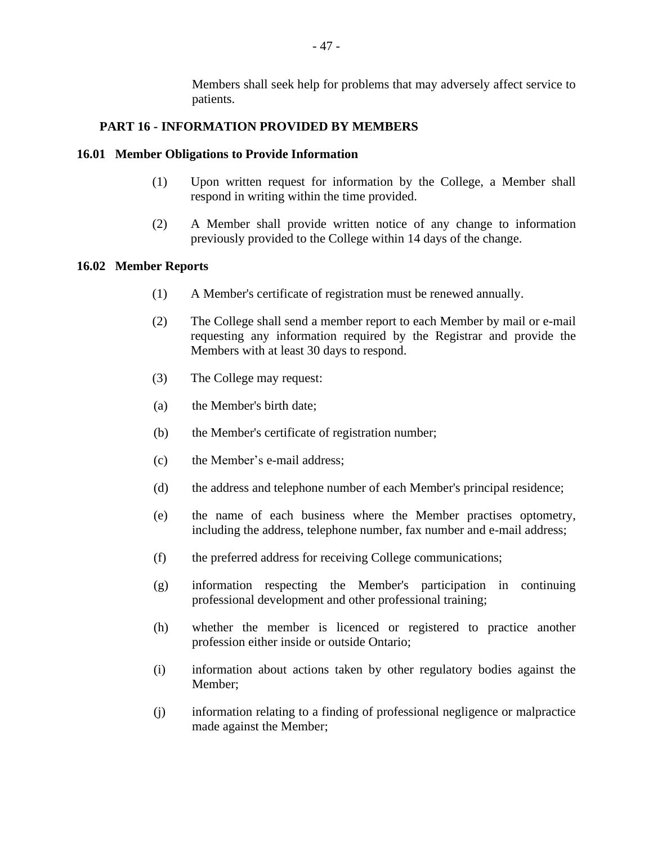Members shall seek help for problems that may adversely affect service to patients.

## **PART 16 - INFORMATION PROVIDED BY MEMBERS**

### **16.01 Member Obligations to Provide Information**

- (1) Upon written request for information by the College, a Member shall respond in writing within the time provided.
- (2) A Member shall provide written notice of any change to information previously provided to the College within 14 days of the change.

#### **16.02 Member Reports**

- (1) A Member's certificate of registration must be renewed annually.
- (2) The College shall send a member report to each Member by mail or e-mail requesting any information required by the Registrar and provide the Members with at least 30 days to respond.
- (3) The College may request:
- (a) the Member's birth date;
- (b) the Member's certificate of registration number;
- (c) the Member's e-mail address;
- (d) the address and telephone number of each Member's principal residence;
- (e) the name of each business where the Member practises optometry, including the address, telephone number, fax number and e-mail address;
- (f) the preferred address for receiving College communications;
- (g) information respecting the Member's participation in continuing professional development and other professional training;
- (h) whether the member is licenced or registered to practice another profession either inside or outside Ontario;
- (i) information about actions taken by other regulatory bodies against the Member;
- (j) information relating to a finding of professional negligence or malpractice made against the Member;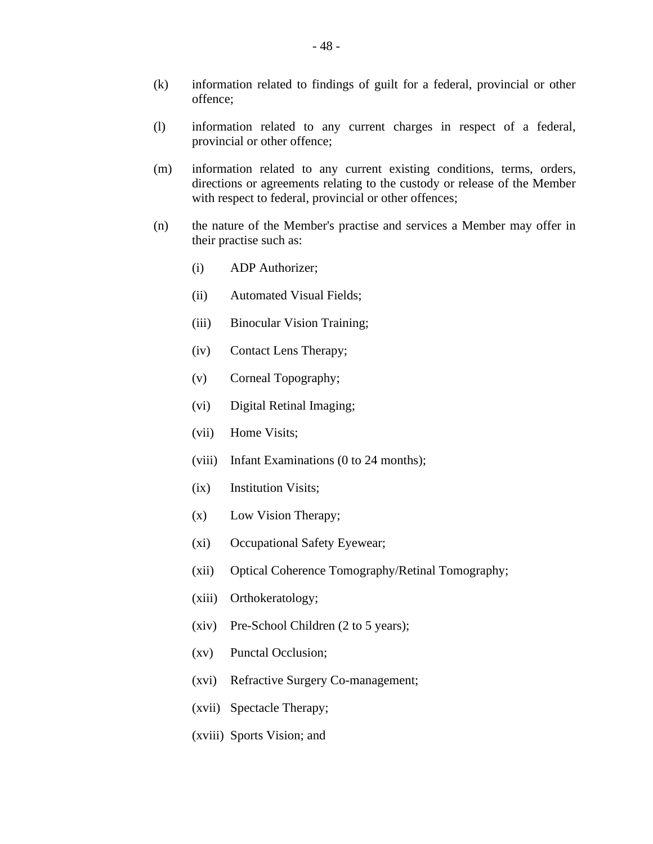- (k) information related to findings of guilt for a federal, provincial or other offence;
- (l) information related to any current charges in respect of a federal, provincial or other offence;
- (m) information related to any current existing conditions, terms, orders, directions or agreements relating to the custody or release of the Member with respect to federal, provincial or other offences;
- (n) the nature of the Member's practise and services a Member may offer in their practise such as:
	- (i) ADP Authorizer;
	- (ii) Automated Visual Fields;
	- (iii) Binocular Vision Training;
	- (iv) Contact Lens Therapy;
	- (v) Corneal Topography;
	- (vi) Digital Retinal Imaging;
	- (vii) Home Visits;
	- (viii) Infant Examinations (0 to 24 months);
	- (ix) Institution Visits;
	- (x) Low Vision Therapy;
	- (xi) Occupational Safety Eyewear;
	- (xii) Optical Coherence Tomography/Retinal Tomography;
	- (xiii) Orthokeratology;
	- (xiv) Pre-School Children (2 to 5 years);
	- (xv) Punctal Occlusion;
	- (xvi) Refractive Surgery Co-management;
	- (xvii) Spectacle Therapy;
	- (xviii) Sports Vision; and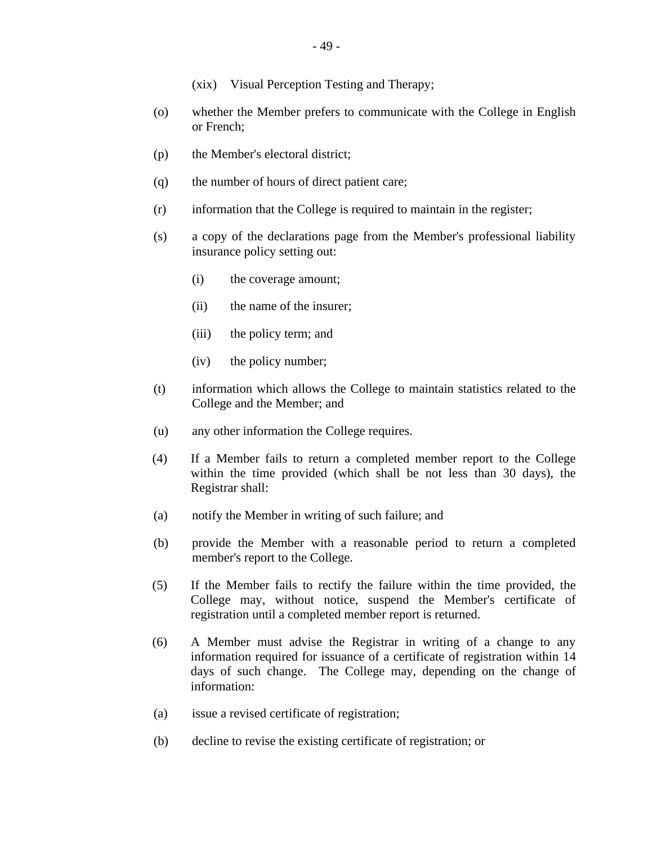- (o) whether the Member prefers to communicate with the College in English or French;
- (p) the Member's electoral district;
- (q) the number of hours of direct patient care;
- (r) information that the College is required to maintain in the register;
- (s) a copy of the declarations page from the Member's professional liability insurance policy setting out:
	- (i) the coverage amount;
	- (ii) the name of the insurer;
	- (iii) the policy term; and
	- (iv) the policy number;
- (t) information which allows the College to maintain statistics related to the College and the Member; and
- (u) any other information the College requires.
- (4) If a Member fails to return a completed member report to the College within the time provided (which shall be not less than 30 days), the Registrar shall:
- (a) notify the Member in writing of such failure; and
- (b) provide the Member with a reasonable period to return a completed member's report to the College.
- (5) If the Member fails to rectify the failure within the time provided, the College may, without notice, suspend the Member's certificate of registration until a completed member report is returned.
- (6) A Member must advise the Registrar in writing of a change to any information required for issuance of a certificate of registration within 14 days of such change. The College may, depending on the change of information:
- (a) issue a revised certificate of registration;
- (b) decline to revise the existing certificate of registration; or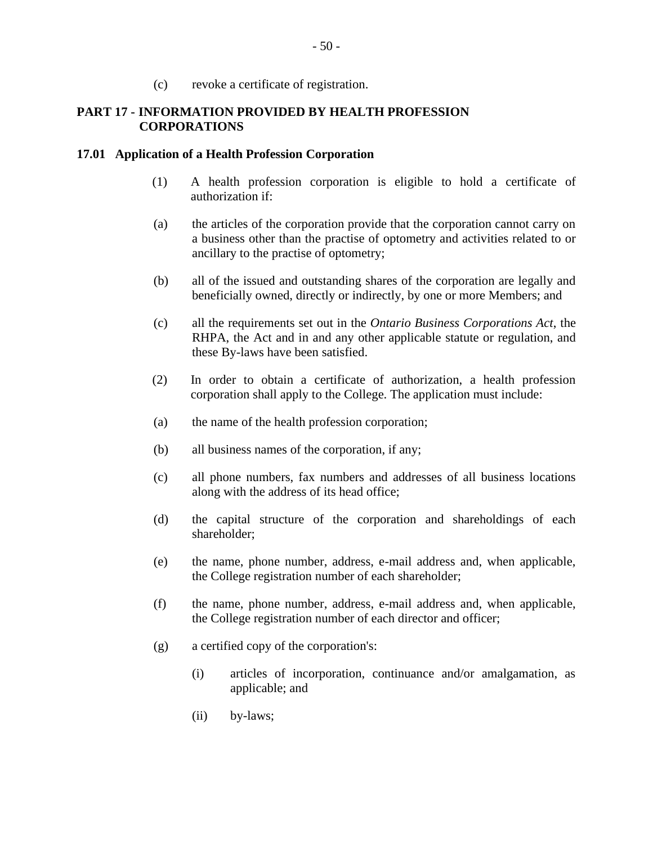(c) revoke a certificate of registration.

## **PART 17 - INFORMATION PROVIDED BY HEALTH PROFESSION CORPORATIONS**

### **17.01 Application of a Health Profession Corporation**

- (1) A health profession corporation is eligible to hold a certificate of authorization if:
- (a) the articles of the corporation provide that the corporation cannot carry on a business other than the practise of optometry and activities related to or ancillary to the practise of optometry;
- (b) all of the issued and outstanding shares of the corporation are legally and beneficially owned, directly or indirectly, by one or more Members; and
- (c) all the requirements set out in the *Ontario Business Corporations Act*, the RHPA, the Act and in and any other applicable statute or regulation, and these By-laws have been satisfied.
- (2) In order to obtain a certificate of authorization, a health profession corporation shall apply to the College. The application must include:
- (a) the name of the health profession corporation;
- (b) all business names of the corporation, if any;
- (c) all phone numbers, fax numbers and addresses of all business locations along with the address of its head office;
- (d) the capital structure of the corporation and shareholdings of each shareholder;
- (e) the name, phone number, address, e-mail address and, when applicable, the College registration number of each shareholder;
- (f) the name, phone number, address, e-mail address and, when applicable, the College registration number of each director and officer;
- (g) a certified copy of the corporation's:
	- (i) articles of incorporation, continuance and/or amalgamation, as applicable; and
	- (ii) by-laws;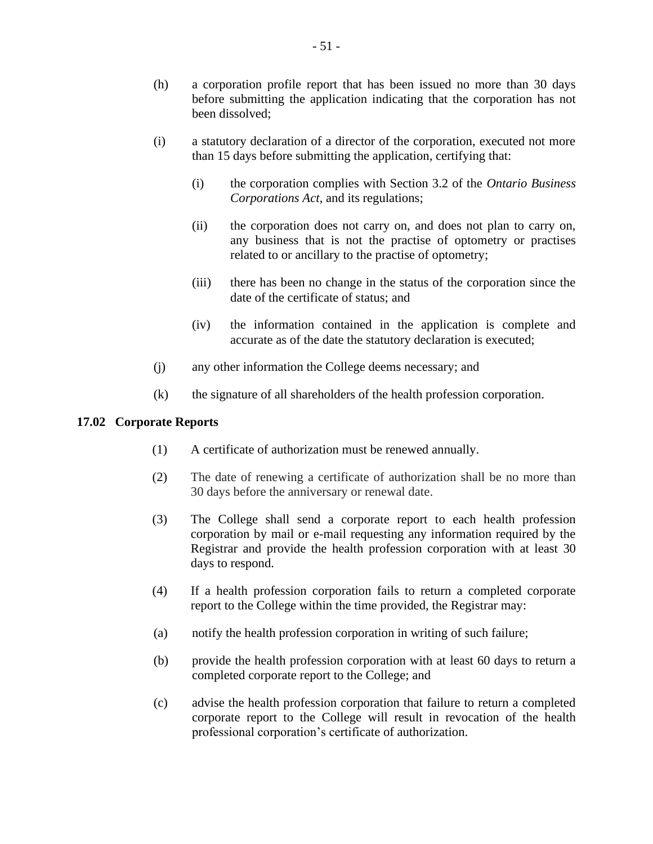- (h) a corporation profile report that has been issued no more than 30 days before submitting the application indicating that the corporation has not been dissolved;
- (i) a statutory declaration of a director of the corporation, executed not more than 15 days before submitting the application, certifying that:
	- (i) the corporation complies with Section 3.2 of the *Ontario Business Corporations Act*, and its regulations;
	- (ii) the corporation does not carry on, and does not plan to carry on, any business that is not the practise of optometry or practises related to or ancillary to the practise of optometry;
	- (iii) there has been no change in the status of the corporation since the date of the certificate of status; and
	- (iv) the information contained in the application is complete and accurate as of the date the statutory declaration is executed;
- (j) any other information the College deems necessary; and
- (k) the signature of all shareholders of the health profession corporation.

## **17.02 Corporate Reports**

- (1) A certificate of authorization must be renewed annually.
- (2) The date of renewing a certificate of authorization shall be no more than 30 days before the anniversary or renewal date.
- (3) The College shall send a corporate report to each health profession corporation by mail or e-mail requesting any information required by the Registrar and provide the health profession corporation with at least 30 days to respond.
- (4) If a health profession corporation fails to return a completed corporate report to the College within the time provided, the Registrar may:
- (a) notify the health profession corporation in writing of such failure;
- (b) provide the health profession corporation with at least 60 days to return a completed corporate report to the College; and
- (c) advise the health profession corporation that failure to return a completed corporate report to the College will result in revocation of the health professional corporation's certificate of authorization.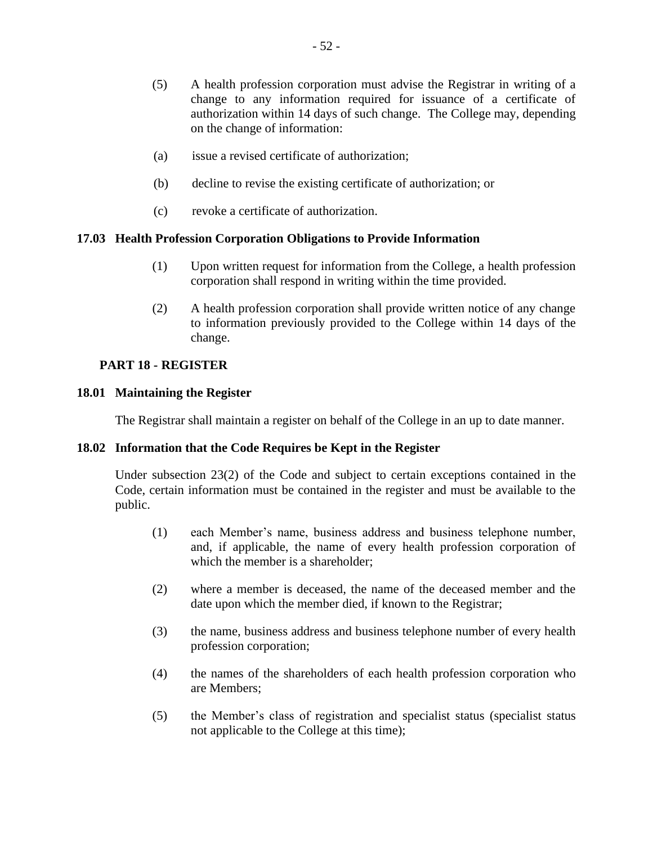- (a) issue a revised certificate of authorization;
- (b) decline to revise the existing certificate of authorization; or
- (c) revoke a certificate of authorization.

## **17.03 Health Profession Corporation Obligations to Provide Information**

- (1) Upon written request for information from the College, a health profession corporation shall respond in writing within the time provided.
- (2) A health profession corporation shall provide written notice of any change to information previously provided to the College within 14 days of the change.

## **PART 18 - REGISTER**

## **18.01 Maintaining the Register**

The Registrar shall maintain a register on behalf of the College in an up to date manner.

## **18.02 Information that the Code Requires be Kept in the Register**

Under subsection 23(2) of the Code and subject to certain exceptions contained in the Code, certain information must be contained in the register and must be available to the public.

- (1) each Member's name, business address and business telephone number, and, if applicable, the name of every health profession corporation of which the member is a shareholder:
- (2) where a member is deceased, the name of the deceased member and the date upon which the member died, if known to the Registrar;
- (3) the name, business address and business telephone number of every health profession corporation;
- (4) the names of the shareholders of each health profession corporation who are Members;
- (5) the Member's class of registration and specialist status (specialist status not applicable to the College at this time);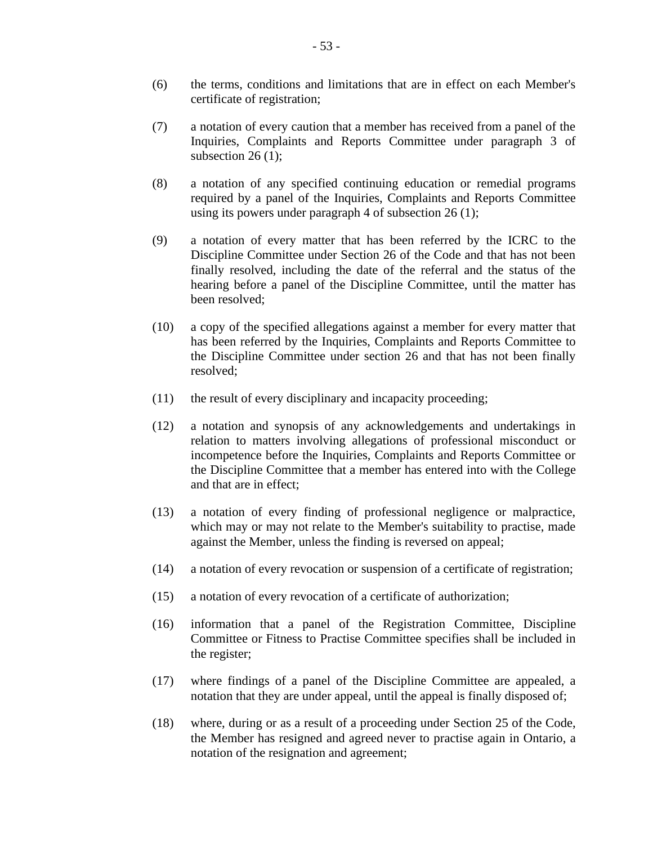- (6) the terms, conditions and limitations that are in effect on each Member's certificate of registration;
- (7) a notation of every caution that a member has received from a panel of the Inquiries, Complaints and Reports Committee under paragraph 3 of subsection 26 $(1)$ ;
- (8) a notation of any specified continuing education or remedial programs required by a panel of the Inquiries, Complaints and Reports Committee using its powers under paragraph 4 of subsection 26 (1);
- (9) a notation of every matter that has been referred by the ICRC to the Discipline Committee under Section 26 of the Code and that has not been finally resolved, including the date of the referral and the status of the hearing before a panel of the Discipline Committee, until the matter has been resolved;
- (10) a copy of the specified allegations against a member for every matter that has been referred by the Inquiries, Complaints and Reports Committee to the Discipline Committee under section 26 and that has not been finally resolved;
- (11) the result of every disciplinary and incapacity proceeding;
- (12) a notation and synopsis of any acknowledgements and undertakings in relation to matters involving allegations of professional misconduct or incompetence before the Inquiries, Complaints and Reports Committee or the Discipline Committee that a member has entered into with the College and that are in effect;
- (13) a notation of every finding of professional negligence or malpractice, which may or may not relate to the Member's suitability to practise, made against the Member, unless the finding is reversed on appeal;
- (14) a notation of every revocation or suspension of a certificate of registration;
- (15) a notation of every revocation of a certificate of authorization;
- (16) information that a panel of the Registration Committee, Discipline Committee or Fitness to Practise Committee specifies shall be included in the register;
- (17) where findings of a panel of the Discipline Committee are appealed, a notation that they are under appeal, until the appeal is finally disposed of;
- (18) where, during or as a result of a proceeding under Section 25 of the Code, the Member has resigned and agreed never to practise again in Ontario, a notation of the resignation and agreement;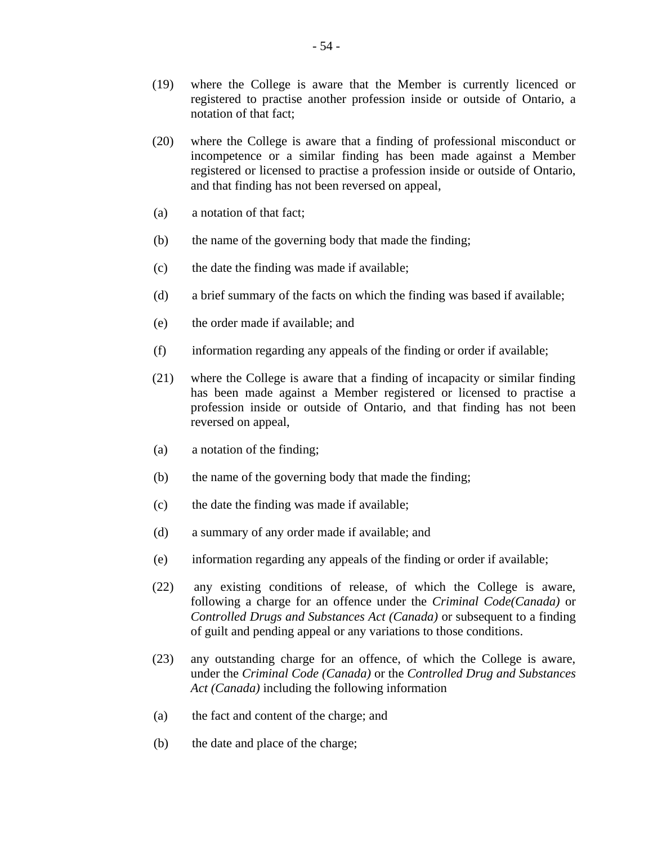- (19) where the College is aware that the Member is currently licenced or registered to practise another profession inside or outside of Ontario, a notation of that fact;
- (20) where the College is aware that a finding of professional misconduct or incompetence or a similar finding has been made against a Member registered or licensed to practise a profession inside or outside of Ontario, and that finding has not been reversed on appeal,
- (a) a notation of that fact;
- (b) the name of the governing body that made the finding;
- (c) the date the finding was made if available;
- (d) a brief summary of the facts on which the finding was based if available;
- (e) the order made if available; and
- (f) information regarding any appeals of the finding or order if available;
- (21) where the College is aware that a finding of incapacity or similar finding has been made against a Member registered or licensed to practise a profession inside or outside of Ontario, and that finding has not been reversed on appeal,
- (a) a notation of the finding;
- (b) the name of the governing body that made the finding;
- (c) the date the finding was made if available;
- (d) a summary of any order made if available; and
- (e) information regarding any appeals of the finding or order if available;
- (22) any existing conditions of release, of which the College is aware, following a charge for an offence under the *Criminal Code(Canada)* or *Controlled Drugs and Substances Act (Canada)* or subsequent to a finding of guilt and pending appeal or any variations to those conditions.
- (23) any outstanding charge for an offence, of which the College is aware, under the *Criminal Code (Canada)* or the *Controlled Drug and Substances Act (Canada)* including the following information
- (a) the fact and content of the charge; and
- (b) the date and place of the charge;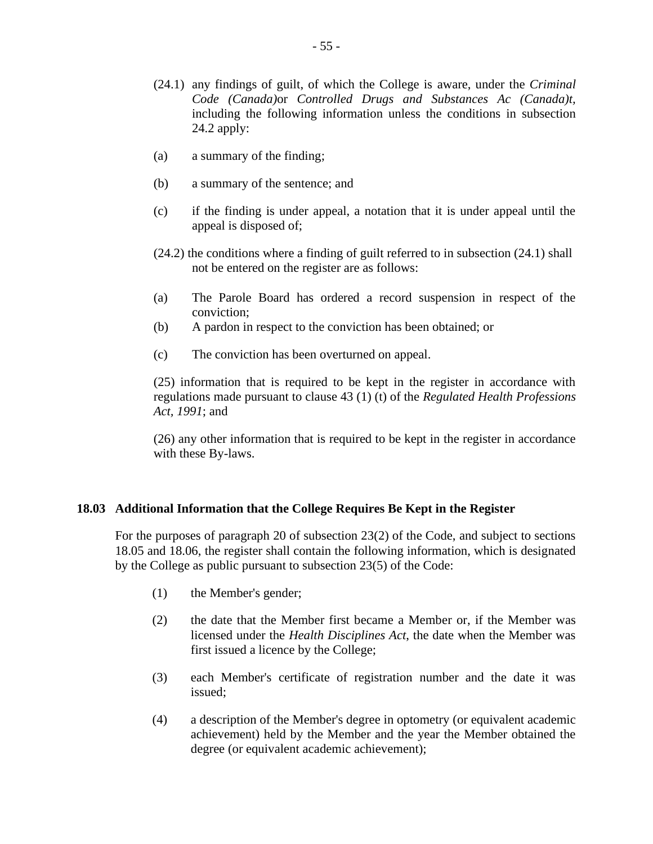- (24.1) any findings of guilt, of which the College is aware, under the *Criminal Code (Canada)*or *Controlled Drugs and Substances Ac (Canada)t,*  including the following information unless the conditions in subsection 24.2 apply:
- (a) a summary of the finding;
- (b) a summary of the sentence; and
- (c) if the finding is under appeal, a notation that it is under appeal until the appeal is disposed of;
- (24.2) the conditions where a finding of guilt referred to in subsection (24.1) shall not be entered on the register are as follows:
- (a) The Parole Board has ordered a record suspension in respect of the conviction;
- (b) A pardon in respect to the conviction has been obtained; or
- (c) The conviction has been overturned on appeal.

(25) information that is required to be kept in the register in accordance with regulations made pursuant to clause 43 (1) (t) of the *Regulated Health Professions Act, 1991*; and

(26) any other information that is required to be kept in the register in accordance with these By-laws.

## **18.03 Additional Information that the College Requires Be Kept in the Register**

For the purposes of paragraph 20 of subsection 23(2) of the Code, and subject to sections 18.05 and 18.06, the register shall contain the following information, which is designated by the College as public pursuant to subsection 23(5) of the Code:

- (1) the Member's gender;
- (2) the date that the Member first became a Member or, if the Member was licensed under the *Health Disciplines Act*, the date when the Member was first issued a licence by the College;
- (3) each Member's certificate of registration number and the date it was issued;
- (4) a description of the Member's degree in optometry (or equivalent academic achievement) held by the Member and the year the Member obtained the degree (or equivalent academic achievement);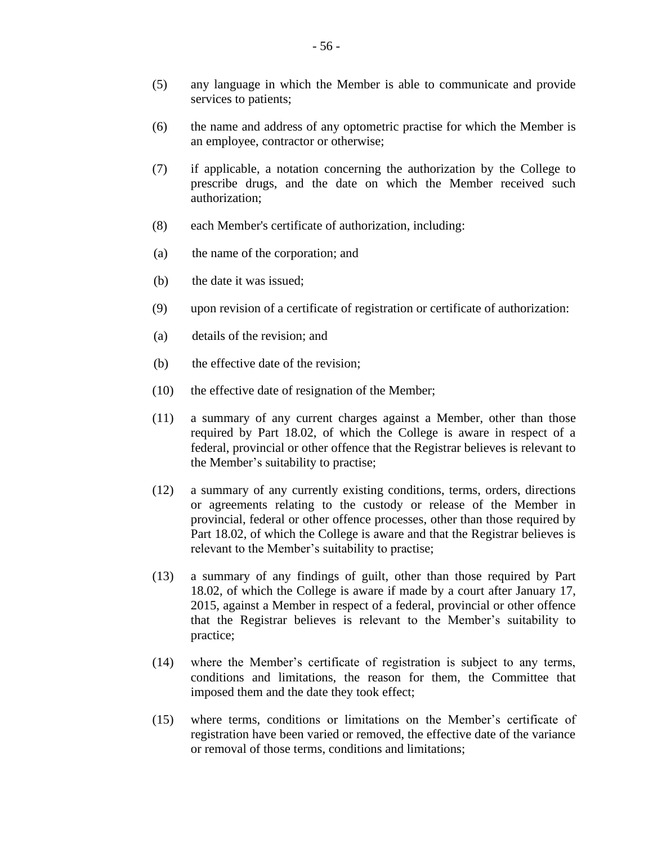- (5) any language in which the Member is able to communicate and provide services to patients;
- (6) the name and address of any optometric practise for which the Member is an employee, contractor or otherwise;
- (7) if applicable, a notation concerning the authorization by the College to prescribe drugs, and the date on which the Member received such authorization;
- (8) each Member's certificate of authorization, including:
- (a) the name of the corporation; and
- (b) the date it was issued;
- (9) upon revision of a certificate of registration or certificate of authorization:
- (a) details of the revision; and
- (b) the effective date of the revision;
- (10) the effective date of resignation of the Member;
- (11) a summary of any current charges against a Member, other than those required by Part 18.02, of which the College is aware in respect of a federal, provincial or other offence that the Registrar believes is relevant to the Member's suitability to practise;
- (12) a summary of any currently existing conditions, terms, orders, directions or agreements relating to the custody or release of the Member in provincial, federal or other offence processes, other than those required by Part 18.02, of which the College is aware and that the Registrar believes is relevant to the Member's suitability to practise;
- (13) a summary of any findings of guilt, other than those required by Part 18.02, of which the College is aware if made by a court after January 17, 2015, against a Member in respect of a federal, provincial or other offence that the Registrar believes is relevant to the Member's suitability to practice;
- (14) where the Member's certificate of registration is subject to any terms, conditions and limitations, the reason for them, the Committee that imposed them and the date they took effect;
- (15) where terms, conditions or limitations on the Member's certificate of registration have been varied or removed, the effective date of the variance or removal of those terms, conditions and limitations;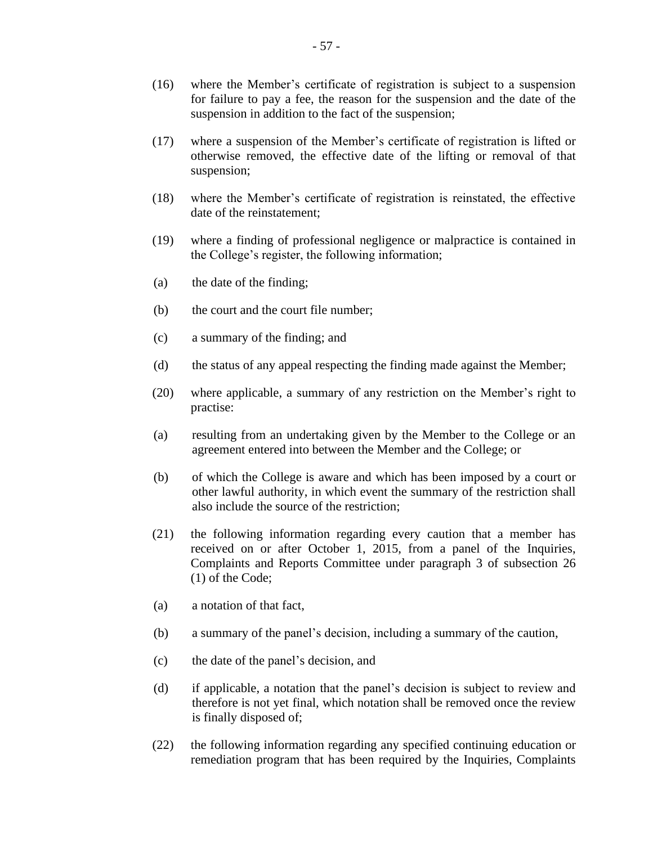- (16) where the Member's certificate of registration is subject to a suspension for failure to pay a fee, the reason for the suspension and the date of the suspension in addition to the fact of the suspension;
- (17) where a suspension of the Member's certificate of registration is lifted or otherwise removed, the effective date of the lifting or removal of that suspension;
- (18) where the Member's certificate of registration is reinstated, the effective date of the reinstatement;
- (19) where a finding of professional negligence or malpractice is contained in the College's register, the following information;
- (a) the date of the finding;
- (b) the court and the court file number;
- (c) a summary of the finding; and
- (d) the status of any appeal respecting the finding made against the Member;
- (20) where applicable, a summary of any restriction on the Member's right to practise:
- (a) resulting from an undertaking given by the Member to the College or an agreement entered into between the Member and the College; or
- (b) of which the College is aware and which has been imposed by a court or other lawful authority, in which event the summary of the restriction shall also include the source of the restriction;
- (21) the following information regarding every caution that a member has received on or after October 1, 2015, from a panel of the Inquiries, Complaints and Reports Committee under paragraph 3 of subsection 26 (1) of the Code;
- (a) a notation of that fact,
- (b) a summary of the panel's decision, including a summary of the caution,
- (c) the date of the panel's decision, and
- (d) if applicable, a notation that the panel's decision is subject to review and therefore is not yet final, which notation shall be removed once the review is finally disposed of;
- (22) the following information regarding any specified continuing education or remediation program that has been required by the Inquiries, Complaints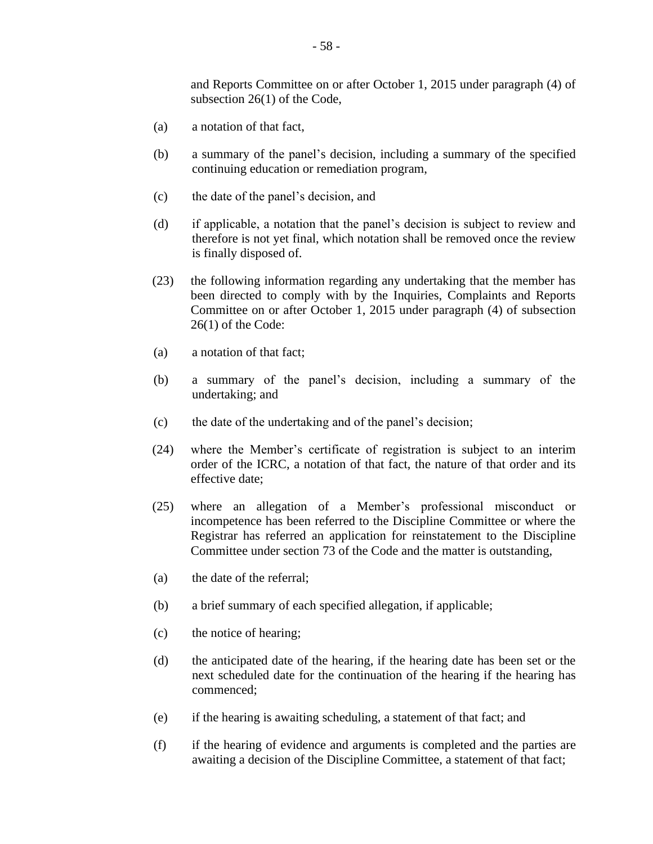and Reports Committee on or after October 1, 2015 under paragraph (4) of subsection 26(1) of the Code,

- (a) a notation of that fact,
- (b) a summary of the panel's decision, including a summary of the specified continuing education or remediation program,
- (c) the date of the panel's decision, and
- (d) if applicable, a notation that the panel's decision is subject to review and therefore is not yet final, which notation shall be removed once the review is finally disposed of.
- (23) the following information regarding any undertaking that the member has been directed to comply with by the Inquiries, Complaints and Reports Committee on or after October 1, 2015 under paragraph (4) of subsection 26(1) of the Code:
- (a) a notation of that fact;
- (b) a summary of the panel's decision, including a summary of the undertaking; and
- (c) the date of the undertaking and of the panel's decision;
- (24) where the Member's certificate of registration is subject to an interim order of the ICRC, a notation of that fact, the nature of that order and its effective date;
- (25) where an allegation of a Member's professional misconduct or incompetence has been referred to the Discipline Committee or where the Registrar has referred an application for reinstatement to the Discipline Committee under section 73 of the Code and the matter is outstanding,
- (a) the date of the referral;
- (b) a brief summary of each specified allegation, if applicable;
- (c) the notice of hearing;
- (d) the anticipated date of the hearing, if the hearing date has been set or the next scheduled date for the continuation of the hearing if the hearing has commenced;
- (e) if the hearing is awaiting scheduling, a statement of that fact; and
- (f) if the hearing of evidence and arguments is completed and the parties are awaiting a decision of the Discipline Committee, a statement of that fact;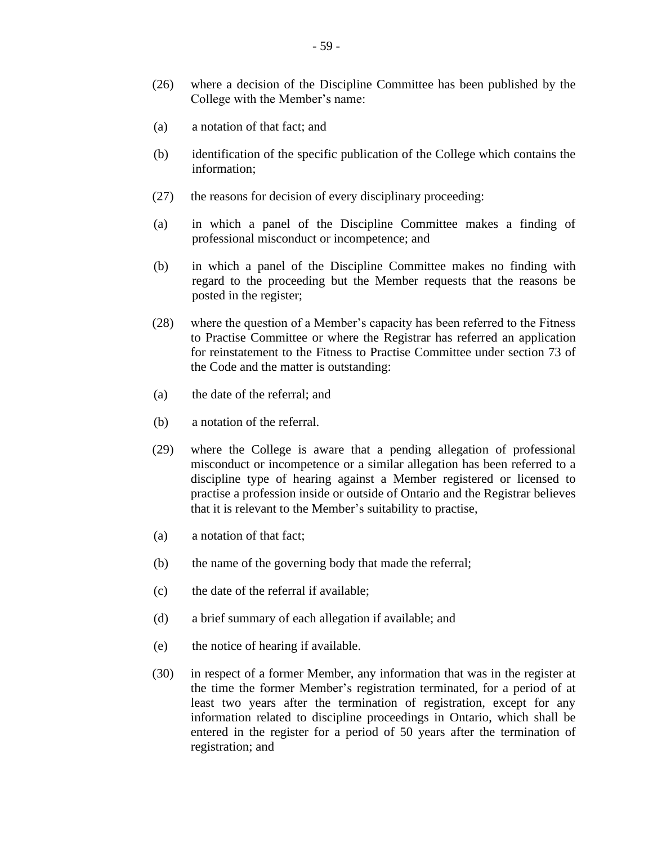- (26) where a decision of the Discipline Committee has been published by the College with the Member's name:
- (a) a notation of that fact; and
- (b) identification of the specific publication of the College which contains the information;
- (27) the reasons for decision of every disciplinary proceeding:
- (a) in which a panel of the Discipline Committee makes a finding of professional misconduct or incompetence; and
- (b) in which a panel of the Discipline Committee makes no finding with regard to the proceeding but the Member requests that the reasons be posted in the register;
- (28) where the question of a Member's capacity has been referred to the Fitness to Practise Committee or where the Registrar has referred an application for reinstatement to the Fitness to Practise Committee under section 73 of the Code and the matter is outstanding:
- (a) the date of the referral; and
- (b) a notation of the referral.
- (29) where the College is aware that a pending allegation of professional misconduct or incompetence or a similar allegation has been referred to a discipline type of hearing against a Member registered or licensed to practise a profession inside or outside of Ontario and the Registrar believes that it is relevant to the Member's suitability to practise,
- (a) a notation of that fact;
- (b) the name of the governing body that made the referral;
- (c) the date of the referral if available;
- (d) a brief summary of each allegation if available; and
- (e) the notice of hearing if available.
- (30) in respect of a former Member, any information that was in the register at the time the former Member's registration terminated, for a period of at least two years after the termination of registration, except for any information related to discipline proceedings in Ontario, which shall be entered in the register for a period of 50 years after the termination of registration; and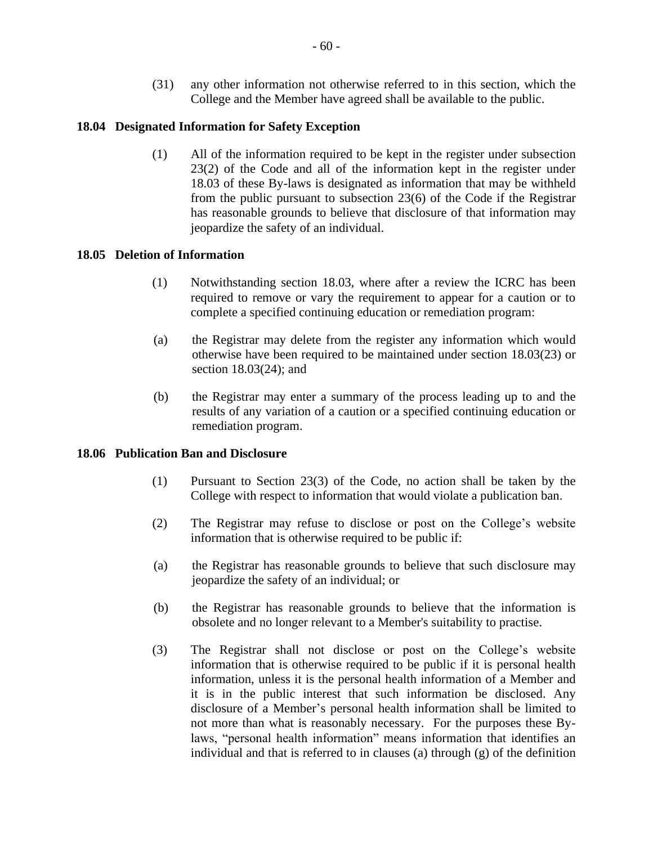(31) any other information not otherwise referred to in this section, which the College and the Member have agreed shall be available to the public.

## **18.04 Designated Information for Safety Exception**

(1) All of the information required to be kept in the register under subsection 23(2) of the Code and all of the information kept in the register under 18.03 of these By-laws is designated as information that may be withheld from the public pursuant to subsection 23(6) of the Code if the Registrar has reasonable grounds to believe that disclosure of that information may jeopardize the safety of an individual.

## **18.05 Deletion of Information**

- (1) Notwithstanding section 18.03, where after a review the ICRC has been required to remove or vary the requirement to appear for a caution or to complete a specified continuing education or remediation program:
- (a) the Registrar may delete from the register any information which would otherwise have been required to be maintained under section 18.03(23) or section 18.03(24); and
- (b) the Registrar may enter a summary of the process leading up to and the results of any variation of a caution or a specified continuing education or remediation program.

## **18.06 Publication Ban and Disclosure**

- (1) Pursuant to Section 23(3) of the Code, no action shall be taken by the College with respect to information that would violate a publication ban.
- (2) The Registrar may refuse to disclose or post on the College's website information that is otherwise required to be public if:
- (a) the Registrar has reasonable grounds to believe that such disclosure may jeopardize the safety of an individual; or
- (b) the Registrar has reasonable grounds to believe that the information is obsolete and no longer relevant to a Member's suitability to practise.
- (3) The Registrar shall not disclose or post on the College's website information that is otherwise required to be public if it is personal health information, unless it is the personal health information of a Member and it is in the public interest that such information be disclosed. Any disclosure of a Member's personal health information shall be limited to not more than what is reasonably necessary. For the purposes these Bylaws, "personal health information" means information that identifies an individual and that is referred to in clauses (a) through (g) of the definition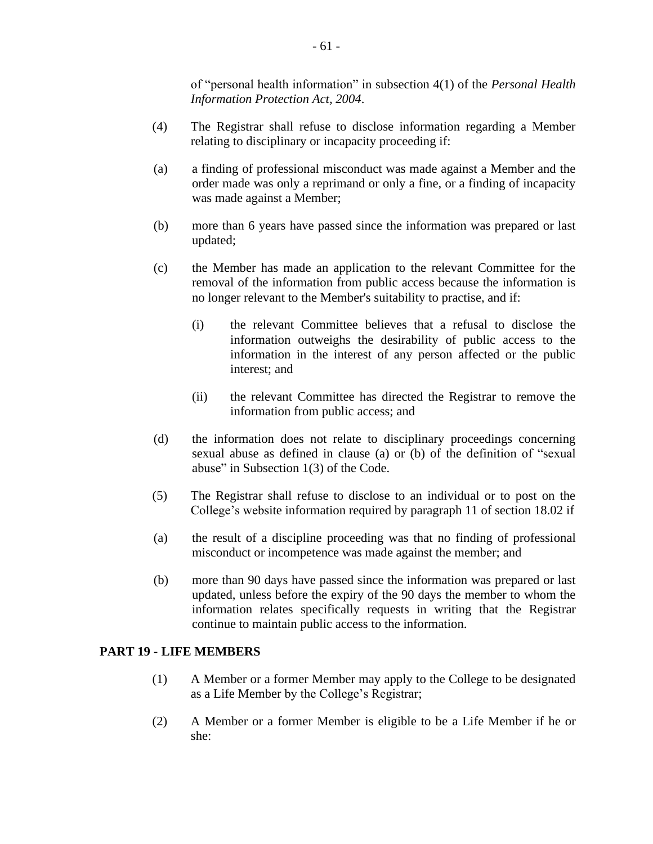of "personal health information" in subsection 4(1) of the *Personal Health Information Protection Act, 2004*.

- (4) The Registrar shall refuse to disclose information regarding a Member relating to disciplinary or incapacity proceeding if:
- (a) a finding of professional misconduct was made against a Member and the order made was only a reprimand or only a fine, or a finding of incapacity was made against a Member;
- (b) more than 6 years have passed since the information was prepared or last updated;
- (c) the Member has made an application to the relevant Committee for the removal of the information from public access because the information is no longer relevant to the Member's suitability to practise, and if:
	- (i) the relevant Committee believes that a refusal to disclose the information outweighs the desirability of public access to the information in the interest of any person affected or the public interest; and
	- (ii) the relevant Committee has directed the Registrar to remove the information from public access; and
- (d) the information does not relate to disciplinary proceedings concerning sexual abuse as defined in clause (a) or (b) of the definition of "sexual abuse" in Subsection 1(3) of the Code.
- (5) The Registrar shall refuse to disclose to an individual or to post on the College's website information required by paragraph 11 of section 18.02 if
- (a) the result of a discipline proceeding was that no finding of professional misconduct or incompetence was made against the member; and
- (b) more than 90 days have passed since the information was prepared or last updated, unless before the expiry of the 90 days the member to whom the information relates specifically requests in writing that the Registrar continue to maintain public access to the information.

## **PART 19 - LIFE MEMBERS**

- (1) A Member or a former Member may apply to the College to be designated as a Life Member by the College's Registrar;
- (2) A Member or a former Member is eligible to be a Life Member if he or she: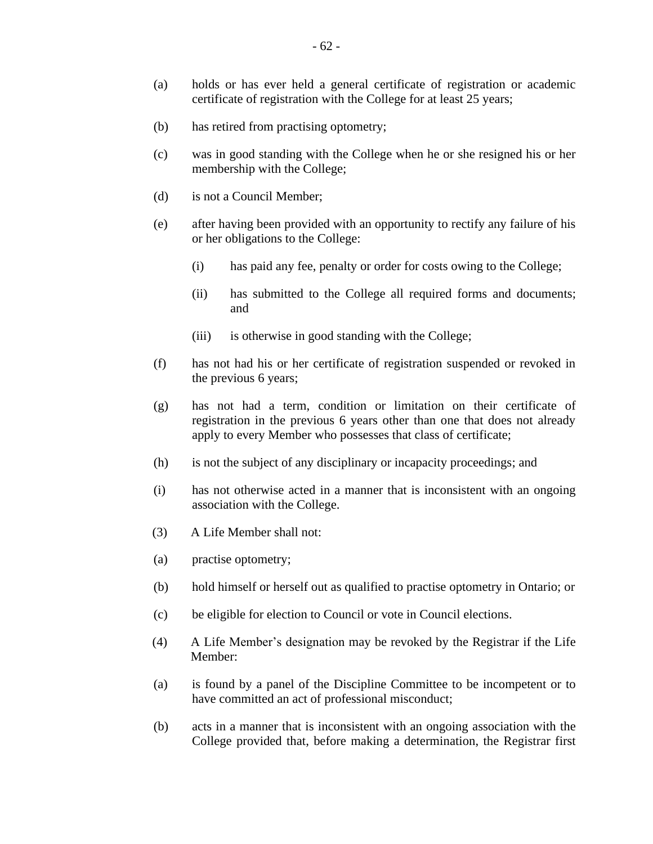- (a) holds or has ever held a general certificate of registration or academic certificate of registration with the College for at least 25 years;
- (b) has retired from practising optometry;
- (c) was in good standing with the College when he or she resigned his or her membership with the College;
- (d) is not a Council Member;
- (e) after having been provided with an opportunity to rectify any failure of his or her obligations to the College:
	- (i) has paid any fee, penalty or order for costs owing to the College;
	- (ii) has submitted to the College all required forms and documents; and
	- (iii) is otherwise in good standing with the College;
- (f) has not had his or her certificate of registration suspended or revoked in the previous 6 years;
- (g) has not had a term, condition or limitation on their certificate of registration in the previous 6 years other than one that does not already apply to every Member who possesses that class of certificate;
- (h) is not the subject of any disciplinary or incapacity proceedings; and
- (i) has not otherwise acted in a manner that is inconsistent with an ongoing association with the College.
- (3) A Life Member shall not:
- (a) practise optometry;
- (b) hold himself or herself out as qualified to practise optometry in Ontario; or
- (c) be eligible for election to Council or vote in Council elections.
- (4) A Life Member's designation may be revoked by the Registrar if the Life Member:
- (a) is found by a panel of the Discipline Committee to be incompetent or to have committed an act of professional misconduct;
- (b) acts in a manner that is inconsistent with an ongoing association with the College provided that, before making a determination, the Registrar first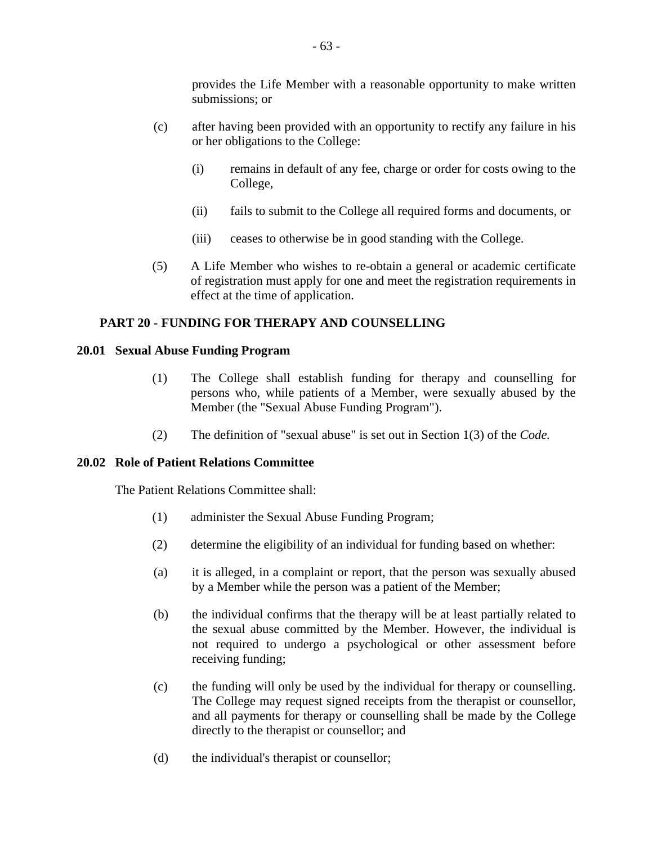provides the Life Member with a reasonable opportunity to make written submissions; or

- (c) after having been provided with an opportunity to rectify any failure in his or her obligations to the College:
	- (i) remains in default of any fee, charge or order for costs owing to the College,
	- (ii) fails to submit to the College all required forms and documents, or
	- (iii) ceases to otherwise be in good standing with the College.
- (5) A Life Member who wishes to re-obtain a general or academic certificate of registration must apply for one and meet the registration requirements in effect at the time of application.

## **PART 20 - FUNDING FOR THERAPY AND COUNSELLING**

#### **20.01 Sexual Abuse Funding Program**

- (1) The College shall establish funding for therapy and counselling for persons who, while patients of a Member, were sexually abused by the Member (the "Sexual Abuse Funding Program").
- (2) The definition of "sexual abuse" is set out in Section 1(3) of the *Code.*

## **20.02 Role of Patient Relations Committee**

The Patient Relations Committee shall:

- (1) administer the Sexual Abuse Funding Program;
- (2) determine the eligibility of an individual for funding based on whether:
- (a) it is alleged, in a complaint or report, that the person was sexually abused by a Member while the person was a patient of the Member;
- (b) the individual confirms that the therapy will be at least partially related to the sexual abuse committed by the Member. However, the individual is not required to undergo a psychological or other assessment before receiving funding;
- (c) the funding will only be used by the individual for therapy or counselling. The College may request signed receipts from the therapist or counsellor, and all payments for therapy or counselling shall be made by the College directly to the therapist or counsellor; and
- (d) the individual's therapist or counsellor;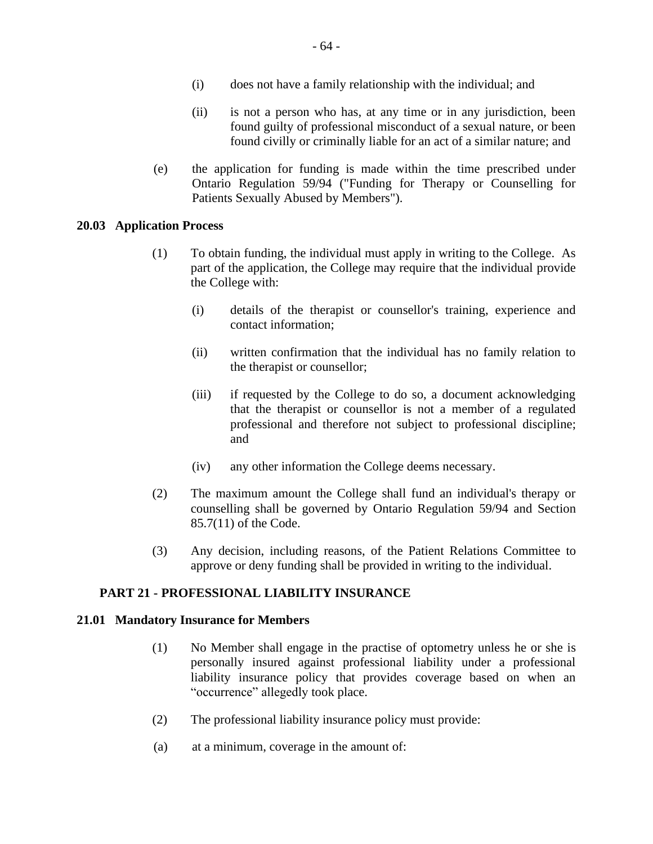- (ii) is not a person who has, at any time or in any jurisdiction, been found guilty of professional misconduct of a sexual nature, or been found civilly or criminally liable for an act of a similar nature; and
- (e) the application for funding is made within the time prescribed under Ontario Regulation 59/94 ("Funding for Therapy or Counselling for Patients Sexually Abused by Members").

## **20.03 Application Process**

- (1) To obtain funding, the individual must apply in writing to the College. As part of the application, the College may require that the individual provide the College with:
	- (i) details of the therapist or counsellor's training, experience and contact information;
	- (ii) written confirmation that the individual has no family relation to the therapist or counsellor;
	- (iii) if requested by the College to do so, a document acknowledging that the therapist or counsellor is not a member of a regulated professional and therefore not subject to professional discipline; and
	- (iv) any other information the College deems necessary.
- (2) The maximum amount the College shall fund an individual's therapy or counselling shall be governed by Ontario Regulation 59/94 and Section 85.7(11) of the Code.
- (3) Any decision, including reasons, of the Patient Relations Committee to approve or deny funding shall be provided in writing to the individual.

## **PART 21 - PROFESSIONAL LIABILITY INSURANCE**

#### **21.01 Mandatory Insurance for Members**

- (1) No Member shall engage in the practise of optometry unless he or she is personally insured against professional liability under a professional liability insurance policy that provides coverage based on when an "occurrence" allegedly took place.
- (2) The professional liability insurance policy must provide:
- (a) at a minimum, coverage in the amount of: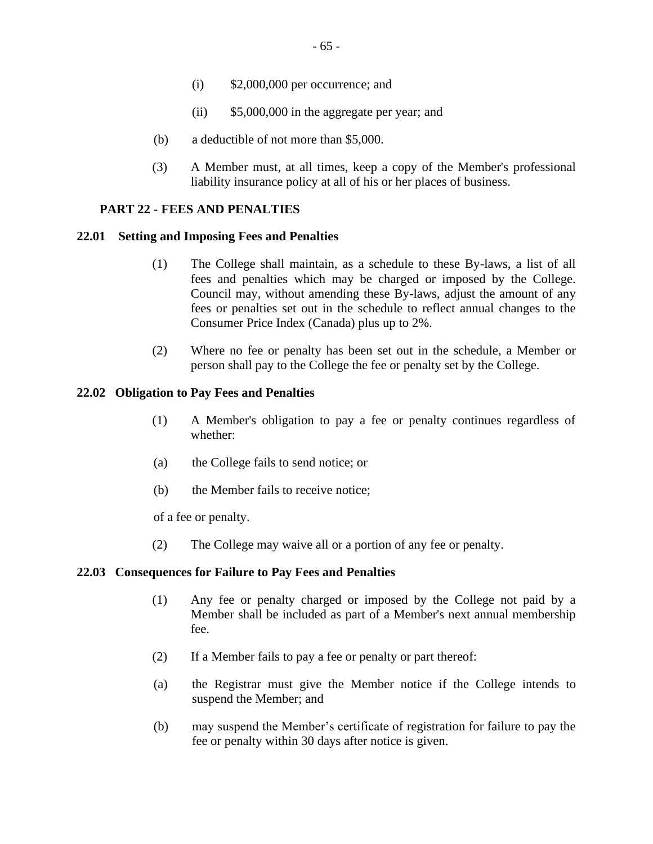- (i) \$2,000,000 per occurrence; and
- (ii) \$5,000,000 in the aggregate per year; and
- (b) a deductible of not more than \$5,000.
- (3) A Member must, at all times, keep a copy of the Member's professional liability insurance policy at all of his or her places of business.

#### **PART 22 - FEES AND PENALTIES**

#### **22.01 Setting and Imposing Fees and Penalties**

- (1) The College shall maintain, as a schedule to these By-laws, a list of all fees and penalties which may be charged or imposed by the College. Council may, without amending these By-laws, adjust the amount of any fees or penalties set out in the schedule to reflect annual changes to the Consumer Price Index (Canada) plus up to 2%.
- (2) Where no fee or penalty has been set out in the schedule, a Member or person shall pay to the College the fee or penalty set by the College.

### **22.02 Obligation to Pay Fees and Penalties**

- (1) A Member's obligation to pay a fee or penalty continues regardless of whether:
- (a) the College fails to send notice; or
- (b) the Member fails to receive notice;

of a fee or penalty.

(2) The College may waive all or a portion of any fee or penalty.

#### **22.03 Consequences for Failure to Pay Fees and Penalties**

- (1) Any fee or penalty charged or imposed by the College not paid by a Member shall be included as part of a Member's next annual membership fee.
- (2) If a Member fails to pay a fee or penalty or part thereof:
- (a) the Registrar must give the Member notice if the College intends to suspend the Member; and
- (b) may suspend the Member's certificate of registration for failure to pay the fee or penalty within 30 days after notice is given.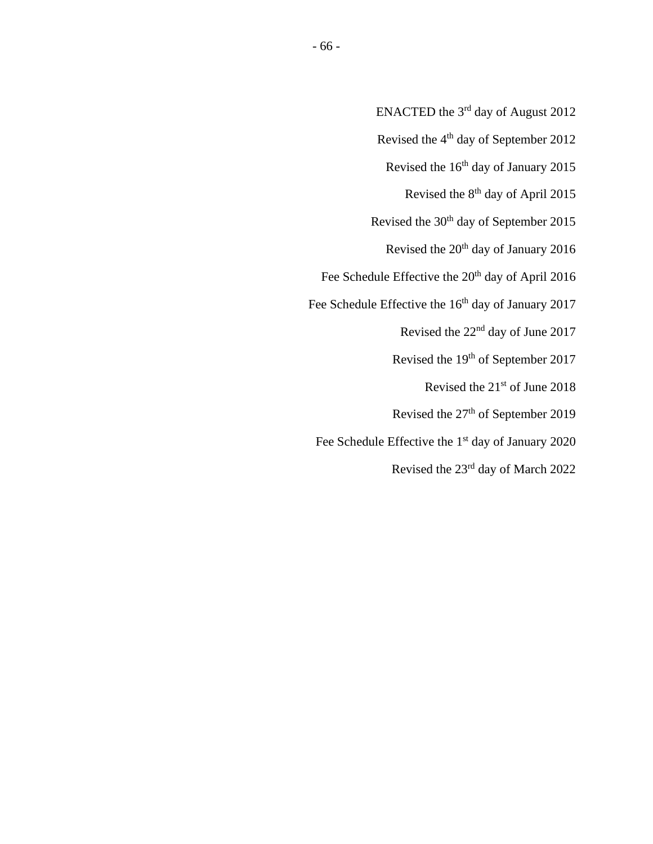- ENACTED the  $3<sup>rd</sup>$  day of August 2012
- Revised the 4<sup>th</sup> day of September 2012
	- Revised the 16<sup>th</sup> day of January 2015
		- Revised the 8th day of April 2015
- Revised the 30<sup>th</sup> day of September 2015
	- Revised the  $20<sup>th</sup>$  day of January 2016
- Fee Schedule Effective the 20<sup>th</sup> day of April 2016
- Fee Schedule Effective the 16<sup>th</sup> day of January 2017
	- Revised the 22nd day of June 2017
	- Revised the 19th of September 2017
		- Revised the 21st of June 2018
	- Revised the 27<sup>th</sup> of September 2019
	- Fee Schedule Effective the 1<sup>st</sup> day of January 2020
		- Revised the 23rd day of March 2022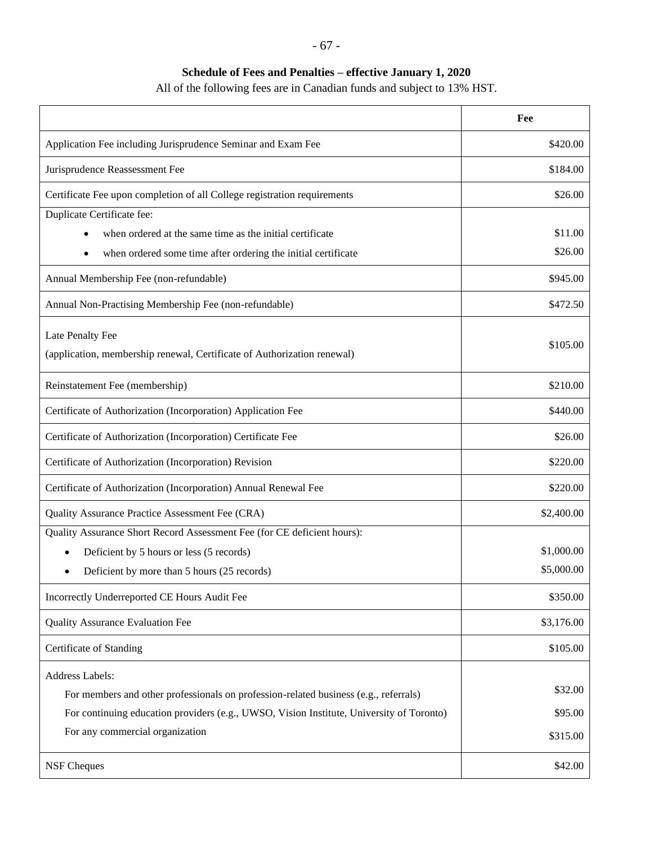# **Schedule of Fees and Penalties – effective January 1, 2020**

All of the following fees are in Canadian funds and subject to 13% HST.

|                                                                                             | Fee        |
|---------------------------------------------------------------------------------------------|------------|
| Application Fee including Jurisprudence Seminar and Exam Fee                                | \$420.00   |
| Jurisprudence Reassessment Fee                                                              | \$184.00   |
| Certificate Fee upon completion of all College registration requirements                    | \$26.00    |
| Duplicate Certificate fee:                                                                  |            |
| when ordered at the same time as the initial certificate<br>$\bullet$                       | \$11.00    |
| when ordered some time after ordering the initial certificate<br>$\bullet$                  | \$26.00    |
| Annual Membership Fee (non-refundable)                                                      | \$945.00   |
| Annual Non-Practising Membership Fee (non-refundable)                                       | \$472.50   |
| Late Penalty Fee<br>(application, membership renewal, Certificate of Authorization renewal) | \$105.00   |
| Reinstatement Fee (membership)                                                              | \$210.00   |
| Certificate of Authorization (Incorporation) Application Fee                                | \$440.00   |
| Certificate of Authorization (Incorporation) Certificate Fee                                | \$26.00    |
| Certificate of Authorization (Incorporation) Revision                                       | \$220.00   |
| Certificate of Authorization (Incorporation) Annual Renewal Fee                             | \$220.00   |
| Quality Assurance Practice Assessment Fee (CRA)                                             | \$2,400.00 |
| Quality Assurance Short Record Assessment Fee (for CE deficient hours):                     |            |
| Deficient by 5 hours or less (5 records)                                                    | \$1,000.00 |
| Deficient by more than 5 hours (25 records)                                                 | \$5,000.00 |
| Incorrectly Underreported CE Hours Audit Fee                                                | \$350.00   |
| <b>Quality Assurance Evaluation Fee</b>                                                     | \$3,176.00 |
| Certificate of Standing                                                                     | \$105.00   |
| Address Labels:                                                                             |            |
| For members and other professionals on profession-related business (e.g., referrals)        | \$32.00    |
| For continuing education providers (e.g., UWSO, Vision Institute, University of Toronto)    | \$95.00    |
| For any commercial organization                                                             | \$315.00   |
| <b>NSF Cheques</b>                                                                          | \$42.00    |